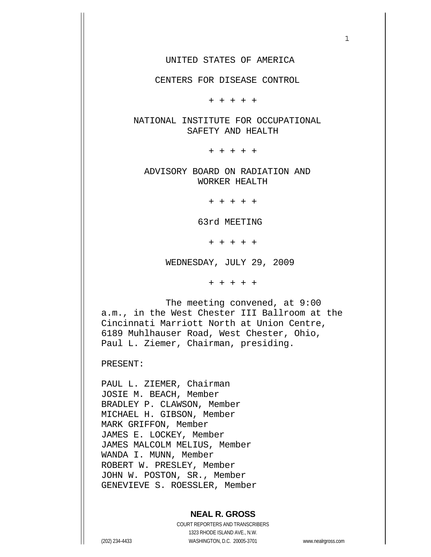CENTERS FOR DISEASE CONTROL

+ + + + +

 NATIONAL INSTITUTE FOR OCCUPATIONAL SAFETY AND HEALTH

+ + + + +

 ADVISORY BOARD ON RADIATION AND WORKER HEALTH

+ + + + +

63rd MEETING

+ + + + +

WEDNESDAY, JULY 29, 2009

+ + + + +

 The meeting convened, at 9:00 a.m., in the West Chester III Ballroom at the Cincinnati Marriott North at Union Centre, 6189 Muhlhauser Road, West Chester, Ohio, Paul L. Ziemer, Chairman, presiding.

PRESENT:

PAUL L. ZIEMER, Chairman JOSIE M. BEACH, Member BRADLEY P. CLAWSON, Member MICHAEL H. GIBSON, Member MARK GRIFFON, Member JAMES E. LOCKEY, Member JAMES MALCOLM MELIUS, Member WANDA I. MUNN, Member ROBERT W. PRESLEY, Member JOHN W. POSTON, SR., Member GENEVIEVE S. ROESSLER, Member

#### **NEAL R. GROSS**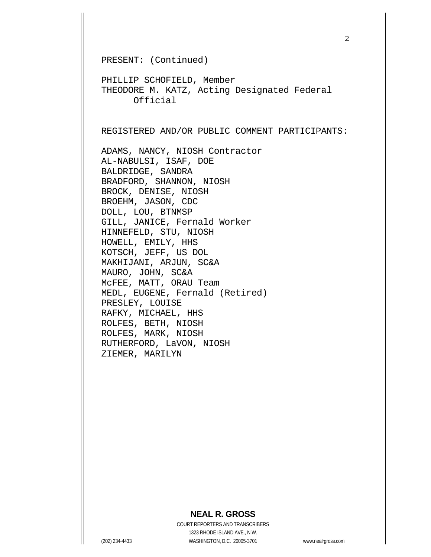PRESENT: (Continued)

PHILLIP SCHOFIELD, Member THEODORE M. KATZ, Acting Designated Federal Official

REGISTERED AND/OR PUBLIC COMMENT PARTICIPANTS:

ADAMS, NANCY, NIOSH Contractor AL-NABULSI, ISAF, DOE BALDRIDGE, SANDRA BRADFORD, SHANNON, NIOSH BROCK, DENISE, NIOSH BROEHM, JASON, CDC DOLL, LOU, BTNMSP GILL, JANICE, Fernald Worker HINNEFELD, STU, NIOSH HOWELL, EMILY, HHS KOTSCH, JEFF, US DOL MAKHIJANI, ARJUN, SC&A MAURO, JOHN, SC&A McFEE, MATT, ORAU Team MEDL, EUGENE, Fernald (Retired) PRESLEY, LOUISE RAFKY, MICHAEL, HHS ROLFES, BETH, NIOSH ROLFES, MARK, NIOSH RUTHERFORD, LaVON, NIOSH ZIEMER, MARILYN

### **NEAL R. GROSS**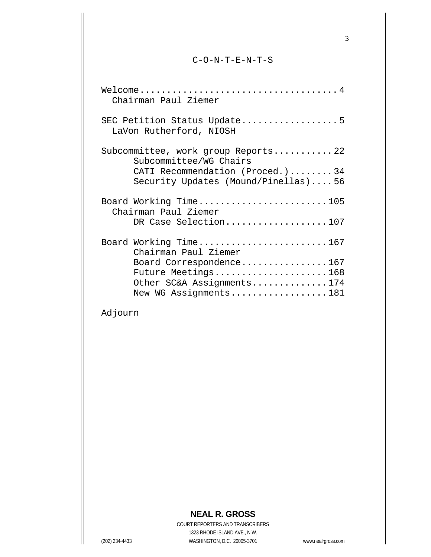#### C-O-N-T-E-N-T-S

| Chairman Paul Ziemer                                                   |
|------------------------------------------------------------------------|
| SEC Petition Status Update5<br>LaVon Rutherford, NIOSH                 |
| Subcommittee, work group Reports22<br>Subcommittee/WG Chairs           |
| CATI Recommendation (Proced.)34<br>Security Updates (Mound/Pinellas)56 |
| Board Working Time105<br>Chairman Paul Ziemer                          |
| DR Case Selection107                                                   |
| Board Working Time167<br>Chairman Paul Ziemer                          |
| Board Correspondence167                                                |
| Future Meetings168                                                     |
| Other SC&A Assignments174                                              |
| New WG Assignments181                                                  |

# Adjourn

## **NEAL R. GROSS**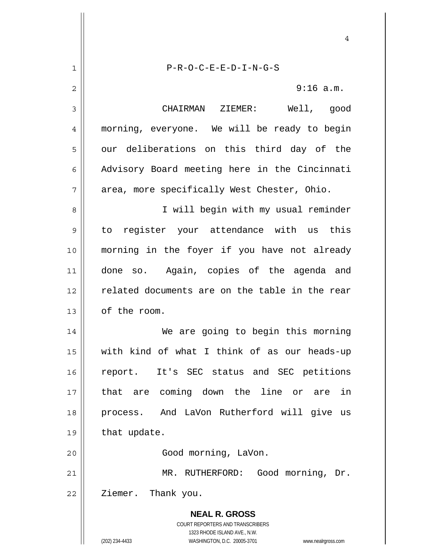**NEAL R. GROSS** COURT REPORTERS AND TRANSCRIBERS 1323 RHODE ISLAND AVE., N.W. (202) 234-4433 WASHINGTON, D.C. 20005-3701 www.nealrgross.com 4 1 2 3 4 5 6 7 8 9 10 11 12 13 14 15 16 17 18 19 20 21 22 P-R-O-C-E-E-D-I-N-G-S 9:16 a.m. CHAIRMAN ZIEMER: Well, good morning, everyone. We will be ready to begin our deliberations on this third day of the Advisory Board meeting here in the Cincinnati area, more specifically West Chester, Ohio. I will begin with my usual reminder to register your attendance with us this morning in the foyer if you have not already done so. Again, copies of the agenda and related documents are on the table in the rear of the room. We are going to begin this morning with kind of what I think of as our heads-up report. It's SEC status and SEC petitions that are coming down the line or are in process. And LaVon Rutherford will give us that update. Good morning, LaVon. MR. RUTHERFORD: Good morning, Dr. Ziemer. Thank you.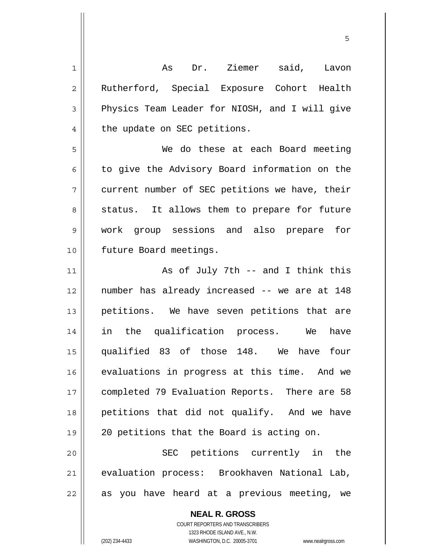1 2 3 4 5 6 7 8 9 10 11 12 13 14 15 16 17 18 19 20 21 22 As Dr. Ziemer said, Lavon Rutherford, Special Exposure Cohort Health Physics Team Leader for NIOSH, and I will give the update on SEC petitions. We do these at each Board meeting to give the Advisory Board information on the current number of SEC petitions we have, their status. It allows them to prepare for future work group sessions and also prepare for future Board meetings. As of July 7th -- and I think this number has already increased -- we are at 148 petitions. We have seven petitions that are in the qualification process. We have qualified 83 of those 148. We have four evaluations in progress at this time. And we completed 79 Evaluation Reports. There are 58 petitions that did not qualify. And we have 20 petitions that the Board is acting on. SEC petitions currently in the evaluation process: Brookhaven National Lab, as you have heard at a previous meeting, we

 $\sim$  5  $\sim$  5  $\sim$  5  $\sim$  5  $\sim$  5  $\sim$  5  $\sim$  5  $\sim$  5  $\sim$  5  $\sim$  5  $\sim$  5  $\sim$  5  $\sim$  5  $\sim$  5  $\sim$  5  $\sim$  5  $\sim$  5  $\sim$  5  $\sim$  5  $\sim$  5  $\sim$  5  $\sim$  5  $\sim$  5  $\sim$  5  $\sim$  5  $\sim$  5  $\sim$  5  $\sim$  5  $\sim$  5  $\sim$  5  $\sim$  5  $\sim$ 

**NEAL R. GROSS** COURT REPORTERS AND TRANSCRIBERS 1323 RHODE ISLAND AVE., N.W.

(202) 234-4433 WASHINGTON, D.C. 20005-3701 www.nealrgross.com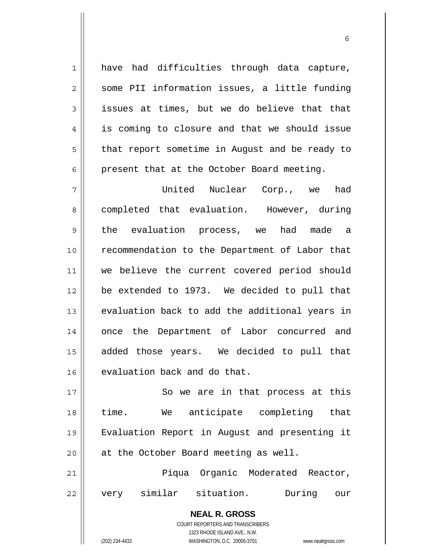have had difficulties through data capture, some PII information issues, a little funding issues at times, but we do believe that that is coming to closure and that we should issue that report sometime in August and be ready to present that at the October Board meeting.

 $\sim$  6

7 8 9 10 11 12 13 14 15 16 United Nuclear Corp., we had completed that evaluation. However, during the evaluation process, we had made a recommendation to the Department of Labor that we believe the current covered period should be extended to 1973. We decided to pull that evaluation back to add the additional years in once the Department of Labor concurred and added those years. We decided to pull that evaluation back and do that.

17 18 19 20 So we are in that process at this time. We anticipate completing that Evaluation Report in August and presenting it at the October Board meeting as well.

21 22 Piqua Organic Moderated Reactor, very similar situation. During our

> **NEAL R. GROSS** COURT REPORTERS AND TRANSCRIBERS 1323 RHODE ISLAND AVE., N.W. (202) 234-4433 WASHINGTON, D.C. 20005-3701 www.nealrgross.com

1

2

3

4

5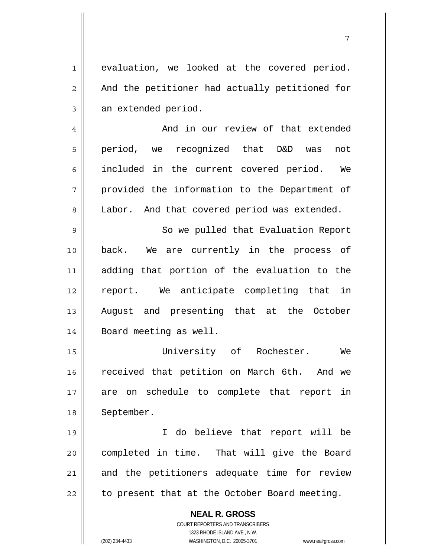evaluation, we looked at the covered period. And the petitioner had actually petitioned for an extended period.

1

2

3

4

5

6

8

7

7 And in our review of that extended period, we recognized that D&D was not included in the current covered period. We provided the information to the Department of Labor. And that covered period was extended.

9 10 11 12 13 14 So we pulled that Evaluation Report back. We are currently in the process of adding that portion of the evaluation to the report. We anticipate completing that in August and presenting that at the October Board meeting as well.

15 16 17 18 University of Rochester. We received that petition on March 6th. And we are on schedule to complete that report in September.

19 20 21 22 I do believe that report will be completed in time. That will give the Board and the petitioners adequate time for review to present that at the October Board meeting.

> COURT REPORTERS AND TRANSCRIBERS 1323 RHODE ISLAND AVE., N.W. (202) 234-4433 WASHINGTON, D.C. 20005-3701 www.nealrgross.com

**NEAL R. GROSS**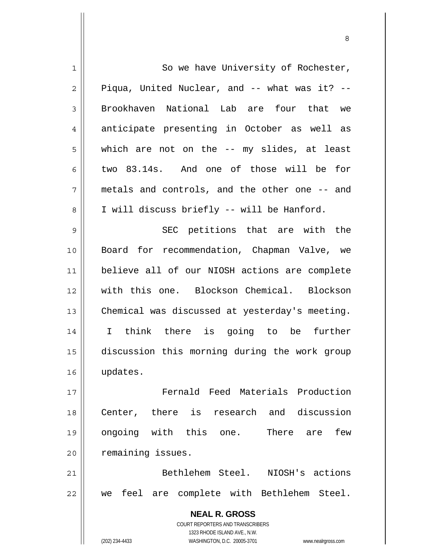| 1  | So we have University of Rochester,                                 |
|----|---------------------------------------------------------------------|
| 2  | Piqua, United Nuclear, and -- what was it? --                       |
| 3  | Brookhaven National Lab are four that we                            |
| 4  | anticipate presenting in October as well as                         |
| 5  | which are not on the -- my slides, at least                         |
| 6  | two 83.14s. And one of those will be for                            |
| 7  | metals and controls, and the other one -- and                       |
| 8  | I will discuss briefly -- will be Hanford.                          |
| 9  | SEC petitions that are with the                                     |
| 10 | Board for recommendation, Chapman Valve, we                         |
| 11 | believe all of our NIOSH actions are complete                       |
| 12 | with this one. Blockson Chemical. Blockson                          |
| 13 | Chemical was discussed at yesterday's meeting.                      |
| 14 | I think there is going to be further                                |
| 15 | discussion this morning during the work group                       |
| 16 | updates.                                                            |
| 17 | Fernald Feed Materials Production                                   |
| 18 | Center, there is research and discussion                            |
| 19 | ongoing with this one. There are<br>few                             |
| 20 | remaining issues.                                                   |
| 21 | Bethlehem Steel. NIOSH's actions                                    |
| 22 | we feel are complete with Bethlehem Steel.                          |
|    | <b>NEAL R. GROSS</b>                                                |
|    | <b>COURT REPORTERS AND TRANSCRIBERS</b>                             |
|    | 1323 RHODE ISLAND AVE., N.W.                                        |
|    | WASHINGTON, D.C. 20005-3701<br>(202) 234-4433<br>www.nealrgross.com |

<u>83 - Santa Carlos de Santa Carlos de Santa Carlos de Santa Carlos de Santa Carlos de Santa Carlos de Santa Ca</u>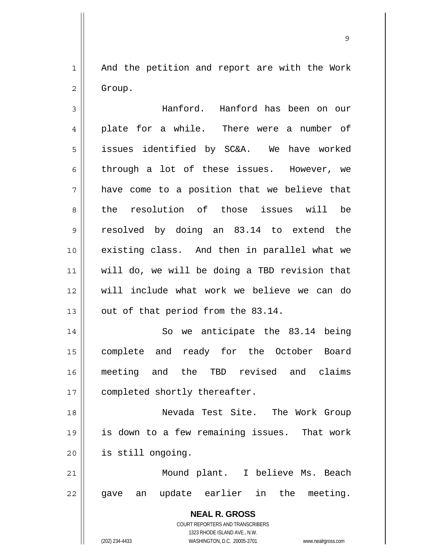1 2 And the petition and report are with the Work Group.

**NEAL R. GROSS** COURT REPORTERS AND TRANSCRIBERS 3 4 5 6 7 8 9 10 11 12 13 14 15 16 17 18 19 20 21 22 Hanford. Hanford has been on our plate for a while. There were a number of issues identified by SC&A. We have worked through a lot of these issues. However, we have come to a position that we believe that the resolution of those issues will be resolved by doing an 83.14 to extend the existing class. And then in parallel what we will do, we will be doing a TBD revision that will include what work we believe we can do out of that period from the 83.14. So we anticipate the 83.14 being complete and ready for the October Board meeting and the TBD revised and claims completed shortly thereafter. Nevada Test Site. The Work Group is down to a few remaining issues. That work is still ongoing. Mound plant. I believe Ms. Beach gave an update earlier in the meeting.

1323 RHODE ISLAND AVE., N.W.

(202) 234-4433 WASHINGTON, D.C. 20005-3701 www.nealrgross.com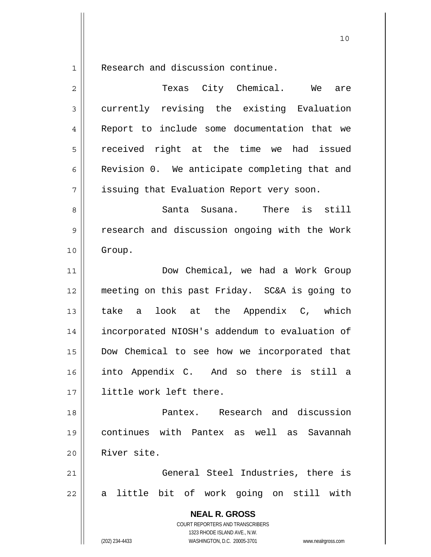1 Research and discussion continue.

| $\overline{2}$ | Texas City Chemical. We<br>are                                      |
|----------------|---------------------------------------------------------------------|
| 3              | currently revising the existing Evaluation                          |
| 4              | Report to include some documentation that we                        |
| 5              | received right at the time we had issued                            |
| 6              | Revision 0. We anticipate completing that and                       |
| 7              | issuing that Evaluation Report very soon.                           |
| 8              | There is still<br>Santa Susana.                                     |
| $\mathsf 9$    | research and discussion ongoing with the Work                       |
| 10             | Group.                                                              |
| 11             | Dow Chemical, we had a Work Group                                   |
| 12             | meeting on this past Friday. SC&A is going to                       |
| 13             | take a look at the Appendix C, which                                |
| 14             | incorporated NIOSH's addendum to evaluation of                      |
| 15             | Dow Chemical to see how we incorporated that                        |
| 16             | into Appendix C. And so there is still a                            |
| 17             | little work left there.                                             |
| 18             | Pantex. Research and discussion                                     |
| 19             | continues with Pantex as well as Savannah                           |
| 20             | River site.                                                         |
| 21             | General Steel Industries, there is                                  |
| 22             | a little bit of work going on still with                            |
|                | <b>NEAL R. GROSS</b><br>COURT REPORTERS AND TRANSCRIBERS            |
|                | 1323 RHODE ISLAND AVE., N.W.                                        |
|                | WASHINGTON, D.C. 20005-3701<br>(202) 234-4433<br>www.nealrgross.com |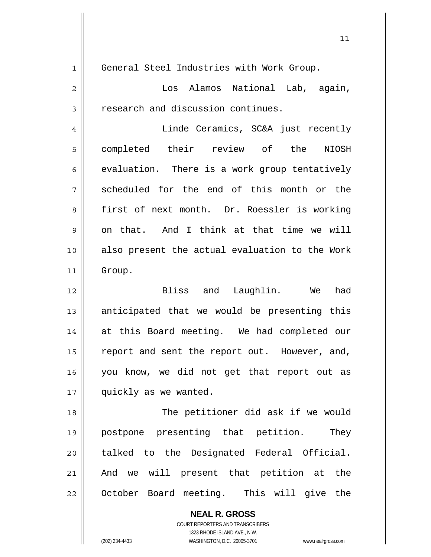| $\mathbf 1$    | General Steel Industries with Work Group.      |
|----------------|------------------------------------------------|
| $\overline{2}$ | Los Alamos National Lab, again,                |
| 3              | research and discussion continues.             |
| 4              | Linde Ceramics, SC&A just recently             |
| 5              | completed their review of the<br><b>NIOSH</b>  |
| 6              | evaluation. There is a work group tentatively  |
| 7              | scheduled for the end of this month or the     |
| 8              | first of next month. Dr. Roessler is working   |
| 9              | on that. And I think at that time we will      |
| 10             | also present the actual evaluation to the Work |
| 11             | Group.                                         |
| 12             | had<br>Bliss and Laughlin. We                  |
| 13             | anticipated that we would be presenting this   |
| 14             | at this Board meeting. We had completed our    |
| 15             | report and sent the report out. However, and,  |
| 16             | you know, we did not get that report out as    |
| $17$           | quickly as we wanted.                          |
| 18             | The petitioner did ask if we would             |
| 19             | postpone presenting that petition.<br>They     |
| 20             | talked to the Designated Federal Official.     |
| 21             | will present that petition at the<br>And we    |
| 22             | October Board meeting. This will give the      |
|                | <b>NEAL R. GROSS</b>                           |

COURT REPORTERS AND TRANSCRIBERS 1323 RHODE ISLAND AVE., N.W.

 $\mathsf{I}$ 

(202) 234-4433 WASHINGTON, D.C. 20005-3701 www.nealrgross.com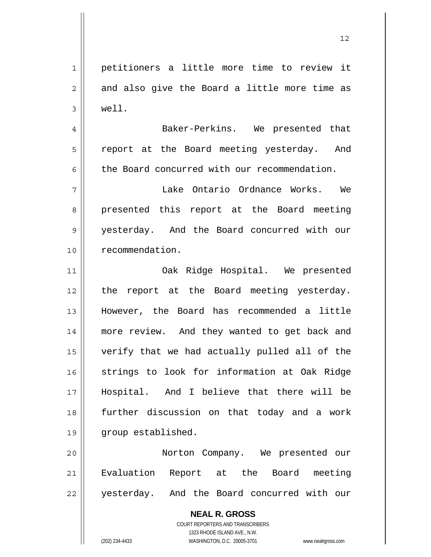1 2 3 4 5 6 7 8 9 10 petitioners a little more time to review it and also give the Board a little more time as well. Baker-Perkins. We presented that report at the Board meeting yesterday. And the Board concurred with our recommendation. Lake Ontario Ordnance Works. We presented this report at the Board meeting yesterday. And the Board concurred with our recommendation.

11 12 13 14 15 16 17 18 19 Oak Ridge Hospital. We presented the report at the Board meeting yesterday. However, the Board has recommended a little more review. And they wanted to get back and verify that we had actually pulled all of the strings to look for information at Oak Ridge Hospital. And I believe that there will be further discussion on that today and a work group established.

20 21 22 Norton Company. We presented our Evaluation Report at the Board meeting yesterday. And the Board concurred with our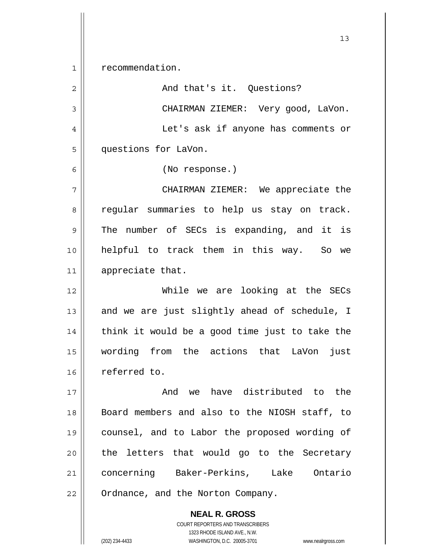1 recommendation.

2 3 4 5 6 7 8 9 10 11 12 13 14 15 16 17 18 19 And that's it. Questions? CHAIRMAN ZIEMER: Very good, LaVon. Let's ask if anyone has comments or questions for LaVon. (No response.) CHAIRMAN ZIEMER: We appreciate the regular summaries to help us stay on track. The number of SECs is expanding, and it is helpful to track them in this way. So we appreciate that. While we are looking at the SECs and we are just slightly ahead of schedule, I think it would be a good time just to take the wording from the actions that LaVon just referred to. And we have distributed to the Board members and also to the NIOSH staff, to counsel, and to Labor the proposed wording of

21 22 concerning Baker-Perkins, Lake Ontario Ordnance, and the Norton Company.

> **NEAL R. GROSS** COURT REPORTERS AND TRANSCRIBERS 1323 RHODE ISLAND AVE., N.W. (202) 234-4433 WASHINGTON, D.C. 20005-3701 www.nealrgross.com

the letters that would go to the Secretary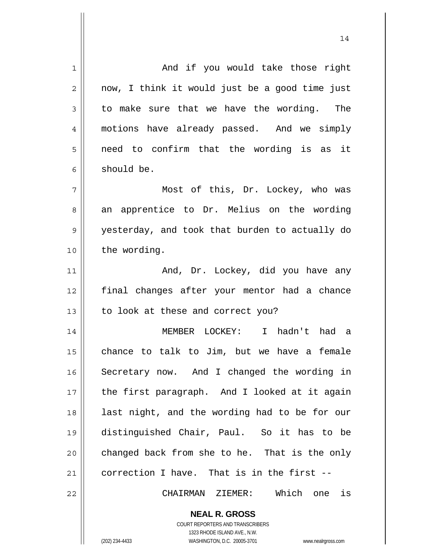**NEAL R. GROSS** 1 2 3 4 5 6 7 8 9 10 11 12 13 14 15 16 17 18 19 20 21 22 And if you would take those right now, I think it would just be a good time just to make sure that we have the wording. The motions have already passed. And we simply need to confirm that the wording is as it should be. Most of this, Dr. Lockey, who was an apprentice to Dr. Melius on the wording yesterday, and took that burden to actually do the wording. And, Dr. Lockey, did you have any final changes after your mentor had a chance to look at these and correct you? MEMBER LOCKEY: I hadn't had a chance to talk to Jim, but we have a female Secretary now. And I changed the wording in the first paragraph. And I looked at it again last night, and the wording had to be for our distinguished Chair, Paul. So it has to be changed back from she to he. That is the only correction I have. That is in the first -- CHAIRMAN ZIEMER: Which one is

14

COURT REPORTERS AND TRANSCRIBERS 1323 RHODE ISLAND AVE., N.W.

(202) 234-4433 WASHINGTON, D.C. 20005-3701 www.nealrgross.com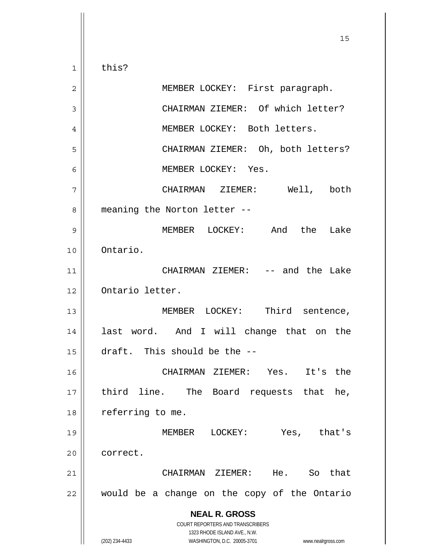**NEAL R. GROSS** COURT REPORTERS AND TRANSCRIBERS 1323 RHODE ISLAND AVE., N.W. 15 1 2 3 4 5 6 7 8 9 10 11 12 13 14 15 16 17 18 19 20 21 22 this? MEMBER LOCKEY: First paragraph. CHAIRMAN ZIEMER: Of which letter? MEMBER LOCKEY: Both letters. CHAIRMAN ZIEMER: Oh, both letters? MEMBER LOCKEY: Yes. CHAIRMAN ZIEMER: Well, both meaning the Norton letter -- MEMBER LOCKEY: And the Lake Ontario. CHAIRMAN ZIEMER: -- and the Lake Ontario letter. MEMBER LOCKEY: Third sentence, last word. And I will change that on the draft. This should be the -- CHAIRMAN ZIEMER: Yes. It's the third line. The Board requests that he, referring to me. MEMBER LOCKEY: Yes, that's correct. CHAIRMAN ZIEMER: He. So that would be a change on the copy of the Ontario

(202) 234-4433 WASHINGTON, D.C. 20005-3701 www.nealrgross.com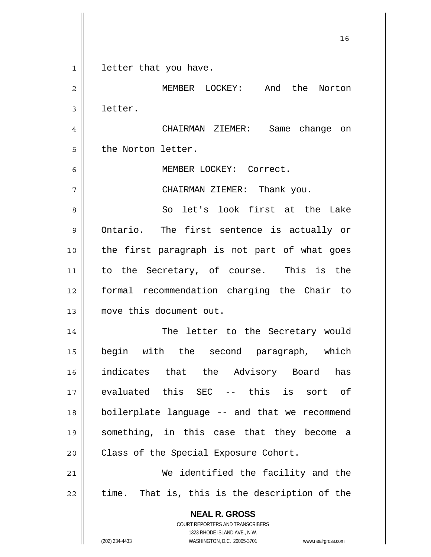**NEAL R. GROSS** COURT REPORTERS AND TRANSCRIBERS 1323 RHODE ISLAND AVE., N.W. (202) 234-4433 WASHINGTON, D.C. 20005-3701 www.nealrgross.com 1 2 3 4 5 6 7 8 9 10 11 12 13 14 15 16 17 18 19 20 21 22 letter that you have. MEMBER LOCKEY: And the Norton letter. CHAIRMAN ZIEMER: Same change on the Norton letter. MEMBER LOCKEY: Correct. CHAIRMAN ZIEMER: Thank you. So let's look first at the Lake Ontario. The first sentence is actually or the first paragraph is not part of what goes to the Secretary, of course. This is the formal recommendation charging the Chair to move this document out. The letter to the Secretary would begin with the second paragraph, which indicates that the Advisory Board has evaluated this SEC -- this is sort of boilerplate language -- and that we recommend something, in this case that they become a Class of the Special Exposure Cohort. We identified the facility and the time. That is, this is the description of the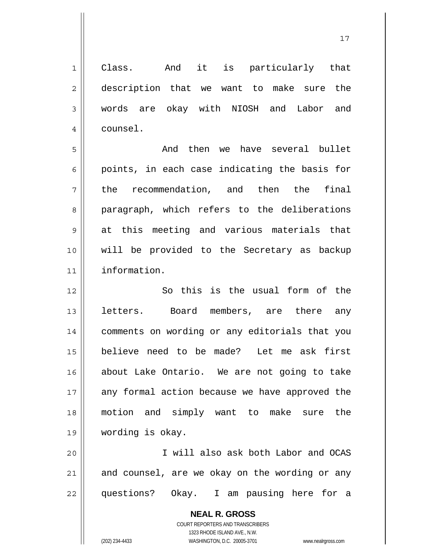**NEAL R. GROSS** COURT REPORTERS AND TRANSCRIBERS 1323 RHODE ISLAND AVE., N.W. 1 2 3 4 5 6 7 8 9 10 11 12 13 14 15 16 17 18 19 20 21 22 Class. And it is particularly that description that we want to make sure the words are okay with NIOSH and Labor and counsel. And then we have several bullet points, in each case indicating the basis for the recommendation, and then the final paragraph, which refers to the deliberations at this meeting and various materials that will be provided to the Secretary as backup information. So this is the usual form of the letters. Board members, are there any comments on wording or any editorials that you believe need to be made? Let me ask first about Lake Ontario. We are not going to take any formal action because we have approved the motion and simply want to make sure the wording is okay. I will also ask both Labor and OCAS and counsel, are we okay on the wording or any questions? Okay. I am pausing here for a

17

(202) 234-4433 WASHINGTON, D.C. 20005-3701 www.nealrgross.com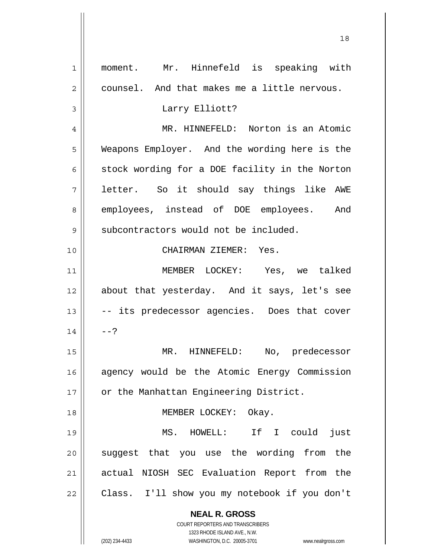| 1              | moment. Mr. Hinnefeld is speaking with                              |
|----------------|---------------------------------------------------------------------|
| $\overline{2}$ | counsel. And that makes me a little nervous.                        |
| 3              | Larry Elliott?                                                      |
| 4              | MR. HINNEFELD: Norton is an Atomic                                  |
| 5              | Weapons Employer. And the wording here is the                       |
| 6              | stock wording for a DOE facility in the Norton                      |
| 7              | letter. So it should say things like AWE                            |
| 8              | employees, instead of DOE employees. And                            |
| 9              | subcontractors would not be included.                               |
| 10             | CHAIRMAN ZIEMER: Yes.                                               |
| 11             | MEMBER LOCKEY: Yes, we talked                                       |
| 12             | about that yesterday. And it says, let's see                        |
| 13             | -- its predecessor agencies. Does that cover                        |
| 14             | $--?$                                                               |
| 15             | MR. HINNEFELD:<br>No, predecessor                                   |
|                |                                                                     |
| 16             | agency would be the Atomic Energy Commission                        |
| 17             | or the Manhattan Engineering District.                              |
| 18             | MEMBER LOCKEY:<br>Okay.                                             |
| 19             | If I could<br>MS. HOWELL:<br>just                                   |
| 20             | suggest that you use the wording from the                           |
| 21             | actual NIOSH SEC Evaluation Report from the                         |
| 22             | Class. I'll show you my notebook if you don't                       |
|                | <b>NEAL R. GROSS</b>                                                |
|                | COURT REPORTERS AND TRANSCRIBERS                                    |
|                | 1323 RHODE ISLAND AVE., N.W.                                        |
|                | (202) 234-4433<br>WASHINGTON, D.C. 20005-3701<br>www.nealrgross.com |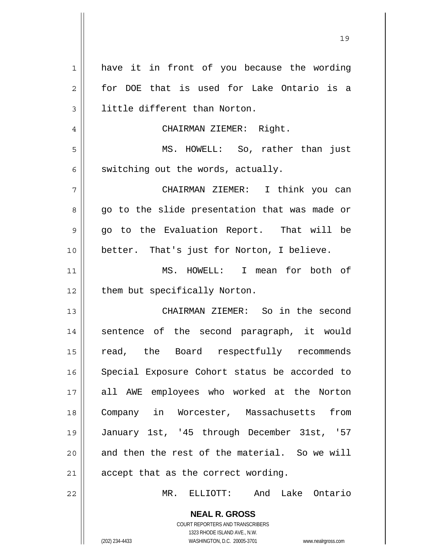| $\mathbf{1}$ | have it in front of you because the wording                         |
|--------------|---------------------------------------------------------------------|
| 2            | for DOE that is used for Lake Ontario is a                          |
| 3            | little different than Norton.                                       |
| 4            | CHAIRMAN ZIEMER: Right.                                             |
| 5            | MS. HOWELL: So, rather than just                                    |
| 6            | switching out the words, actually.                                  |
| 7            | CHAIRMAN ZIEMER: I think you can                                    |
| 8            | go to the slide presentation that was made or                       |
| 9            | go to the Evaluation Report. That will be                           |
| 10           | better. That's just for Norton, I believe.                          |
| 11           | MS. HOWELL: I mean for both of                                      |
| 12           | them but specifically Norton.                                       |
| 13           | CHAIRMAN ZIEMER: So in the second                                   |
| 14           | sentence of the second paragraph, it would                          |
| 15           | read, the Board respectfully recommends                             |
|              |                                                                     |
| 16           | Special Exposure Cohort status be accorded to                       |
| 17           | all AWE employees who worked at the Norton                          |
| 18           | Company in Worcester, Massachusetts<br>from                         |
| 19           | January 1st, '45 through December 31st, '57                         |
| 20           | and then the rest of the material. So we will                       |
| 21           | accept that as the correct wording.                                 |
| 22           | MR. ELLIOTT: And Lake Ontario                                       |
|              | <b>NEAL R. GROSS</b>                                                |
|              | COURT REPORTERS AND TRANSCRIBERS                                    |
|              | 1323 RHODE ISLAND AVE., N.W.                                        |
|              | (202) 234-4433<br>WASHINGTON, D.C. 20005-3701<br>www.nealrgross.com |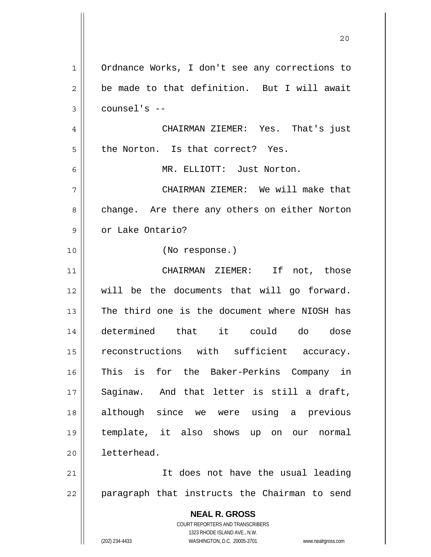**NEAL R. GROSS** COURT REPORTERS AND TRANSCRIBERS 1323 RHODE ISLAND AVE., N.W. (202) 234-4433 WASHINGTON, D.C. 20005-3701 www.nealrgross.com 1 2 3 4 5 6 7 8 9 10 11 12 13 14 15 16 17 18 19 20 21 22 Ordnance Works, I don't see any corrections to be made to that definition. But I will await counsel's -- CHAIRMAN ZIEMER: Yes. That's just the Norton. Is that correct? Yes. MR. ELLIOTT: Just Norton. CHAIRMAN ZIEMER: We will make that change. Are there any others on either Norton or Lake Ontario? (No response.) CHAIRMAN ZIEMER: If not, those will be the documents that will go forward. The third one is the document where NIOSH has determined that it could do dose reconstructions with sufficient accuracy. This is for the Baker-Perkins Company in Saginaw. And that letter is still a draft, although since we were using a previous template, it also shows up on our normal letterhead. It does not have the usual leading paragraph that instructs the Chairman to send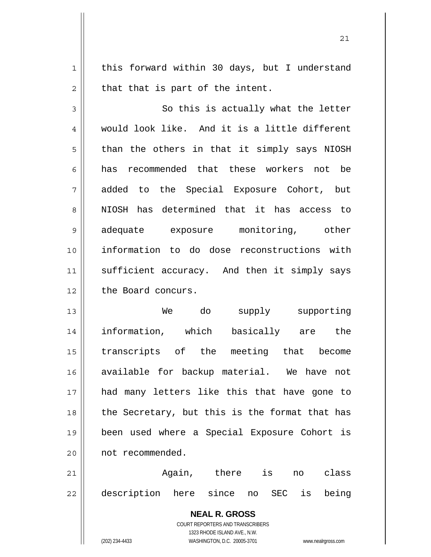this forward within 30 days, but I understand that that is part of the intent.

1

2

21

3 4 5 6 7 8 9 10 11 12 So this is actually what the letter would look like. And it is a little different than the others in that it simply says NIOSH has recommended that these workers not be added to the Special Exposure Cohort, but NIOSH has determined that it has access to adequate exposure monitoring, other information to do dose reconstructions with sufficient accuracy. And then it simply says the Board concurs.

13 14 15 16 17 18 19 20 We do supply supporting information, which basically are the transcripts of the meeting that become available for backup material. We have not had many letters like this that have gone to the Secretary, but this is the format that has been used where a Special Exposure Cohort is not recommended.

21 22 Again, there is no class description here since no SEC is being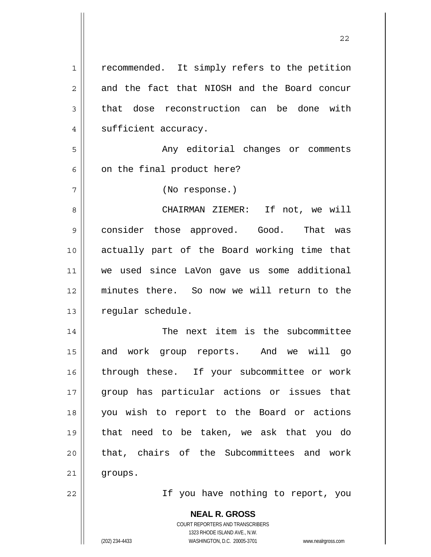| 1              | recommended. It simply refers to the petition                                            |
|----------------|------------------------------------------------------------------------------------------|
| $\overline{c}$ | and the fact that NIOSH and the Board concur                                             |
| 3              | dose reconstruction can be done with<br>that                                             |
| 4              | sufficient accuracy.                                                                     |
| 5              | Any editorial changes or comments                                                        |
| 6              | on the final product here?                                                               |
| 7              | (No response.)                                                                           |
| 8              | CHAIRMAN ZIEMER: If not, we will                                                         |
| 9              | consider those approved. Good. That was                                                  |
| 10             | actually part of the Board working time that                                             |
| 11             | we used since LaVon gave us some additional                                              |
| 12             | minutes there. So now we will return to the                                              |
| 13             | regular schedule.                                                                        |
| 14             | The next item is the subcommittee                                                        |
| 15             | work<br>group reports.<br>And we will go<br>and                                          |
| 16             | through these. If your subcommittee or work                                              |
| 17             | group has particular actions or issues that                                              |
| 18             | you wish to report to the Board or actions                                               |
| 19             | that need to be taken, we ask that you do                                                |
| 20             | that, chairs of the Subcommittees and work                                               |
| 21             | groups.                                                                                  |
| 22             | If you have nothing to report, you                                                       |
|                | <b>NEAL R. GROSS</b><br>COURT REPORTERS AND TRANSCRIBERS<br>1323 RHODE ISLAND AVE., N.W. |
|                | (202) 234-4433<br>WASHINGTON, D.C. 20005-3701<br>www.nealrgross.com                      |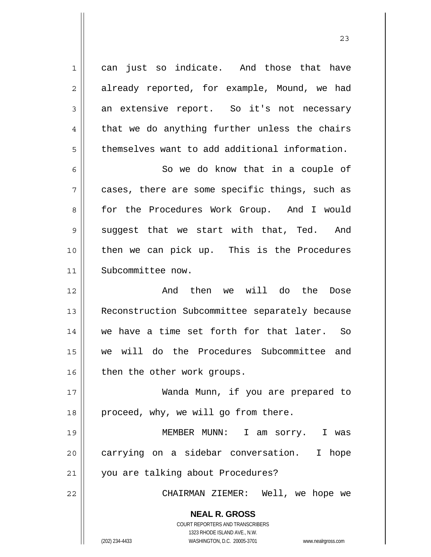**NEAL R. GROSS** COURT REPORTERS AND TRANSCRIBERS 1323 RHODE ISLAND AVE., N.W. 1 2 3 4 5 6 7 8 9 10 11 12 13 14 15 16 17 18 19 20 21 22 can just so indicate. And those that have already reported, for example, Mound, we had an extensive report. So it's not necessary that we do anything further unless the chairs themselves want to add additional information. So we do know that in a couple of cases, there are some specific things, such as for the Procedures Work Group. And I would suggest that we start with that, Ted. And then we can pick up. This is the Procedures Subcommittee now. And then we will do the Dose Reconstruction Subcommittee separately because we have a time set forth for that later. So we will do the Procedures Subcommittee and then the other work groups. Wanda Munn, if you are prepared to proceed, why, we will go from there. MEMBER MUNN: I am sorry. I was carrying on a sidebar conversation. I hope you are talking about Procedures? CHAIRMAN ZIEMER: Well, we hope we

(202) 234-4433 WASHINGTON, D.C. 20005-3701 www.nealrgross.com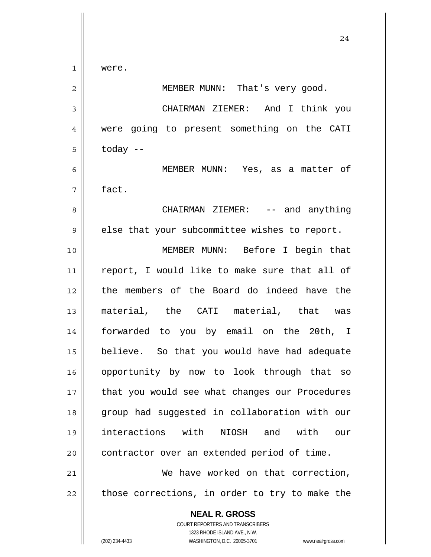were.

1

 $\mathbf{I}$ 

| $\overline{2}$ | MEMBER MUNN: That's very good.                                                                                                                                  |
|----------------|-----------------------------------------------------------------------------------------------------------------------------------------------------------------|
| 3              | CHAIRMAN ZIEMER: And I think you                                                                                                                                |
| 4              | were going to present something on the CATI                                                                                                                     |
| 5              | today --                                                                                                                                                        |
| 6              | MEMBER MUNN: Yes, as a matter of                                                                                                                                |
| 7              | fact.                                                                                                                                                           |
| 8              | CHAIRMAN ZIEMER: $--$ and anything                                                                                                                              |
| $\mathcal{G}$  | else that your subcommittee wishes to report.                                                                                                                   |
| 10             | MEMBER MUNN: Before I begin that                                                                                                                                |
| 11             | report, I would like to make sure that all of                                                                                                                   |
| 12             | the members of the Board do indeed have the                                                                                                                     |
| 13             | material, the CATI material, that was                                                                                                                           |
| 14             | forwarded to you by email on the 20th, I                                                                                                                        |
| 15             | believe. So that you would have had adequate                                                                                                                    |
| 16             | opportunity by now to look through that so                                                                                                                      |
| 17             | that you would see what changes our Procedures                                                                                                                  |
| 18             | group had suggested in collaboration with our                                                                                                                   |
| 19             | interactions with<br>NIOSH and<br>with<br>$O$ 11 $r$                                                                                                            |
| 20             | contractor over an extended period of time.                                                                                                                     |
| 21             | We have worked on that correction,                                                                                                                              |
| 22             | those corrections, in order to try to make the                                                                                                                  |
|                | <b>NEAL R. GROSS</b><br>COURT REPORTERS AND TRANSCRIBERS<br>1323 RHODE ISLAND AVE., N.W.<br>(202) 234-4433<br>WASHINGTON, D.C. 20005-3701<br>www.nealrgross.com |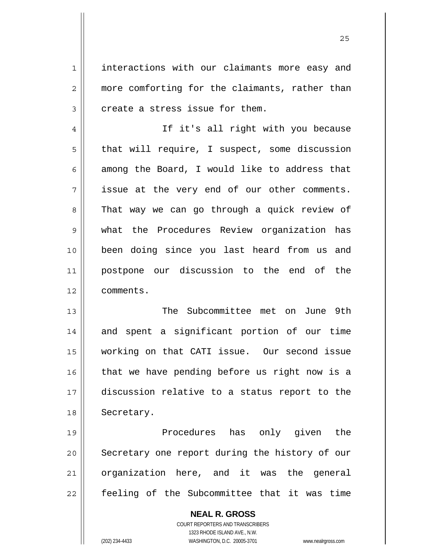interactions with our claimants more easy and more comforting for the claimants, rather than create a stress issue for them.

4 5 6 7 8 9 10 11 12 If it's all right with you because that will require, I suspect, some discussion among the Board, I would like to address that issue at the very end of our other comments. That way we can go through a quick review of what the Procedures Review organization has been doing since you last heard from us and postpone our discussion to the end of the comments.

13 14 15 16 17 18 The Subcommittee met on June 9th and spent a significant portion of our time working on that CATI issue. Our second issue that we have pending before us right now is a discussion relative to a status report to the Secretary.

19 20 21 22 Procedures has only given the Secretary one report during the history of our organization here, and it was the general feeling of the Subcommittee that it was time

> **NEAL R. GROSS** COURT REPORTERS AND TRANSCRIBERS 1323 RHODE ISLAND AVE., N.W. (202) 234-4433 WASHINGTON, D.C. 20005-3701 www.nealrgross.com

1

2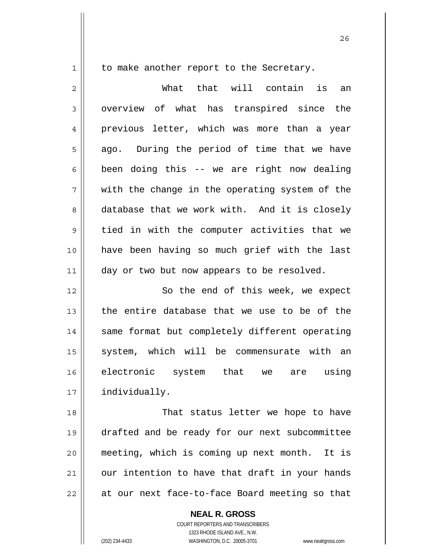to make another report to the Secretary.

2 3 4 5 6 7 8 9 10 11 12 13 14 15 16 17 18 19 20 21 22 What that will contain is an overview of what has transpired since the previous letter, which was more than a year ago. During the period of time that we have been doing this -- we are right now dealing with the change in the operating system of the database that we work with. And it is closely tied in with the computer activities that we have been having so much grief with the last day or two but now appears to be resolved. So the end of this week, we expect the entire database that we use to be of the same format but completely different operating system, which will be commensurate with an electronic system that we are using individually. That status letter we hope to have drafted and be ready for our next subcommittee meeting, which is coming up next month. It is our intention to have that draft in your hands at our next face-to-face Board meeting so that

**NEAL R. GROSS**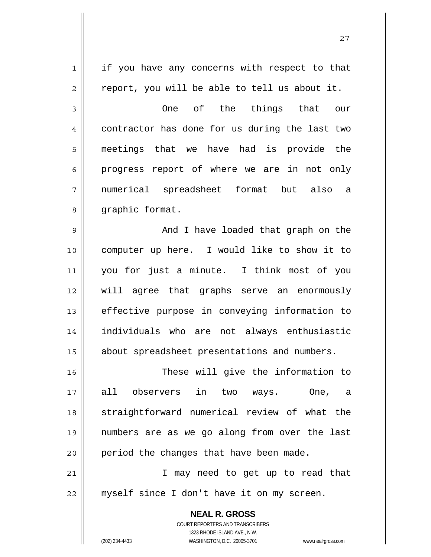**NEAL R. GROSS** 1 2 3 4 5 6 7 8 9 10 11 12 13 14 15 16 17 18 19 20 21 22 if you have any concerns with respect to that report, you will be able to tell us about it. One of the things that our contractor has done for us during the last two meetings that we have had is provide the progress report of where we are in not only numerical spreadsheet format but also a graphic format. And I have loaded that graph on the computer up here. I would like to show it to you for just a minute. I think most of you will agree that graphs serve an enormously effective purpose in conveying information to individuals who are not always enthusiastic about spreadsheet presentations and numbers. These will give the information to all observers in two ways. One, a straightforward numerical review of what the numbers are as we go along from over the last period the changes that have been made. I may need to get up to read that myself since I don't have it on my screen.

27

COURT REPORTERS AND TRANSCRIBERS 1323 RHODE ISLAND AVE., N.W.

(202) 234-4433 WASHINGTON, D.C. 20005-3701 www.nealrgross.com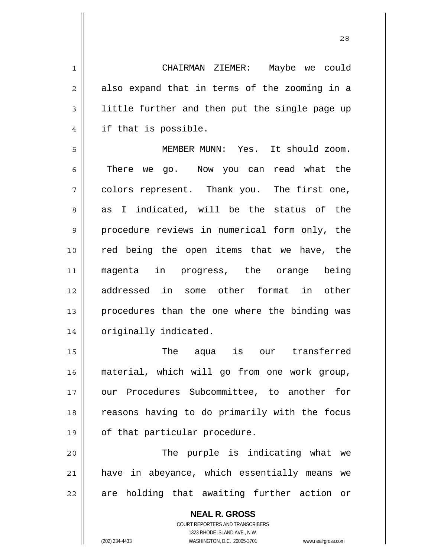CHAIRMAN ZIEMER: Maybe we could also expand that in terms of the zooming in a little further and then put the single page up if that is possible.

5 6 7 8 9 10 11 12 13 14 MEMBER MUNN: Yes. It should zoom. There we go. Now you can read what the colors represent. Thank you. The first one, as I indicated, will be the status of the procedure reviews in numerical form only, the red being the open items that we have, the magenta in progress, the orange being addressed in some other format in other procedures than the one where the binding was originally indicated.

15 16 17 18 19 The aqua is our transferred material, which will go from one work group, our Procedures Subcommittee, to another for reasons having to do primarily with the focus of that particular procedure.

20 21 22 The purple is indicating what we have in abeyance, which essentially means we are holding that awaiting further action or

> **NEAL R. GROSS** COURT REPORTERS AND TRANSCRIBERS 1323 RHODE ISLAND AVE., N.W. (202) 234-4433 WASHINGTON, D.C. 20005-3701 www.nealrgross.com

1

2

3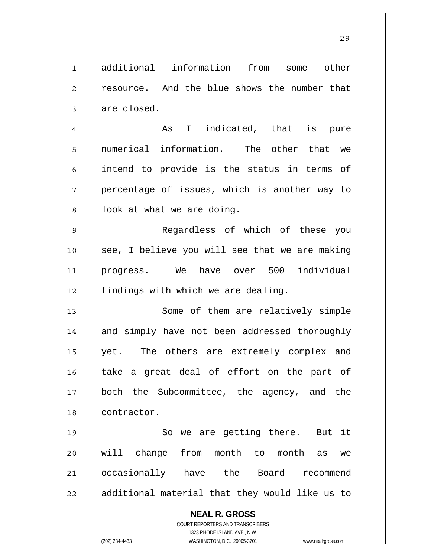**NEAL R. GROSS** COURT REPORTERS AND TRANSCRIBERS 1323 RHODE ISLAND AVE., N.W. 1 2 3 4 5 6 7 8 9 10 11 12 13 14 15 16 17 18 19 20 21 22 additional information from some other resource. And the blue shows the number that are closed. As I indicated, that is pure numerical information. The other that we intend to provide is the status in terms of percentage of issues, which is another way to look at what we are doing. Regardless of which of these you see, I believe you will see that we are making progress. We have over 500 individual findings with which we are dealing. Some of them are relatively simple and simply have not been addressed thoroughly yet. The others are extremely complex and take a great deal of effort on the part of both the Subcommittee, the agency, and the contractor. So we are getting there. But it will change from month to month as we occasionally have the Board recommend additional material that they would like us to

(202) 234-4433 WASHINGTON, D.C. 20005-3701 www.nealrgross.com

<u>29</u>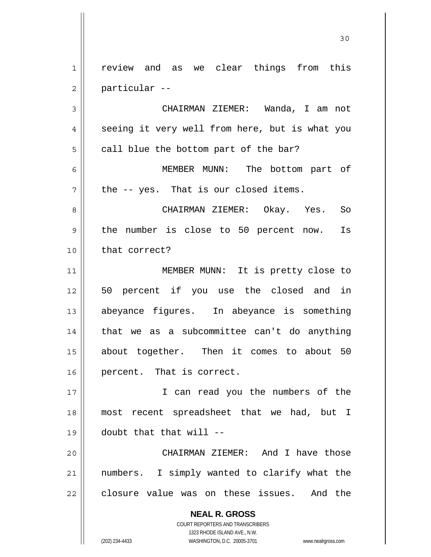1 2 review and as we clear things from this particular --

3 4 5 6 7 CHAIRMAN ZIEMER: Wanda, I am not seeing it very well from here, but is what you call blue the bottom part of the bar? MEMBER MUNN: The bottom part of the -- yes. That is our closed items.

8 9 10 CHAIRMAN ZIEMER: Okay. Yes. So the number is close to 50 percent now. Is that correct?

11 12 13 14 15 16 MEMBER MUNN: It is pretty close to 50 percent if you use the closed and in abeyance figures. In abeyance is something that we as a subcommittee can't do anything about together. Then it comes to about 50 percent. That is correct.

17 18 19 I can read you the numbers of the most recent spreadsheet that we had, but I doubt that that will --

20 21 22 CHAIRMAN ZIEMER: And I have those numbers. I simply wanted to clarify what the closure value was on these issues. And the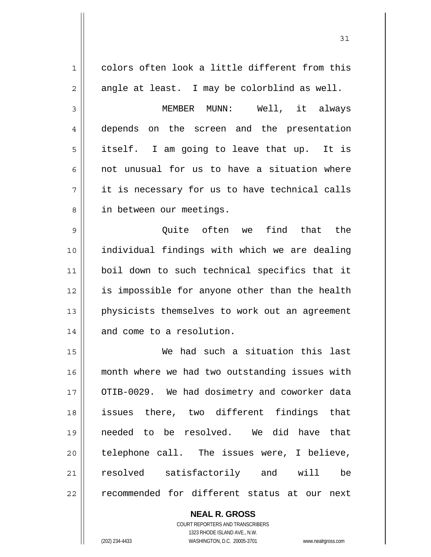| 1              | colors often look a little different from this |
|----------------|------------------------------------------------|
| $\overline{2}$ | angle at least. I may be colorblind as well.   |
| 3              | MEMBER MUNN: Well, it always                   |
| 4              | depends on the screen and the presentation     |
| 5              | itself. I am going to leave that up. It is     |
| 6              | not unusual for us to have a situation where   |
| 7              | it is necessary for us to have technical calls |
| 8              | in between our meetings.                       |
| 9              | Quite often we find that the                   |
| 10             | individual findings with which we are dealing  |
| 11             | boil down to such technical specifics that it  |
| 12             | is impossible for anyone other than the health |
| 13             | physicists themselves to work out an agreement |
| 14             | and come to a resolution.                      |
| 15             | We had such a situation this last              |
| 16             | month where we had two outstanding issues with |
| 17             | OTIB-0029. We had dosimetry and coworker data  |
| 18             | issues there, two different findings that      |
| 19             | needed to be resolved. We did have that        |
| 20             | telephone call. The issues were, I believe,    |
| 21             | resolved satisfactorily and will<br>be         |
| 22             | recommended for different status at our next   |
|                |                                                |

**NEAL R. GROSS** COURT REPORTERS AND TRANSCRIBERS

1323 RHODE ISLAND AVE., N.W.

(202) 234-4433 WASHINGTON, D.C. 20005-3701 www.nealrgross.com

 $\mathbf{I}$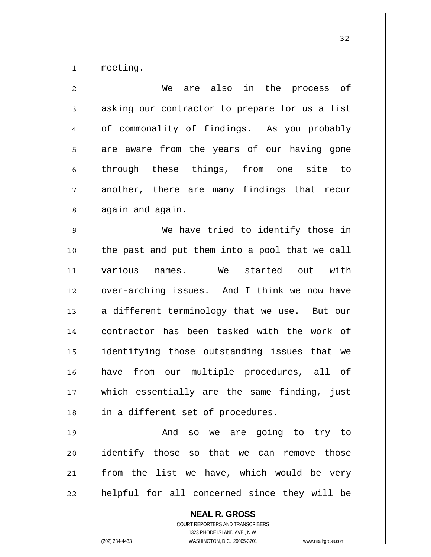1 meeting.

| $\overline{2}$ | are also in the process of<br>We               |
|----------------|------------------------------------------------|
| 3              | asking our contractor to prepare for us a list |
| 4              | of commonality of findings. As you probably    |
| 5              | are aware from the years of our having gone    |
| 6              | through these things, from one site to         |
| 7              | another, there are many findings that recur    |
| 8              | again and again.                               |
| 9              | We have tried to identify those in             |
| 10             | the past and put them into a pool that we call |
| 11             | various names. We<br>started out with          |
| 12             | over-arching issues. And I think we now have   |
| 13             | a different terminology that we use. But our   |
| 14             | contractor has been tasked with the work of    |
| 15             | identifying those outstanding issues that we   |
| 16             | have from our multiple procedures, all of      |
| 17             | which essentially are the same finding, just   |
| 18             | in a different set of procedures.              |
| 19             | And so we are going to try to                  |
| 20             | identify those so that we can remove those     |
| 21             | from the list we have, which would be very     |
| 22             | helpful for all concerned since they will be   |
|                | <b>NEAL R. GROSS</b>                           |

COURT REPORTERS AND TRANSCRIBERS 1323 RHODE ISLAND AVE., N.W.

 $\mathbf{\mathbf{\mathsf{I}}}\mathbf{\mathsf{I}}$ 

(202) 234-4433 WASHINGTON, D.C. 20005-3701 www.nealrgross.com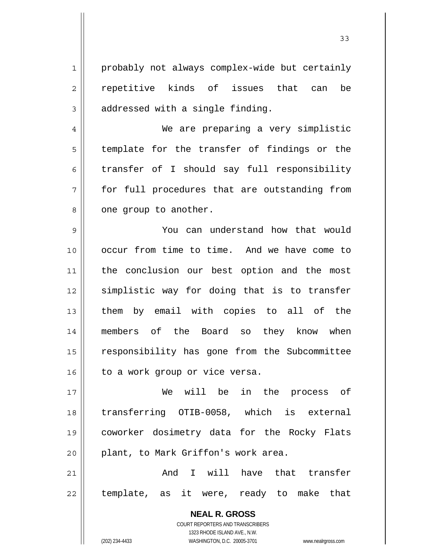probably not always complex-wide but certainly repetitive kinds of issues that can be addressed with a single finding. We are preparing a very simplistic

1

2

3

4

5

6

7

8

template for the transfer of findings or the transfer of I should say full responsibility for full procedures that are outstanding from one group to another.

9 10 11 12 13 14 15 16 You can understand how that would occur from time to time. And we have come to the conclusion our best option and the most simplistic way for doing that is to transfer them by email with copies to all of the members of the Board so they know when responsibility has gone from the Subcommittee to a work group or vice versa.

17 18 19 20 We will be in the process of transferring OTIB-0058, which is external coworker dosimetry data for the Rocky Flats plant, to Mark Griffon's work area.

21 22 And I will have that transfer template, as it were, ready to make that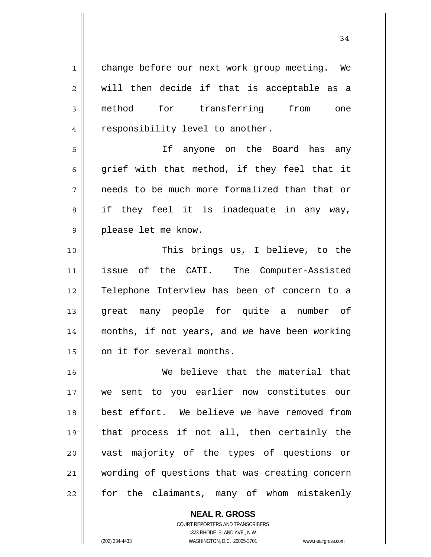1 2 3 4 5 6 7 8 9 10 11 12 13 14 15 16 17 18 19 20 21 22 change before our next work group meeting. We will then decide if that is acceptable as a method for transferring from one responsibility level to another. If anyone on the Board has any grief with that method, if they feel that it needs to be much more formalized than that or if they feel it is inadequate in any way, please let me know. This brings us, I believe, to the issue of the CATI. The Computer-Assisted Telephone Interview has been of concern to a great many people for quite a number of months, if not years, and we have been working on it for several months. We believe that the material that we sent to you earlier now constitutes our best effort. We believe we have removed from that process if not all, then certainly the vast majority of the types of questions or wording of questions that was creating concern for the claimants, many of whom mistakenly

> **NEAL R. GROSS** COURT REPORTERS AND TRANSCRIBERS 1323 RHODE ISLAND AVE., N.W. (202) 234-4433 WASHINGTON, D.C. 20005-3701 www.nealrgross.com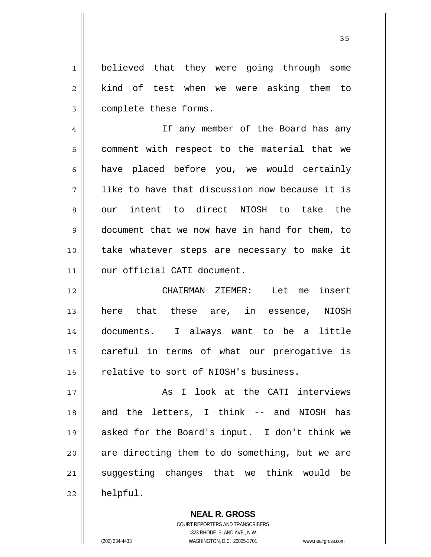1 2 3 believed that they were going through some kind of test when we were asking them to complete these forms.

4 5 6 7 8 9 10 11 If any member of the Board has any comment with respect to the material that we have placed before you, we would certainly like to have that discussion now because it is our intent to direct NIOSH to take the document that we now have in hand for them, to take whatever steps are necessary to make it our official CATI document.

12 13 14 15 16 CHAIRMAN ZIEMER: Let me insert here that these are, in essence, NIOSH documents. I always want to be a little careful in terms of what our prerogative is relative to sort of NIOSH's business.

17 18 19 20 21 22 As I look at the CATI interviews and the letters, I think -- and NIOSH has asked for the Board's input. I don't think we are directing them to do something, but we are suggesting changes that we think would be helpful.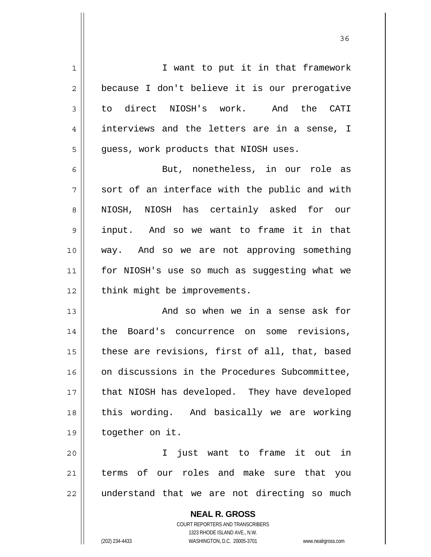1 2 3 4 5 6 7 8 9 10 11 12 13 14 15 16 17 18 19 20 I want to put it in that framework because I don't believe it is our prerogative to direct NIOSH's work. And the CATI interviews and the letters are in a sense, I guess, work products that NIOSH uses. But, nonetheless, in our role as sort of an interface with the public and with NIOSH, NIOSH has certainly asked for our input. And so we want to frame it in that way. And so we are not approving something for NIOSH's use so much as suggesting what we think might be improvements. And so when we in a sense ask for the Board's concurrence on some revisions, these are revisions, first of all, that, based on discussions in the Procedures Subcommittee, that NIOSH has developed. They have developed this wording. And basically we are working together on it. I just want to frame it out in

21 22 terms of our roles and make sure that you understand that we are not directing so much

> **NEAL R. GROSS** COURT REPORTERS AND TRANSCRIBERS 1323 RHODE ISLAND AVE., N.W. (202) 234-4433 WASHINGTON, D.C. 20005-3701 www.nealrgross.com

<u>36 and 36</u>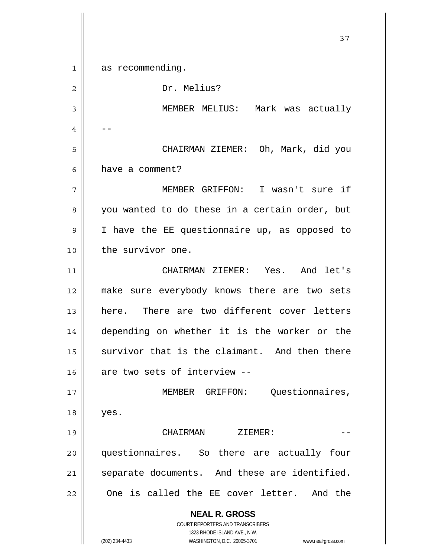**NEAL R. GROSS** COURT REPORTERS AND TRANSCRIBERS 1323 RHODE ISLAND AVE., N.W. (202) 234-4433 WASHINGTON, D.C. 20005-3701 www.nealrgross.com 37 1 2 3 4 5 6 7 8 9 10 11 12 13 14 15 16 17 18 19 20 21 22 as recommending. Dr. Melius? MEMBER MELIUS: Mark was actually -- CHAIRMAN ZIEMER: Oh, Mark, did you have a comment? MEMBER GRIFFON: I wasn't sure if you wanted to do these in a certain order, but I have the EE questionnaire up, as opposed to the survivor one. CHAIRMAN ZIEMER: Yes. And let's make sure everybody knows there are two sets here. There are two different cover letters depending on whether it is the worker or the survivor that is the claimant. And then there are two sets of interview -- MEMBER GRIFFON: Questionnaires, yes. CHAIRMAN ZIEMER: questionnaires. So there are actually four separate documents. And these are identified. One is called the EE cover letter. And the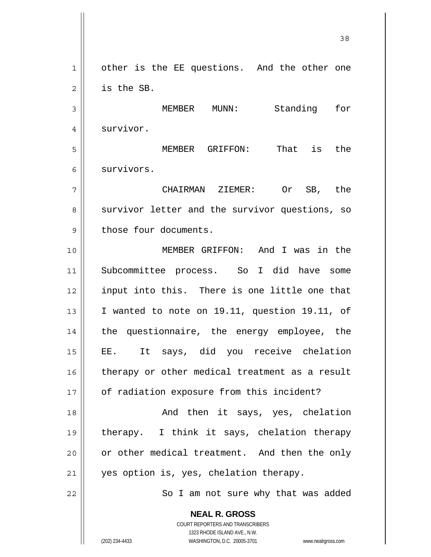**NEAL R. GROSS** 1 2 3 4 5 6 7 8 9 10 11 12 13 14 15 16 17 18 19 20 21 22 other is the EE questions. And the other one is the SB. MEMBER MUNN: Standing for survivor. MEMBER GRIFFON: That is the survivors. CHAIRMAN ZIEMER: Or SB, the survivor letter and the survivor questions, so those four documents. MEMBER GRIFFON: And I was in the Subcommittee process. So I did have some input into this. There is one little one that I wanted to note on 19.11, question 19.11, of the questionnaire, the energy employee, the EE. It says, did you receive chelation therapy or other medical treatment as a result of radiation exposure from this incident? And then it says, yes, chelation therapy. I think it says, chelation therapy or other medical treatment. And then the only yes option is, yes, chelation therapy. So I am not sure why that was added

<u>38</u>

COURT REPORTERS AND TRANSCRIBERS 1323 RHODE ISLAND AVE., N.W.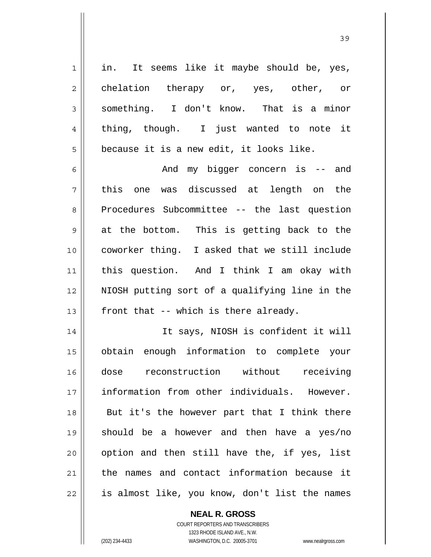1 2 3 4 5 6 7 8 9 10 11 12 13 14 15 16 17 18 19 20 21 22 in. It seems like it maybe should be, yes, chelation therapy or, yes, other, or something. I don't know. That is a minor thing, though. I just wanted to note it because it is a new edit, it looks like. And my bigger concern is -- and this one was discussed at length on the Procedures Subcommittee -- the last question at the bottom. This is getting back to the coworker thing. I asked that we still include this question. And I think I am okay with NIOSH putting sort of a qualifying line in the front that -- which is there already. It says, NIOSH is confident it will obtain enough information to complete your dose reconstruction without receiving information from other individuals. However. But it's the however part that I think there should be a however and then have a yes/no option and then still have the, if yes, list the names and contact information because it is almost like, you know, don't list the names

**NEAL R. GROSS**

COURT REPORTERS AND TRANSCRIBERS 1323 RHODE ISLAND AVE., N.W. (202) 234-4433 WASHINGTON, D.C. 20005-3701 www.nealrgross.com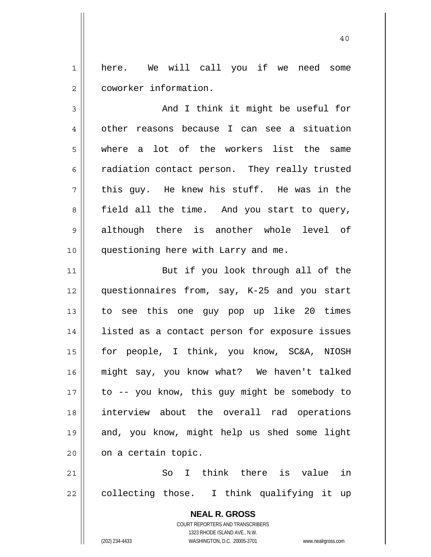1 2 here. We will call you if we need some coworker information.

40

3 4 5 6 7 8 9 10 And I think it might be useful for other reasons because I can see a situation where a lot of the workers list the same radiation contact person. They really trusted this guy. He knew his stuff. He was in the field all the time. And you start to query, although there is another whole level of questioning here with Larry and me.

11 12 13 14 15 16 17 18 19 20 But if you look through all of the questionnaires from, say, K-25 and you start to see this one guy pop up like 20 times listed as a contact person for exposure issues for people, I think, you know, SC&A, NIOSH might say, you know what? We haven't talked to -- you know, this guy might be somebody to interview about the overall rad operations and, you know, might help us shed some light on a certain topic.

21 22 So I think there is value in collecting those. I think qualifying it up

> **NEAL R. GROSS** COURT REPORTERS AND TRANSCRIBERS 1323 RHODE ISLAND AVE., N.W. (202) 234-4433 WASHINGTON, D.C. 20005-3701 www.nealrgross.com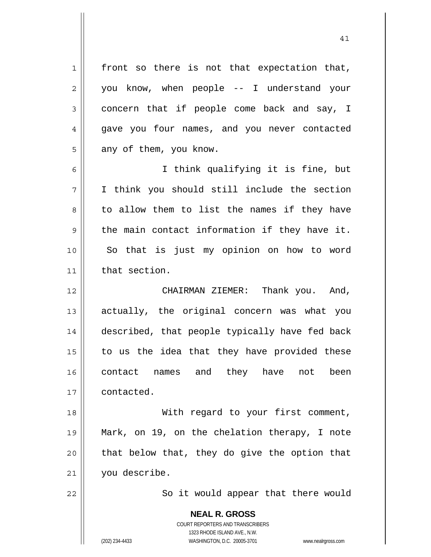**NEAL R. GROSS** 1 2 3 4 5 6 7 8 9 10 11 12 13 14 15 16 17 18 19 20 21 22 front so there is not that expectation that, you know, when people -- I understand your concern that if people come back and say, I gave you four names, and you never contacted any of them, you know. I think qualifying it is fine, but I think you should still include the section to allow them to list the names if they have the main contact information if they have it. So that is just my opinion on how to word that section. CHAIRMAN ZIEMER: Thank you. And, actually, the original concern was what you described, that people typically have fed back to us the idea that they have provided these contact names and they have not been contacted. With regard to your first comment, Mark, on 19, on the chelation therapy, I note that below that, they do give the option that you describe. So it would appear that there would

41

COURT REPORTERS AND TRANSCRIBERS 1323 RHODE ISLAND AVE., N.W.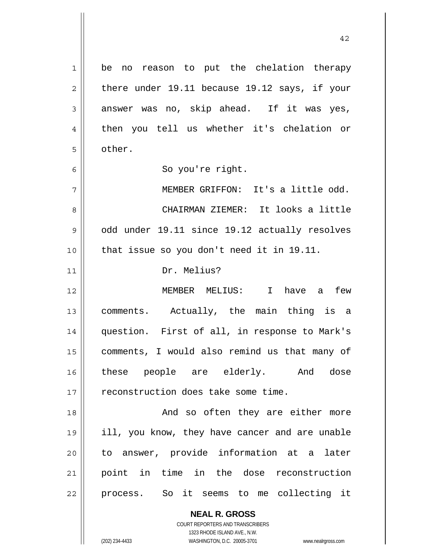**NEAL R. GROSS** 1 2 3 4 5 6 7 8 9 10 11 12 13 14 15 16 17 18 19 20 21 22 be no reason to put the chelation therapy there under 19.11 because 19.12 says, if your answer was no, skip ahead. If it was yes, then you tell us whether it's chelation or other. So you're right. MEMBER GRIFFON: It's a little odd. CHAIRMAN ZIEMER: It looks a little odd under 19.11 since 19.12 actually resolves that issue so you don't need it in 19.11. Dr. Melius? MEMBER MELIUS: I have a few comments. Actually, the main thing is a question. First of all, in response to Mark's comments, I would also remind us that many of these people are elderly. And dose reconstruction does take some time. And so often they are either more ill, you know, they have cancer and are unable to answer, provide information at a later point in time in the dose reconstruction process. So it seems to me collecting it

42

COURT REPORTERS AND TRANSCRIBERS 1323 RHODE ISLAND AVE., N.W.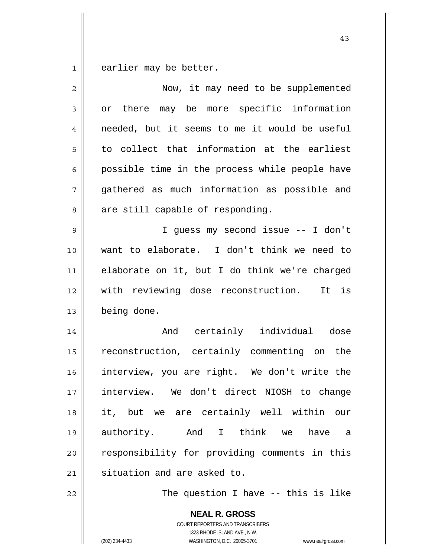1 earlier may be better.

| $\overline{2}$ | Now, it may need to be supplemented                                                                                                                             |
|----------------|-----------------------------------------------------------------------------------------------------------------------------------------------------------------|
| 3              | or there may be more specific information                                                                                                                       |
| $\overline{4}$ | needed, but it seems to me it would be useful                                                                                                                   |
| 5              | to collect that information at the earliest                                                                                                                     |
| 6              | possible time in the process while people have                                                                                                                  |
| 7              | gathered as much information as possible and                                                                                                                    |
| 8              | are still capable of responding.                                                                                                                                |
| $\mathsf 9$    | I guess my second issue -- I don't                                                                                                                              |
| 10             | want to elaborate. I don't think we need to                                                                                                                     |
| 11             | elaborate on it, but I do think we're charged                                                                                                                   |
| 12             | with reviewing dose reconstruction.<br>It is                                                                                                                    |
| 13             | being done.                                                                                                                                                     |
| 14             | And certainly individual dose                                                                                                                                   |
| 15             | reconstruction, certainly commenting on the                                                                                                                     |
| 16             | interview, you are right. We don't write the                                                                                                                    |
| 17             | interview. We don't direct NIOSH to change                                                                                                                      |
| 18             | it, but we are certainly well within our                                                                                                                        |
| 19             | authority.<br>And I think we<br>have<br>a                                                                                                                       |
| 20             | responsibility for providing comments in this                                                                                                                   |
| 21             | situation and are asked to.                                                                                                                                     |
| 22             | The question I have -- this is like                                                                                                                             |
|                | <b>NEAL R. GROSS</b><br>COURT REPORTERS AND TRANSCRIBERS<br>1323 RHODE ISLAND AVE., N.W.<br>(202) 234-4433<br>WASHINGTON, D.C. 20005-3701<br>www.nealrgross.com |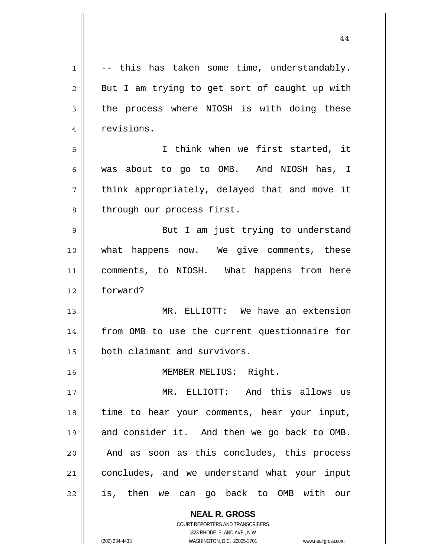| 1              | -- this has taken some time, understandably.  |
|----------------|-----------------------------------------------|
| $\overline{2}$ | But I am trying to get sort of caught up with |
| 3              | the process where NIOSH is with doing these   |
| 4              | revisions.                                    |
| 5              | I think when we first started, it             |
| 6              | was about to go to OMB. And NIOSH has, I      |
| 7              | think appropriately, delayed that and move it |
| 8              | through our process first.                    |
| 9              | But I am just trying to understand            |
| 10             | what happens now. We give comments, these     |
| 11             | comments, to NIOSH. What happens from here    |
| 12             | forward?                                      |
| 13             | MR. ELLIOTT: We have an extension             |
| 14             | from OMB to use the current questionnaire for |
| 15             | both claimant and survivors.                  |
| 16             | MEMBER MELIUS: Right.                         |
| 17             | MR. ELLIOTT: And this allows us               |
| 18             | time to hear your comments, hear your input,  |
| 19             | and consider it. And then we go back to OMB.  |
| 20             | And as soon as this concludes, this process   |
| 21             | concludes, and we understand what your input  |
| 22             | is, then we can go back to OMB with our       |
|                | <b>NEAL R. GROSS</b>                          |

COURT REPORTERS AND TRANSCRIBERS 1323 RHODE ISLAND AVE., N.W.

 $\mathop{\text{||}}$ 

(202) 234-4433 WASHINGTON, D.C. 20005-3701 www.nealrgross.com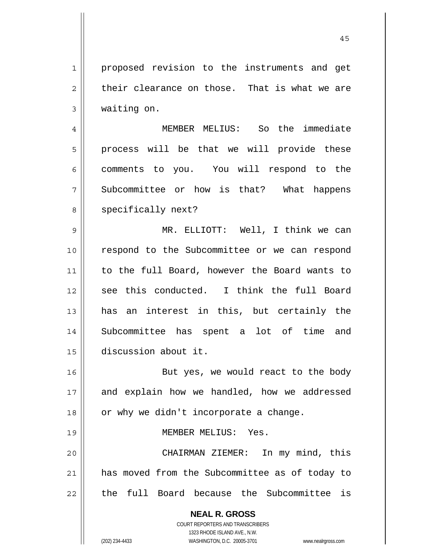45

**NEAL R. GROSS** COURT REPORTERS AND TRANSCRIBERS 1323 RHODE ISLAND AVE., N.W. (202) 234-4433 WASHINGTON, D.C. 20005-3701 www.nealrgross.com 3 4 5 6 7 8 9 10 11 12 13 14 15 16 17 18 19 20 21 22 waiting on. MEMBER MELIUS: So the immediate process will be that we will provide these comments to you. You will respond to the Subcommittee or how is that? What happens specifically next? MR. ELLIOTT: Well, I think we can respond to the Subcommittee or we can respond to the full Board, however the Board wants to see this conducted. I think the full Board has an interest in this, but certainly the Subcommittee has spent a lot of time and discussion about it. But yes, we would react to the body and explain how we handled, how we addressed or why we didn't incorporate a change. MEMBER MELIUS: Yes. CHAIRMAN ZIEMER: In my mind, this has moved from the Subcommittee as of today to the full Board because the Subcommittee is

proposed revision to the instruments and get

their clearance on those. That is what we are

1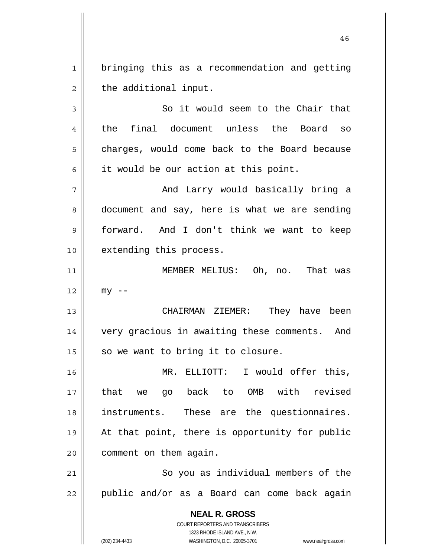1 2 bringing this as a recommendation and getting the additional input.

3 4 5 6 So it would seem to the Chair that the final document unless the Board so charges, would come back to the Board because it would be our action at this point.

7 8 9 10 And Larry would basically bring a document and say, here is what we are sending forward. And I don't think we want to keep extending this process.

11 12 MEMBER MELIUS: Oh, no. That was  $mv$   $-$ 

 CHAIRMAN ZIEMER: They have been very gracious in awaiting these comments. And so we want to bring it to closure.

16 17 18 19 20 MR. ELLIOTT: I would offer this, that we go back to OMB with revised instruments. These are the questionnaires. At that point, there is opportunity for public comment on them again.

21 22 So you as individual members of the public and/or as a Board can come back again

> **NEAL R. GROSS** COURT REPORTERS AND TRANSCRIBERS 1323 RHODE ISLAND AVE., N.W. (202) 234-4433 WASHINGTON, D.C. 20005-3701 www.nealrgross.com

13

14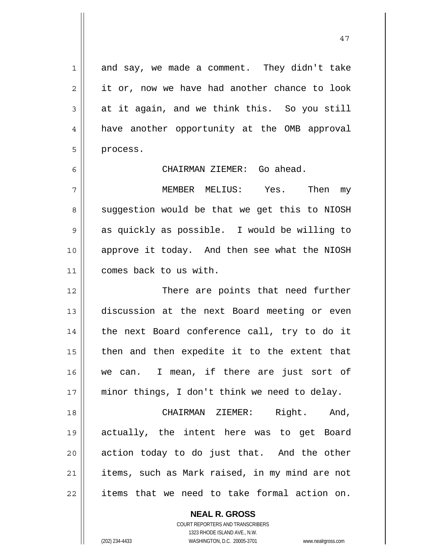1 2 3 4 5 6 7 8 9 10 11 12 13 14 15 16 17 18 19 20 21 22 and say, we made a comment. They didn't take it or, now we have had another chance to look at it again, and we think this. So you still have another opportunity at the OMB approval process. CHAIRMAN ZIEMER: Go ahead. MEMBER MELIUS: Yes. Then my suggestion would be that we get this to NIOSH as quickly as possible. I would be willing to approve it today. And then see what the NIOSH comes back to us with. There are points that need further discussion at the next Board meeting or even the next Board conference call, try to do it then and then expedite it to the extent that we can. I mean, if there are just sort of minor things, I don't think we need to delay. CHAIRMAN ZIEMER: Right. And, actually, the intent here was to get Board action today to do just that. And the other items, such as Mark raised, in my mind are not items that we need to take formal action on.

> **NEAL R. GROSS** COURT REPORTERS AND TRANSCRIBERS

> > 1323 RHODE ISLAND AVE., N.W.

(202) 234-4433 WASHINGTON, D.C. 20005-3701 www.nealrgross.com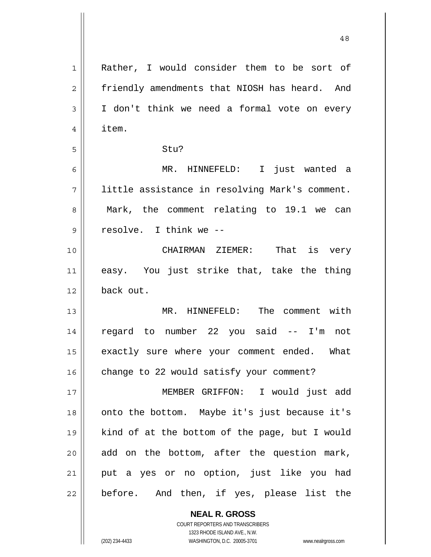| Rather, I would consider them to be sort of    |
|------------------------------------------------|
| friendly amendments that NIOSH has heard. And  |
| I don't think we need a formal vote on every   |
| item.                                          |
| Stu?                                           |
| MR. HINNEFELD: I just wanted a                 |
| little assistance in resolving Mark's comment. |
| Mark, the comment relating to 19.1 we can      |
| resolve. I think we --                         |
| CHAIRMAN ZIEMER: That is very                  |
| easy. You just strike that, take the thing     |
| back out.                                      |
| MR. HINNEFELD: The comment with                |
| regard to number 22 you said -- I'm not        |
| exactly sure where your comment ended. What    |
| change to 22 would satisfy your comment?       |
| MEMBER GRIFFON: I would just add               |
| onto the bottom. Maybe it's just because it's  |
| kind of at the bottom of the page, but I would |
| add on the bottom, after the question mark,    |
| put a yes or no option, just like you had      |
| before. And then, if yes, please list the      |
| <b>NEAL R. GROSS</b>                           |
|                                                |

48

 $\mathsf{II}$ 

1323 RHODE ISLAND AVE., N.W. (202) 234-4433 WASHINGTON, D.C. 20005-3701 www.nealrgross.com

COURT REPORTERS AND TRANSCRIBERS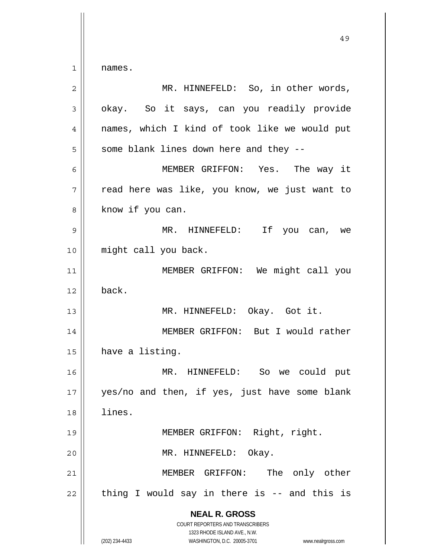1 names.

| $\overline{2}$ | MR. HINNEFELD: So, in other words,                                                                                                                              |
|----------------|-----------------------------------------------------------------------------------------------------------------------------------------------------------------|
| $\mathfrak{Z}$ | okay. So it says, can you readily provide                                                                                                                       |
| 4              | names, which I kind of took like we would put                                                                                                                   |
| 5              | some blank lines down here and they --                                                                                                                          |
| 6              | MEMBER GRIFFON: Yes. The way it                                                                                                                                 |
| 7              | read here was like, you know, we just want to                                                                                                                   |
| 8              | know if you can.                                                                                                                                                |
| 9              | MR. HINNEFELD: If you can, we                                                                                                                                   |
| 10             | might call you back.                                                                                                                                            |
| 11             | MEMBER GRIFFON: We might call you                                                                                                                               |
| 12             | back.                                                                                                                                                           |
| 13             | MR. HINNEFELD: Okay. Got it.                                                                                                                                    |
| 14             | MEMBER GRIFFON: But I would rather                                                                                                                              |
| 15             | have a listing.                                                                                                                                                 |
| 16             | MR. HINNEFELD: So we could put                                                                                                                                  |
| 17             | yes/no and then, if yes, just have some blank                                                                                                                   |
| 18             | lines.                                                                                                                                                          |
| 19             | MEMBER GRIFFON: Right, right.                                                                                                                                   |
| 20             | MR. HINNEFELD:<br>Okay.                                                                                                                                         |
| 21             | The only other<br>MEMBER GRIFFON:                                                                                                                               |
| 22             | thing I would say in there is -- and this is                                                                                                                    |
|                | <b>NEAL R. GROSS</b><br>COURT REPORTERS AND TRANSCRIBERS<br>1323 RHODE ISLAND AVE., N.W.<br>(202) 234-4433<br>WASHINGTON, D.C. 20005-3701<br>www.nealrgross.com |
|                |                                                                                                                                                                 |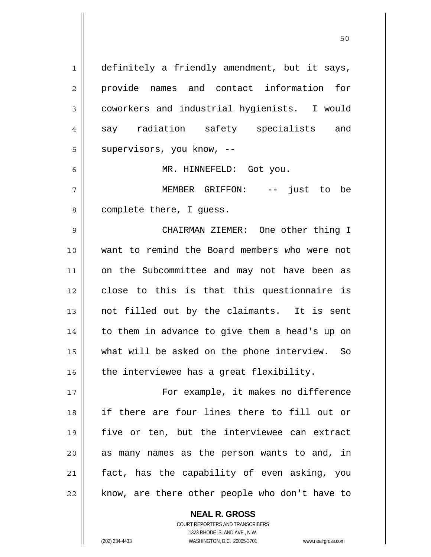1 2 3 4 5 6 7 8 9 10 11 12 13 14 15 16 17 18 19 20 21 22 definitely a friendly amendment, but it says, provide names and contact information for coworkers and industrial hygienists. I would say radiation safety specialists and supervisors, you know, -- MR. HINNEFELD: Got you. MEMBER GRIFFON: -- just to be complete there, I guess. CHAIRMAN ZIEMER: One other thing I want to remind the Board members who were not on the Subcommittee and may not have been as close to this is that this questionnaire is not filled out by the claimants. It is sent to them in advance to give them a head's up on what will be asked on the phone interview. So the interviewee has a great flexibility. For example, it makes no difference if there are four lines there to fill out or five or ten, but the interviewee can extract as many names as the person wants to and, in fact, has the capability of even asking, you know, are there other people who don't have to

50

COURT REPORTERS AND TRANSCRIBERS 1323 RHODE ISLAND AVE., N.W. (202) 234-4433 WASHINGTON, D.C. 20005-3701 www.nealrgross.com

**NEAL R. GROSS**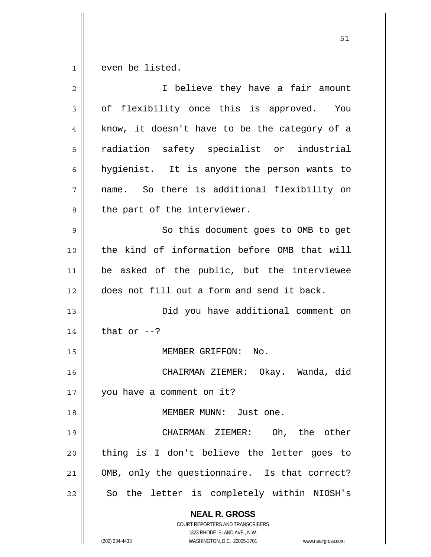1 even be listed.

| $\overline{2}$ | I believe they have a fair amount                                                        |
|----------------|------------------------------------------------------------------------------------------|
| 3              | of flexibility once this is approved. You                                                |
| 4              | know, it doesn't have to be the category of a                                            |
| 5              | radiation safety specialist or industrial                                                |
| 6              | hygienist. It is anyone the person wants to                                              |
| 7              | name. So there is additional flexibility on                                              |
| 8              | the part of the interviewer.                                                             |
| 9              | So this document goes to OMB to get                                                      |
| 10             | the kind of information before OMB that will                                             |
| 11             | be asked of the public, but the interviewee                                              |
| 12             | does not fill out a form and send it back.                                               |
| 13             | Did you have additional comment on                                                       |
| 14             | that or $--?$                                                                            |
| 15             | MEMBER GRIFFON:<br>No.                                                                   |
| 16             | CHAIRMAN ZIEMER: Okay. Wanda, did                                                        |
| 17             | you have a comment on it?                                                                |
| 18             | MEMBER MUNN: Just one.                                                                   |
| 19             | CHAIRMAN ZIEMER: Oh, the other                                                           |
| 20             | thing is I don't believe the letter goes to                                              |
| 21             | OMB, only the questionnaire. Is that correct?                                            |
| 22             | So the letter is completely within NIOSH's                                               |
|                | <b>NEAL R. GROSS</b><br>COURT REPORTERS AND TRANSCRIBERS<br>1323 RHODE ISLAND AVE., N.W. |
|                | (202) 234-4433<br>WASHINGTON, D.C. 20005-3701<br>www.nealrgross.com                      |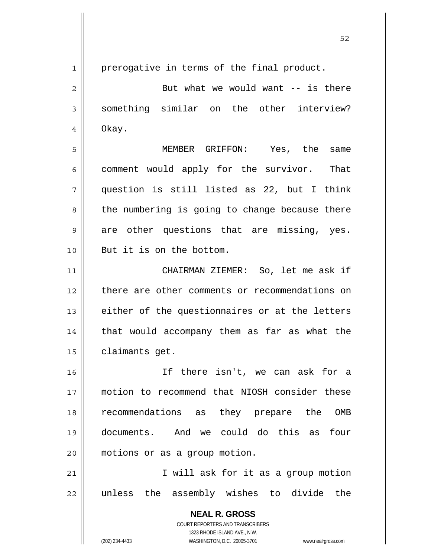1

2

3

4

5

6

8

9

10

prerogative in terms of the final product.

But what we would want  $--$  is there something similar on the other interview? Okay.

7 MEMBER GRIFFON: Yes, the same comment would apply for the survivor. That question is still listed as 22, but I think the numbering is going to change because there are other questions that are missing, yes. But it is on the bottom.

11 12 13 14 15 CHAIRMAN ZIEMER: So, let me ask if there are other comments or recommendations on either of the questionnaires or at the letters that would accompany them as far as what the claimants get.

16 17 18 19 20 If there isn't, we can ask for a motion to recommend that NIOSH consider these recommendations as they prepare the OMB documents. And we could do this as four motions or as a group motion.

21 22 I will ask for it as a group motion unless the assembly wishes to divide the

> **NEAL R. GROSS** COURT REPORTERS AND TRANSCRIBERS 1323 RHODE ISLAND AVE., N.W.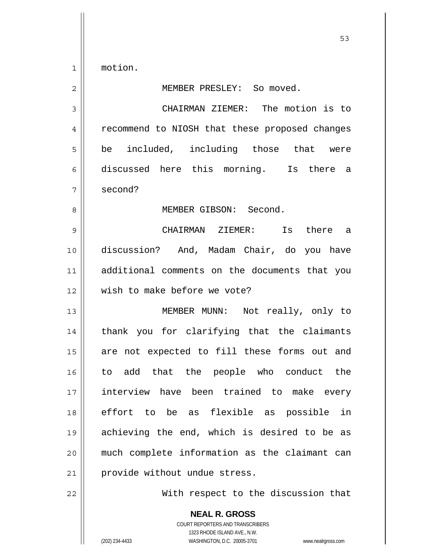motion.

1

2

8

## MEMBER PRESLEY: So moved.

3 4 5 6 7 CHAIRMAN ZIEMER: The motion is to recommend to NIOSH that these proposed changes be included, including those that were discussed here this morning. Is there a second?

MEMBER GIBSON: Second.

9 10 11 12 CHAIRMAN ZIEMER: Is there a discussion? And, Madam Chair, do you have additional comments on the documents that you wish to make before we vote?

13 14 15 16 17 18 19 20 21 MEMBER MUNN: Not really, only to thank you for clarifying that the claimants are not expected to fill these forms out and to add that the people who conduct the interview have been trained to make every effort to be as flexible as possible in achieving the end, which is desired to be as much complete information as the claimant can provide without undue stress.

22

With respect to the discussion that

**NEAL R. GROSS** COURT REPORTERS AND TRANSCRIBERS 1323 RHODE ISLAND AVE., N.W. (202) 234-4433 WASHINGTON, D.C. 20005-3701 www.nealrgross.com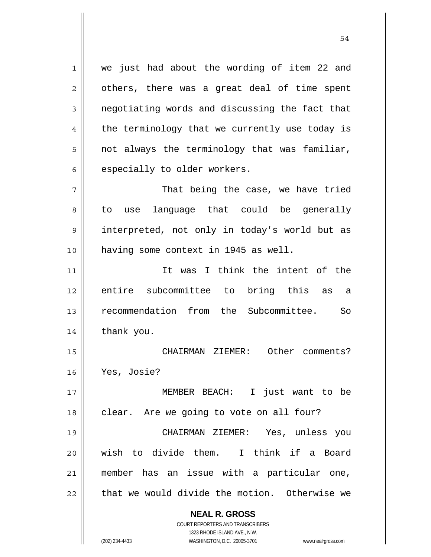1 2 3 4 5 6 we just had about the wording of item 22 and others, there was a great deal of time spent negotiating words and discussing the fact that the terminology that we currently use today is not always the terminology that was familiar, especially to older workers.

54

7 8 9 10 That being the case, we have tried to use language that could be generally interpreted, not only in today's world but as having some context in 1945 as well.

11 12 13 14 It was I think the intent of the entire subcommittee to bring this as a recommendation from the Subcommittee. So thank you.

15 16 CHAIRMAN ZIEMER: Other comments? Yes, Josie?

17 18 19 20 21 22 MEMBER BEACH: I just want to be clear. Are we going to vote on all four? CHAIRMAN ZIEMER: Yes, unless you wish to divide them. I think if a Board member has an issue with a particular one, that we would divide the motion. Otherwise we

**NEAL R. GROSS**

COURT REPORTERS AND TRANSCRIBERS 1323 RHODE ISLAND AVE., N.W. (202) 234-4433 WASHINGTON, D.C. 20005-3701 www.nealrgross.com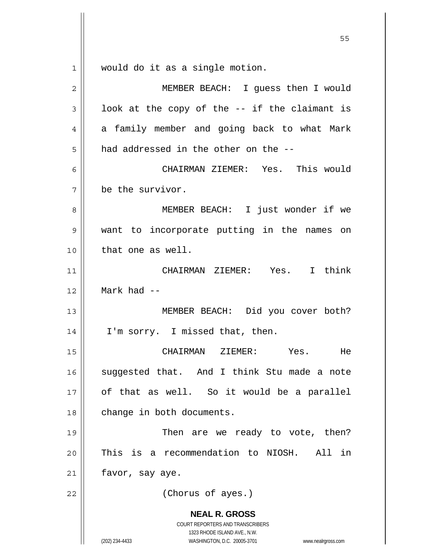**NEAL R. GROSS** COURT REPORTERS AND TRANSCRIBERS 1323 RHODE ISLAND AVE., N.W. (202) 234-4433 WASHINGTON, D.C. 20005-3701 www.nealrgross.com  $55$ 1 2 3 4 5 6 7 8 9 10 11 12 13 14 15 16 17 18 19 20 21 22 would do it as a single motion. MEMBER BEACH: I guess then I would look at the copy of the -- if the claimant is a family member and going back to what Mark had addressed in the other on the -- CHAIRMAN ZIEMER: Yes. This would be the survivor. MEMBER BEACH: I just wonder if we want to incorporate putting in the names on that one as well. CHAIRMAN ZIEMER: Yes. I think Mark had -- MEMBER BEACH: Did you cover both? I'm sorry. I missed that, then. CHAIRMAN ZIEMER: Yes. He suggested that. And I think Stu made a note of that as well. So it would be a parallel change in both documents. Then are we ready to vote, then? This is a recommendation to NIOSH. All in favor, say aye. (Chorus of ayes.)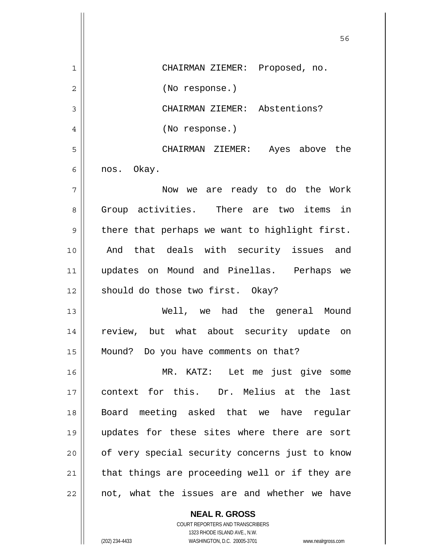|    | 56                                             |
|----|------------------------------------------------|
| 1  | CHAIRMAN ZIEMER: Proposed, no.                 |
| 2  | (No response.)                                 |
| 3  | CHAIRMAN ZIEMER: Abstentions?                  |
| 4  | (No response.)                                 |
| 5  | CHAIRMAN ZIEMER: Ayes above the                |
| 6  | nos. Okay.                                     |
| 7  | Now we are ready to do the Work                |
| 8  | Group activities. There are two items in       |
| 9  | there that perhaps we want to highlight first. |
| 10 | And that deals with security issues and        |
| 11 | updates on Mound and Pinellas. Perhaps we      |
| 12 | should do those two first. Okay?               |
| 13 | Well, we had the general Mound                 |
| 14 | review, but what about security update on      |
| 15 | Mound? Do you have comments on that?           |
| 16 | MR. KATZ: Let me just give some                |
| 17 | context for this. Dr. Melius at the last       |
| 18 | Board meeting asked that we have regular       |
| 19 | updates for these sites where there are sort   |
| 20 | of very special security concerns just to know |
| 21 | that things are proceeding well or if they are |
| 22 | not, what the issues are and whether we have   |

**NEAL R. GROSS** COURT REPORTERS AND TRANSCRIBERS 1323 RHODE ISLAND AVE., N.W.

 $\mathbf{I}$ 

 $\mathsf{I}$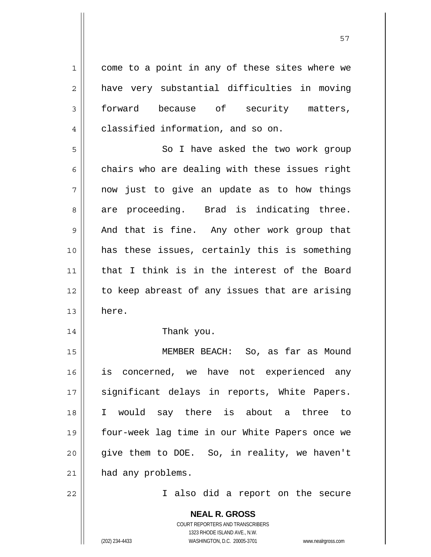1 2 3 4 5 6 7 8 9 10 11 12 13 14 15 16 17 18 19 20 21 22 come to a point in any of these sites where we have very substantial difficulties in moving forward because of security matters, classified information, and so on. So I have asked the two work group chairs who are dealing with these issues right now just to give an update as to how things are proceeding. Brad is indicating three. And that is fine. Any other work group that has these issues, certainly this is something that I think is in the interest of the Board to keep abreast of any issues that are arising here. Thank you. MEMBER BEACH: So, as far as Mound is concerned, we have not experienced any significant delays in reports, White Papers. I would say there is about a three to four-week lag time in our White Papers once we give them to DOE. So, in reality, we haven't had any problems. I also did a report on the secure

57

**NEAL R. GROSS** COURT REPORTERS AND TRANSCRIBERS 1323 RHODE ISLAND AVE., N.W.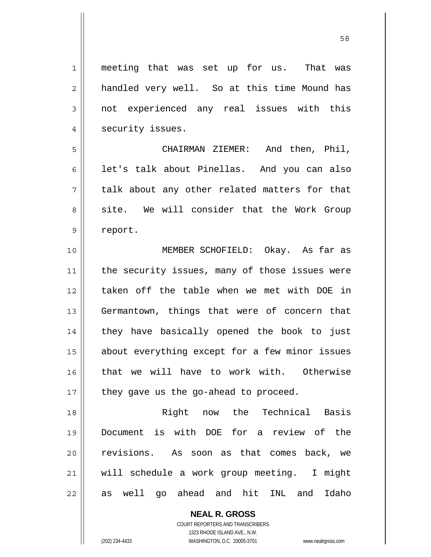1 2 3 4 5 6 7 8 9 10 11 12 13 14 15 16 17 18 19 20 21 22 meeting that was set up for us. That was handled very well. So at this time Mound has not experienced any real issues with this security issues. CHAIRMAN ZIEMER: And then, Phil, let's talk about Pinellas. And you can also talk about any other related matters for that site. We will consider that the Work Group report. MEMBER SCHOFIELD: Okay. As far as the security issues, many of those issues were taken off the table when we met with DOE in Germantown, things that were of concern that they have basically opened the book to just about everything except for a few minor issues that we will have to work with. Otherwise they gave us the go-ahead to proceed. Right now the Technical Basis Document is with DOE for a review of the revisions. As soon as that comes back, we will schedule a work group meeting. I might as well go ahead and hit INL and Idaho

> **NEAL R. GROSS** COURT REPORTERS AND TRANSCRIBERS

> > 1323 RHODE ISLAND AVE., N.W.

(202) 234-4433 WASHINGTON, D.C. 20005-3701 www.nealrgross.com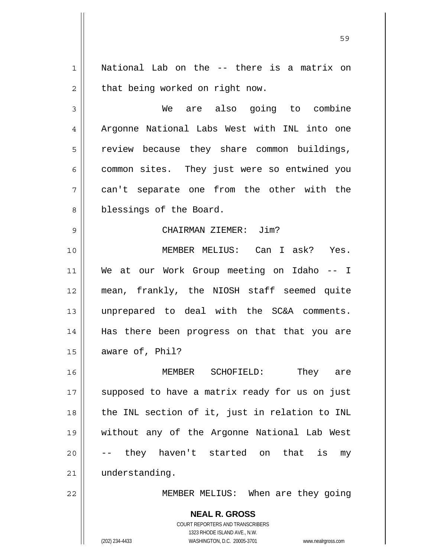1 2 National Lab on the -- there is a matrix on that being worked on right now.

3 4 5 6 7 8 We are also going to combine Argonne National Labs West with INL into one review because they share common buildings, common sites. They just were so entwined you can't separate one from the other with the blessings of the Board.

## CHAIRMAN ZIEMER: Jim?

10 11 12 13 14 15 MEMBER MELIUS: Can I ask? Yes. We at our Work Group meeting on Idaho -- I mean, frankly, the NIOSH staff seemed quite unprepared to deal with the SC&A comments. Has there been progress on that that you are aware of, Phil?

16 17 18 19 20 21 MEMBER SCHOFIELD: They are supposed to have a matrix ready for us on just the INL section of it, just in relation to INL without any of the Argonne National Lab West they haven't started on that is my understanding.

MEMBER MELIUS: When are they going

**NEAL R. GROSS** COURT REPORTERS AND TRANSCRIBERS 1323 RHODE ISLAND AVE., N.W. (202) 234-4433 WASHINGTON, D.C. 20005-3701 www.nealrgross.com

9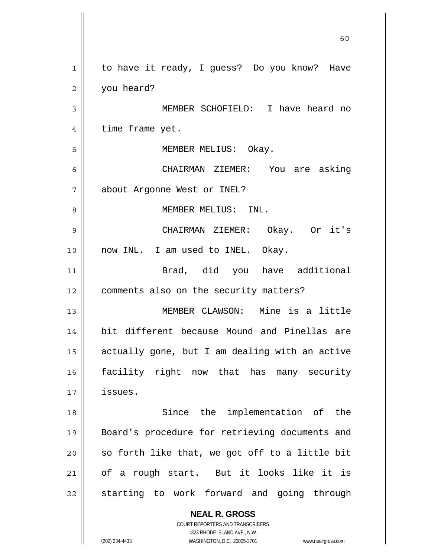**NEAL R. GROSS** COURT REPORTERS AND TRANSCRIBERS 1323 RHODE ISLAND AVE., N.W.  $\sim$  60 1 2 3 4 5 6 7 8 9 10 11 12 13 14 15 16 17 18 19 20 21 22 to have it ready, I guess? Do you know? Have you heard? MEMBER SCHOFIELD: I have heard no time frame yet. MEMBER MELIUS: Okay. CHAIRMAN ZIEMER: You are asking about Argonne West or INEL? MEMBER MELIUS: INL. CHAIRMAN ZIEMER: Okay. Or it's now INL. I am used to INEL. Okay. Brad, did you have additional comments also on the security matters? MEMBER CLAWSON: Mine is a little bit different because Mound and Pinellas are actually gone, but I am dealing with an active facility right now that has many security issues. Since the implementation of the Board's procedure for retrieving documents and so forth like that, we got off to a little bit of a rough start. But it looks like it is starting to work forward and going through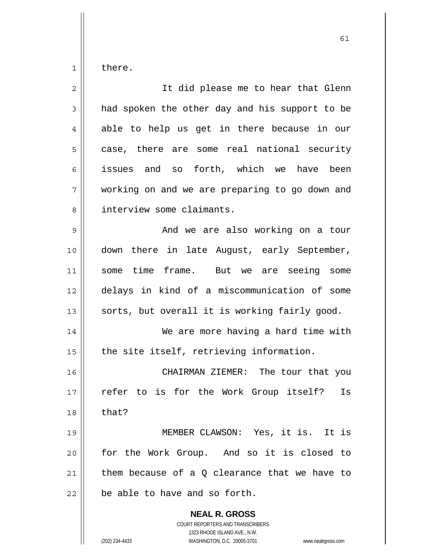1 there.

| $\overline{2}$ | It did please me to hear that Glenn                                                                                                                                    |
|----------------|------------------------------------------------------------------------------------------------------------------------------------------------------------------------|
| 3              | had spoken the other day and his support to be                                                                                                                         |
| 4              | able to help us get in there because in our                                                                                                                            |
| 5              | case, there are some real national security                                                                                                                            |
| 6              | issues and so forth, which we have been                                                                                                                                |
| 7              | working on and we are preparing to go down and                                                                                                                         |
| 8              | interview some claimants.                                                                                                                                              |
| 9              | And we are also working on a tour                                                                                                                                      |
| 10             | down there in late August, early September,                                                                                                                            |
| 11             | some time frame. But we are seeing some                                                                                                                                |
| 12             | delays in kind of a miscommunication of some                                                                                                                           |
| 13             | sorts, but overall it is working fairly good.                                                                                                                          |
| 14             | We are more having a hard time with                                                                                                                                    |
| 15             | the site itself, retrieving information.                                                                                                                               |
| 16             | CHAIRMAN ZIEMER: The tour that you                                                                                                                                     |
| 17             | refer to is for the Work Group itself?<br>Is                                                                                                                           |
| 18             | that?                                                                                                                                                                  |
| 19             | MEMBER CLAWSON: Yes, it is. It is                                                                                                                                      |
| 20             | for the Work Group. And so it is closed to                                                                                                                             |
| 21             | them because of a $Q$ clearance that we have to                                                                                                                        |
| 22             | be able to have and so forth.                                                                                                                                          |
|                | <b>NEAL R. GROSS</b><br><b>COURT REPORTERS AND TRANSCRIBERS</b><br>1323 RHODE ISLAND AVE., N.W.<br>(202) 234-4433<br>WASHINGTON, D.C. 20005-3701<br>www.nealrgross.com |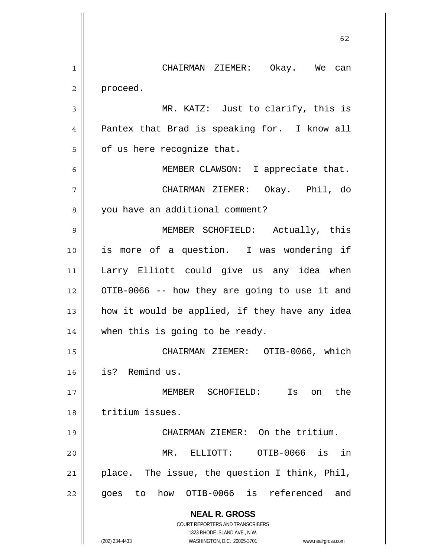|    | 62                                                                  |
|----|---------------------------------------------------------------------|
| 1  | CHAIRMAN ZIEMER: Okay. We can                                       |
| 2  | proceed.                                                            |
| 3  | MR. KATZ: Just to clarify, this is                                  |
| 4  | Pantex that Brad is speaking for. I know all                        |
| 5  | of us here recognize that.                                          |
| 6  | MEMBER CLAWSON: I appreciate that.                                  |
| 7  | CHAIRMAN ZIEMER: Okay. Phil, do                                     |
| 8  | you have an additional comment?                                     |
| 9  | MEMBER SCHOFIELD: Actually, this                                    |
| 10 | is more of a question. I was wondering if                           |
| 11 | Larry Elliott could give us any idea when                           |
| 12 | OTIB-0066 -- how they are going to use it and                       |
| 13 | how it would be applied, if they have any idea                      |
| 14 | when this is going to be ready.                                     |
| 15 | CHAIRMAN ZIEMER: OTIB-0066, which                                   |
| 16 | is? Remind us.                                                      |
| 17 | MEMBER SCHOFIELD: Is<br>the<br>on                                   |
| 18 | tritium issues.                                                     |
| 19 | CHAIRMAN ZIEMER: On the tritium.                                    |
| 20 | MR. ELLIOTT: OTIB-0066 is<br>in                                     |
| 21 | place. The issue, the question I think, Phil,                       |
| 22 | goes to how OTIB-0066 is referenced and                             |
|    | <b>NEAL R. GROSS</b>                                                |
|    | COURT REPORTERS AND TRANSCRIBERS<br>1323 RHODE ISLAND AVE., N.W.    |
|    | (202) 234-4433<br>WASHINGTON, D.C. 20005-3701<br>www.nealrgross.com |

 $\overline{\phantom{a}}$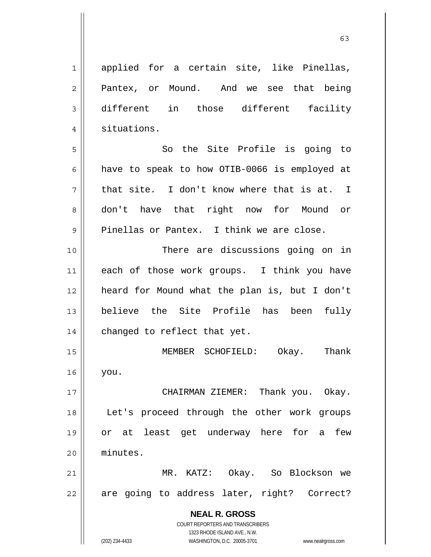**NEAL R. GROSS** COURT REPORTERS AND TRANSCRIBERS 1323 RHODE ISLAND AVE., N.W. 1 2 3 4 5 6 7 8 9 10 11 12 13 14 15 16 17 18 19 20 21 22 applied for a certain site, like Pinellas, Pantex, or Mound. And we see that being different in those different facility situations. So the Site Profile is going to have to speak to how OTIB-0066 is employed at that site. I don't know where that is at. I don't have that right now for Mound or Pinellas or Pantex. I think we are close. There are discussions going on in each of those work groups. I think you have heard for Mound what the plan is, but I don't believe the Site Profile has been fully changed to reflect that yet. MEMBER SCHOFIELD: Okay. Thank you. CHAIRMAN ZIEMER: Thank you. Okay. Let's proceed through the other work groups or at least get underway here for a few minutes. MR. KATZ: Okay. So Blockson we are going to address later, right? Correct?

(202) 234-4433 WASHINGTON, D.C. 20005-3701 www.nealrgross.com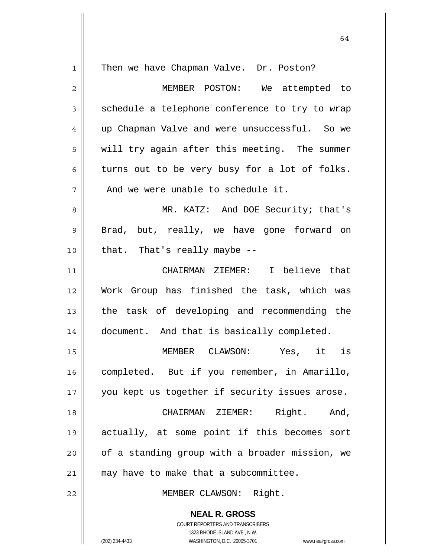| $\mathbf 1$ | Then we have Chapman Valve. Dr. Poston?                             |
|-------------|---------------------------------------------------------------------|
| $\mathbf 2$ | MEMBER POSTON: We attempted to                                      |
| 3           | schedule a telephone conference to try to wrap                      |
| 4           | up Chapman Valve and were unsuccessful. So we                       |
| 5           | will try again after this meeting. The summer                       |
| 6           | turns out to be very busy for a lot of folks.                       |
| 7           | And we were unable to schedule it.                                  |
| 8           | MR. KATZ: And DOE Security; that's                                  |
| 9           | Brad, but, really, we have gone forward on                          |
| 10          | that. That's really maybe --                                        |
| 11          | CHAIRMAN ZIEMER: I believe that                                     |
| 12          | Work Group has finished the task, which was                         |
| 13          | the task of developing and recommending the                         |
| 14          | document. And that is basically completed.                          |
| 15          | Yes, it is<br>MEMBER CLAWSON:                                       |
| 16          | completed. But if you remember, in Amarillo,                        |
| 17          | you kept us together if security issues arose.                      |
| 18          | CHAIRMAN ZIEMER:<br>Right. And,                                     |
| 19          | actually, at some point if this becomes sort                        |
| 20          | of a standing group with a broader mission, we                      |
| 21          | may have to make that a subcommittee.                               |
| 22          | MEMBER CLAWSON: Right.                                              |
|             | <b>NEAL R. GROSS</b><br>COURT REPORTERS AND TRANSCRIBERS            |
|             | 1323 RHODE ISLAND AVE., N.W.                                        |
|             | (202) 234-4433<br>WASHINGTON, D.C. 20005-3701<br>www.nealrgross.com |

64

 $\mathbf{I}$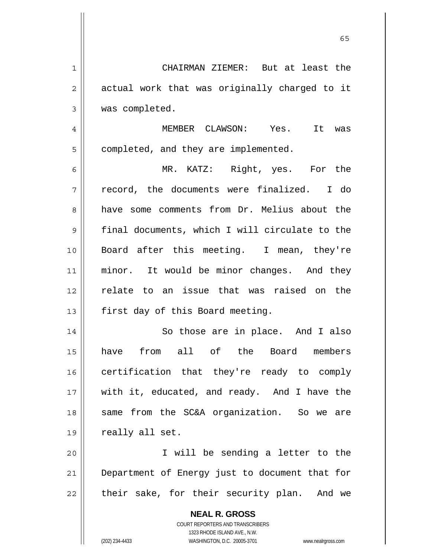| $\mathbf 1$    | CHAIRMAN ZIEMER: But at least the                                   |
|----------------|---------------------------------------------------------------------|
| $\overline{2}$ | actual work that was originally charged to it                       |
| 3              | was completed.                                                      |
| 4              | MEMBER CLAWSON: Yes. It was                                         |
| 5              | completed, and they are implemented.                                |
| 6              | MR. KATZ: Right, yes. For the                                       |
| 7              | record, the documents were finalized. I do                          |
| 8              | have some comments from Dr. Melius about the                        |
| 9              | final documents, which I will circulate to the                      |
| 10             | Board after this meeting. I mean, they're                           |
| 11             | minor. It would be minor changes. And they                          |
| 12             | relate to an issue that was raised on the                           |
| 13             | first day of this Board meeting.                                    |
| 14             | So those are in place. And I also                                   |
| 15             | from all of the Board members<br>have                               |
| 16             | certification that they're ready to comply                          |
| 17             | with it, educated, and ready. And I have the                        |
| 18             | same from the SC&A organization. So we are                          |
| 19             | really all set.                                                     |
| 20             | I will be sending a letter to the                                   |
| 21             | Department of Energy just to document that for                      |
| 22             | their sake, for their security plan. And we                         |
|                |                                                                     |
|                | <b>NEAL R. GROSS</b><br><b>COURT REPORTERS AND TRANSCRIBERS</b>     |
|                | 1323 RHODE ISLAND AVE., N.W.                                        |
|                | (202) 234-4433<br>WASHINGTON, D.C. 20005-3701<br>www.nealrgross.com |

 $\sim$  65

 $\mathsf{I}$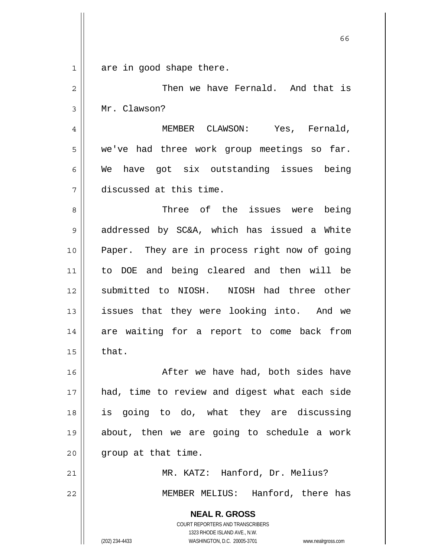| $\mathbf 1$ | are in good shape there.                                            |
|-------------|---------------------------------------------------------------------|
| 2           | Then we have Fernald. And that is                                   |
| 3           | Mr. Clawson?                                                        |
| 4           | MEMBER CLAWSON: Yes, Fernald,                                       |
| 5           | we've had three work group meetings so far.                         |
| 6           | We have got six outstanding issues being                            |
| 7           | discussed at this time.                                             |
| 8           | Three of the issues were being                                      |
| 9           | addressed by SC&A, which has issued a White                         |
| 10          | Paper. They are in process right now of going                       |
| 11          | to DOE and being cleared and then will be                           |
| 12          | submitted to NIOSH. NIOSH had three other                           |
| 13          | issues that they were looking into. And we                          |
| 14          | are waiting for a report to come back from                          |
| 15          | that.                                                               |
| 16          | After we have had, both sides have                                  |
| 17          | had, time to review and digest what each side                       |
| 18          | is going to do, what they are discussing                            |
| 19          | about, then we are going to schedule a work                         |
| 20          | group at that time.                                                 |
| 21          | MR. KATZ: Hanford, Dr. Melius?                                      |
| 22          | MEMBER MELIUS: Hanford, there has                                   |
|             | <b>NEAL R. GROSS</b>                                                |
|             | COURT REPORTERS AND TRANSCRIBERS                                    |
|             | 1323 RHODE ISLAND AVE., N.W.                                        |
|             | (202) 234-4433<br>WASHINGTON, D.C. 20005-3701<br>www.nealrgross.com |

 $\sim$  66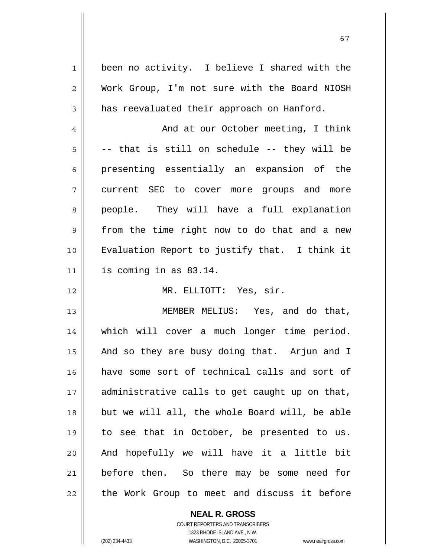1 2 3 4 5 6 7 8 9 10 11 12 13 14 15 16 17 18 19 20 21 22 been no activity. I believe I shared with the Work Group, I'm not sure with the Board NIOSH has reevaluated their approach on Hanford. And at our October meeting, I think -- that is still on schedule -- they will be presenting essentially an expansion of the current SEC to cover more groups and more people. They will have a full explanation from the time right now to do that and a new Evaluation Report to justify that. I think it is coming in as 83.14. MR. ELLIOTT: Yes, sir. MEMBER MELIUS: Yes, and do that, which will cover a much longer time period. And so they are busy doing that. Arjun and I have some sort of technical calls and sort of administrative calls to get caught up on that, but we will all, the whole Board will, be able to see that in October, be presented to us. And hopefully we will have it a little bit before then. So there may be some need for the Work Group to meet and discuss it before

67

**NEAL R. GROSS** COURT REPORTERS AND TRANSCRIBERS 1323 RHODE ISLAND AVE., N.W.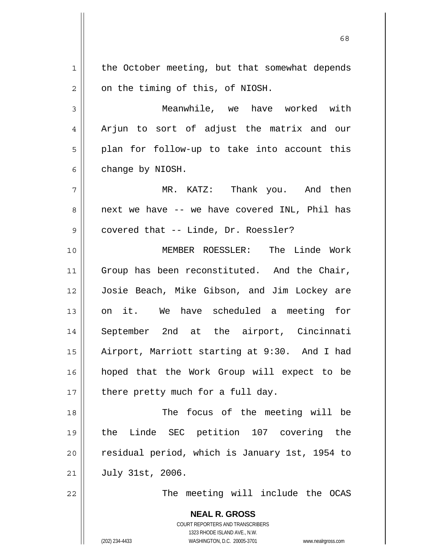1 2 3 4 5 6 7 8 9 10 11 12 13 14 15 16 17 18 19 20 21 22 the October meeting, but that somewhat depends on the timing of this, of NIOSH. Meanwhile, we have worked with Arjun to sort of adjust the matrix and our plan for follow-up to take into account this change by NIOSH. MR. KATZ: Thank you. And then next we have -- we have covered INL, Phil has covered that -- Linde, Dr. Roessler? MEMBER ROESSLER: The Linde Work Group has been reconstituted. And the Chair, Josie Beach, Mike Gibson, and Jim Lockey are on it. We have scheduled a meeting for September 2nd at the airport, Cincinnati Airport, Marriott starting at 9:30. And I had hoped that the Work Group will expect to be there pretty much for a full day. The focus of the meeting will be the Linde SEC petition 107 covering the residual period, which is January 1st, 1954 to July 31st, 2006. The meeting will include the OCAS

 $\sim$  68

**NEAL R. GROSS** COURT REPORTERS AND TRANSCRIBERS 1323 RHODE ISLAND AVE., N.W.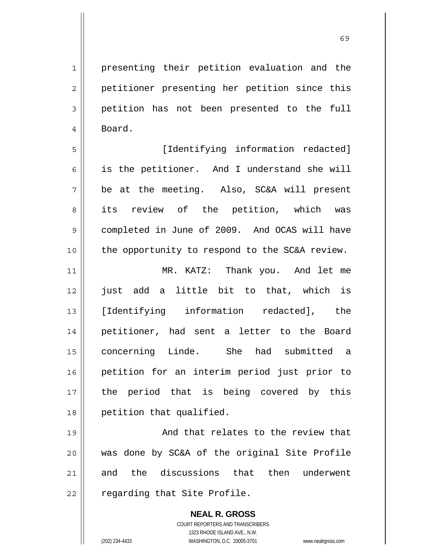presenting their petition evaluation and the petitioner presenting her petition since this petition has not been presented to the full Board.

5 6 7 8 9 10 [Identifying information redacted] is the petitioner. And I understand she will be at the meeting. Also, SC&A will present its review of the petition, which was completed in June of 2009. And OCAS will have the opportunity to respond to the SC&A review.

11 12 13 14 15 16 17 18 MR. KATZ: Thank you. And let me just add a little bit to that, which is [Identifying information redacted], the petitioner, had sent a letter to the Board concerning Linde. She had submitted a petition for an interim period just prior to the period that is being covered by this petition that qualified.

19 20 21 22 And that relates to the review that was done by SC&A of the original Site Profile and the discussions that then underwent regarding that Site Profile.

> **NEAL R. GROSS** COURT REPORTERS AND TRANSCRIBERS 1323 RHODE ISLAND AVE., N.W. (202) 234-4433 WASHINGTON, D.C. 20005-3701 www.nealrgross.com

1

2

3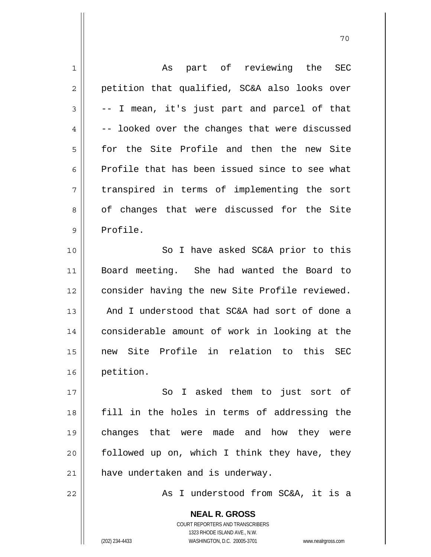| 1              | part of reviewing the<br>As<br>SEC                                  |
|----------------|---------------------------------------------------------------------|
| $\overline{c}$ | petition that qualified, SC&A also looks over                       |
| 3              | -- I mean, it's just part and parcel of that                        |
| $\overline{4}$ | -- looked over the changes that were discussed                      |
| 5              | for the Site Profile and then the new Site                          |
| 6              | Profile that has been issued since to see what                      |
| 7              | transpired in terms of implementing the sort                        |
| 8              | of changes that were discussed for the Site                         |
| 9              | Profile.                                                            |
| 10             | So I have asked SC&A prior to this                                  |
| 11             | Board meeting. She had wanted the Board to                          |
| 12             | consider having the new Site Profile reviewed.                      |
| 13             | And I understood that SC&A had sort of done a                       |
| 14             | considerable amount of work in looking at the                       |
| 15             | new Site Profile in relation to this SEC                            |
| 16             | petition.                                                           |
| 17             | So I asked them to just sort of                                     |
| 18             | fill in the holes in terms of addressing the                        |
| 19             | changes that were made and how they were                            |
| 20             | followed up on, which I think they have, they                       |
| 21             | have undertaken and is underway.                                    |
| 22             | As I understood from SC&A, it is a                                  |
|                |                                                                     |
|                | <b>NEAL R. GROSS</b>                                                |
|                | <b>COURT REPORTERS AND TRANSCRIBERS</b>                             |
|                | 1323 RHODE ISLAND AVE., N.W.                                        |
|                | WASHINGTON, D.C. 20005-3701<br>(202) 234-4433<br>www.nealrgross.com |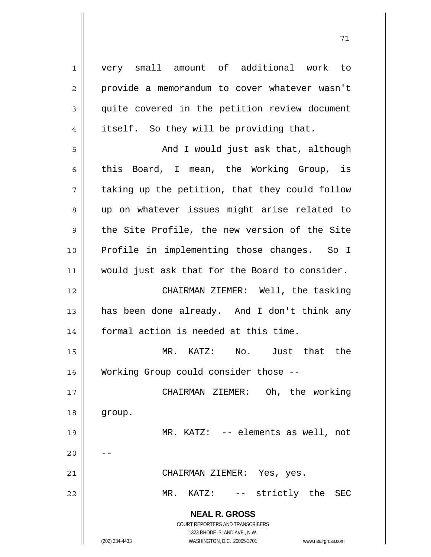**NEAL R. GROSS** COURT REPORTERS AND TRANSCRIBERS 1323 RHODE ISLAND AVE., N.W. (202) 234-4433 WASHINGTON, D.C. 20005-3701 www.nealrgross.com 1 2 3 4 5 6 7 8 9 10 11 12 13 14 15 16 17 18 19 20 21 22 very small amount of additional work to provide a memorandum to cover whatever wasn't quite covered in the petition review document itself. So they will be providing that. And I would just ask that, although this Board, I mean, the Working Group, is taking up the petition, that they could follow up on whatever issues might arise related to the Site Profile, the new version of the Site Profile in implementing those changes. So I would just ask that for the Board to consider. CHAIRMAN ZIEMER: Well, the tasking has been done already. And I don't think any formal action is needed at this time. MR. KATZ: No. Just that the Working Group could consider those -- CHAIRMAN ZIEMER: Oh, the working group. MR. KATZ: -- elements as well, not -- CHAIRMAN ZIEMER: Yes, yes. MR. KATZ: -- strictly the SEC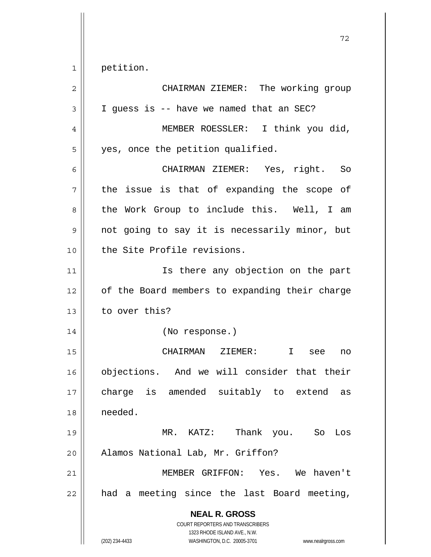1 petition.

| $\overline{2}$ | CHAIRMAN ZIEMER: The working group                                                                                                                              |
|----------------|-----------------------------------------------------------------------------------------------------------------------------------------------------------------|
| 3              | I guess is -- have we named that an SEC?                                                                                                                        |
| 4              | MEMBER ROESSLER: I think you did,                                                                                                                               |
| 5              | yes, once the petition qualified.                                                                                                                               |
| 6              | CHAIRMAN ZIEMER: Yes, right. So                                                                                                                                 |
| 7              | the issue is that of expanding the scope of                                                                                                                     |
| 8              | the Work Group to include this. Well, I am                                                                                                                      |
| 9              | not going to say it is necessarily minor, but                                                                                                                   |
| 10             | the Site Profile revisions.                                                                                                                                     |
| 11             | Is there any objection on the part                                                                                                                              |
| 12             | of the Board members to expanding their charge                                                                                                                  |
| 13             | to over this?                                                                                                                                                   |
| 14             | (No response.)                                                                                                                                                  |
| 15             | CHAIRMAN ZIEMER:<br>$\mathbf{I}$<br>see<br>no                                                                                                                   |
| 16             | objections. And we will consider that their                                                                                                                     |
| 17             | charge is amended suitably to extend<br>as                                                                                                                      |
| 18             | needed.                                                                                                                                                         |
| 19             | Thank<br>$MR.$ KATZ:<br>you. So Los                                                                                                                             |
| 20             | Alamos National Lab, Mr. Griffon?                                                                                                                               |
| 21             | MEMBER GRIFFON: Yes. We haven't                                                                                                                                 |
| 22             | had a meeting since the last Board meeting,                                                                                                                     |
|                | <b>NEAL R. GROSS</b><br>COURT REPORTERS AND TRANSCRIBERS<br>1323 RHODE ISLAND AVE., N.W.<br>WASHINGTON, D.C. 20005-3701<br>(202) 234-4433<br>www.nealrgross.com |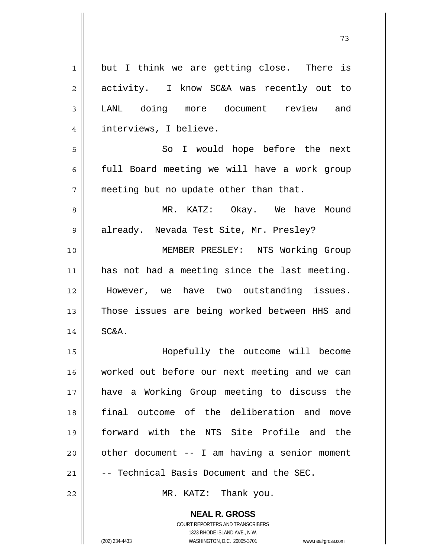| 1              | but I think we are getting close. There is    |
|----------------|-----------------------------------------------|
| $\sqrt{2}$     | activity. I know SC&A was recently out to     |
| 3              | LANL doing more document review and           |
| $\overline{4}$ | interviews, I believe.                        |
| 5              | So I would hope before the next               |
| 6              | full Board meeting we will have a work group  |
| 7              | meeting but no update other than that.        |
| 8              | MR. KATZ: Okay. We have Mound                 |
| $\mathsf 9$    | already. Nevada Test Site, Mr. Presley?       |
| 10             | MEMBER PRESLEY: NTS Working Group             |
| 11             | has not had a meeting since the last meeting. |
| 12             | However, we have two outstanding issues.      |
| 13             | Those issues are being worked between HHS and |
| 14             | SC&A.                                         |
| 15             | Hopefully the outcome will become             |
| 16             | worked out before our next meeting and we can |
| 17             | have a Working Group meeting to discuss the   |
| 18             | final outcome of the deliberation and move    |
| 19             | forward with the NTS Site Profile and the     |
| 20             | other document -- I am having a senior moment |
| 21             | -- Technical Basis Document and the SEC.      |
| 22             | MR. KATZ: Thank you.                          |
|                | <b>NEAL R. GROSS</b>                          |

73

COURT REPORTERS AND TRANSCRIBERS 1323 RHODE ISLAND AVE., N.W.

 $\mathsf{II}$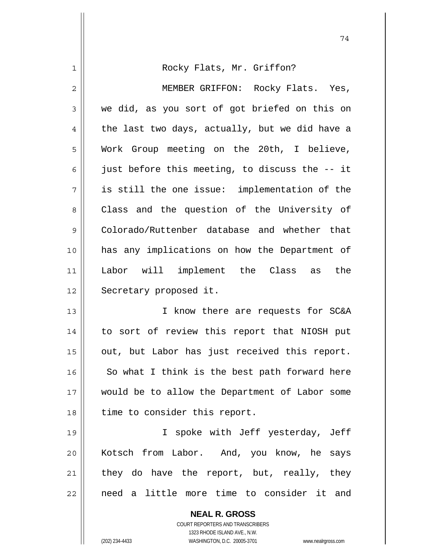| 1  | Rocky Flats, Mr. Griffon?                      |
|----|------------------------------------------------|
| 2  | MEMBER GRIFFON: Rocky Flats. Yes,              |
| 3  | we did, as you sort of got briefed on this on  |
| 4  | the last two days, actually, but we did have a |
| 5  | Work Group meeting on the 20th, I believe,     |
| 6  | just before this meeting, to discuss the -- it |
| 7  | is still the one issue: implementation of the  |
| 8  | Class and the question of the University of    |
| 9  | Colorado/Ruttenber database and whether that   |
| 10 | has any implications on how the Department of  |
| 11 | Labor will implement the Class as<br>the       |
| 12 | Secretary proposed it.                         |
| 13 | I know there are requests for SC&A             |
| 14 | to sort of review this report that NIOSH put   |
| 15 | out, but Labor has just received this report.  |
| 16 | So what I think is the best path forward here  |
| 17 | would be to allow the Department of Labor some |
| 18 | time to consider this report.                  |
| 19 | I spoke with Jeff yesterday, Jeff              |
| 20 | Kotsch from Labor. And, you know, he says      |
| 21 | they do have the report, but, really, they     |
| 22 | need a little more time to consider it and     |
|    | <b>NEAL R. GROSS</b>                           |

74

COURT REPORTERS AND TRANSCRIBERS 1323 RHODE ISLAND AVE., N.W.

 $\mathsf{I}$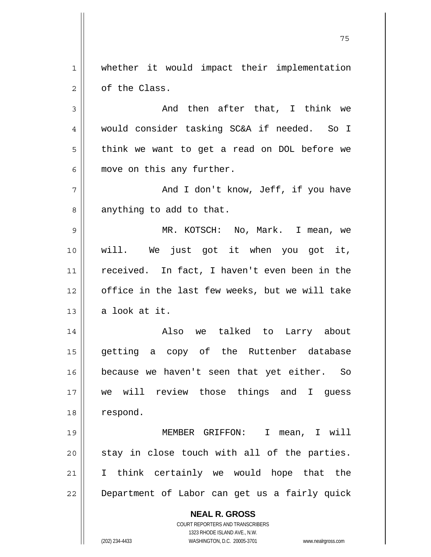1 2 whether it would impact their implementation of the Class.

75

3 4 5 6 And then after that, I think we would consider tasking SC&A if needed. So I think we want to get a read on DOL before we move on this any further.

7 8 And I don't know, Jeff, if you have anything to add to that.

9 10 11 12 13 MR. KOTSCH: No, Mark. I mean, we will. We just got it when you got it, received. In fact, I haven't even been in the office in the last few weeks, but we will take a look at it.

14 15 16 17 18 Also we talked to Larry about getting a copy of the Ruttenber database because we haven't seen that yet either. So we will review those things and I guess respond.

19 20 21 22 MEMBER GRIFFON: I mean, I will stay in close touch with all of the parties. I think certainly we would hope that the Department of Labor can get us a fairly quick

**NEAL R. GROSS**

COURT REPORTERS AND TRANSCRIBERS 1323 RHODE ISLAND AVE., N.W. (202) 234-4433 WASHINGTON, D.C. 20005-3701 www.nealrgross.com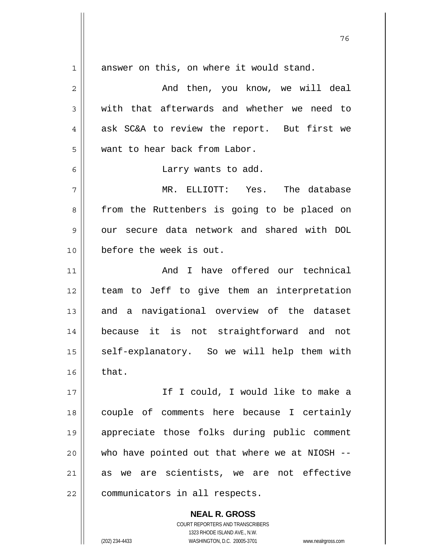**NEAL R. GROSS** 1 2 3 4 5 6 7 8 9 10 11 12 13 14 15 16 17 18 19 20 21 22 answer on this, on where it would stand. And then, you know, we will deal with that afterwards and whether we need to ask SC&A to review the report. But first we want to hear back from Labor. Larry wants to add. MR. ELLIOTT: Yes. The database from the Ruttenbers is going to be placed on our secure data network and shared with DOL before the week is out. And I have offered our technical team to Jeff to give them an interpretation and a navigational overview of the dataset because it is not straightforward and not self-explanatory. So we will help them with that. If I could, I would like to make a couple of comments here because I certainly appreciate those folks during public comment who have pointed out that where we at NIOSH -as we are scientists, we are not effective communicators in all respects.

и процесс в политическиот представление в 176 године. В 176 године в 176 године. В 176 године в 176 године в 1<br>В 176 године в 176 године в 176 године в 176 године в 176 године в 176 године в 176 године в 176 године в 176

COURT REPORTERS AND TRANSCRIBERS 1323 RHODE ISLAND AVE., N.W.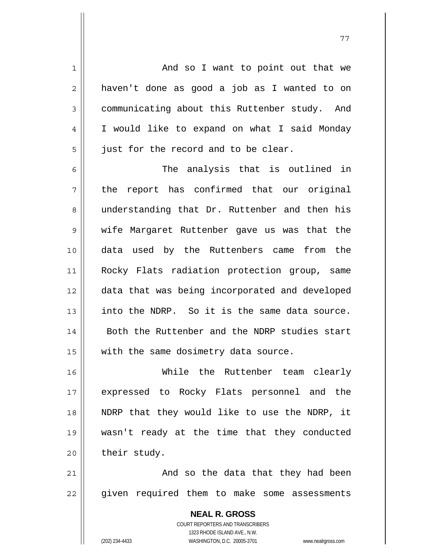And so I want to point out that we haven't done as good a job as I wanted to on communicating about this Ruttenber study. And I would like to expand on what I said Monday just for the record and to be clear.

6 7 8 9 10 11 12 13 14 15 The analysis that is outlined in the report has confirmed that our original understanding that Dr. Ruttenber and then his wife Margaret Ruttenber gave us was that the data used by the Ruttenbers came from the Rocky Flats radiation protection group, same data that was being incorporated and developed into the NDRP. So it is the same data source. Both the Ruttenber and the NDRP studies start with the same dosimetry data source.

16 17 18 19 20 While the Ruttenber team clearly expressed to Rocky Flats personnel and the NDRP that they would like to use the NDRP, it wasn't ready at the time that they conducted their study.

21 22 And so the data that they had been given required them to make some assessments

> **NEAL R. GROSS** COURT REPORTERS AND TRANSCRIBERS 1323 RHODE ISLAND AVE., N.W. (202) 234-4433 WASHINGTON, D.C. 20005-3701 www.nealrgross.com

1

2

3

4

5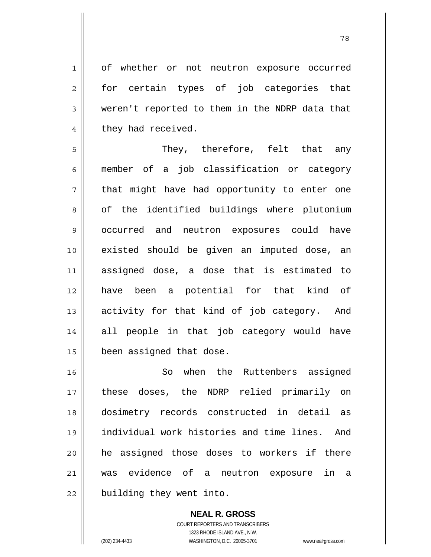of whether or not neutron exposure occurred for certain types of job categories that weren't reported to them in the NDRP data that they had received.

5 6 7 8 9 10 11 12 13 14 15 They, therefore, felt that any member of a job classification or category that might have had opportunity to enter one of the identified buildings where plutonium occurred and neutron exposures could have existed should be given an imputed dose, an assigned dose, a dose that is estimated to have been a potential for that kind of activity for that kind of job category. And all people in that job category would have been assigned that dose.

16 17 18 19 20 21 22 So when the Ruttenbers assigned these doses, the NDRP relied primarily on dosimetry records constructed in detail as individual work histories and time lines. And he assigned those doses to workers if there was evidence of a neutron exposure in a building they went into.

> **NEAL R. GROSS** COURT REPORTERS AND TRANSCRIBERS 1323 RHODE ISLAND AVE., N.W. (202) 234-4433 WASHINGTON, D.C. 20005-3701 www.nealrgross.com

1

2

3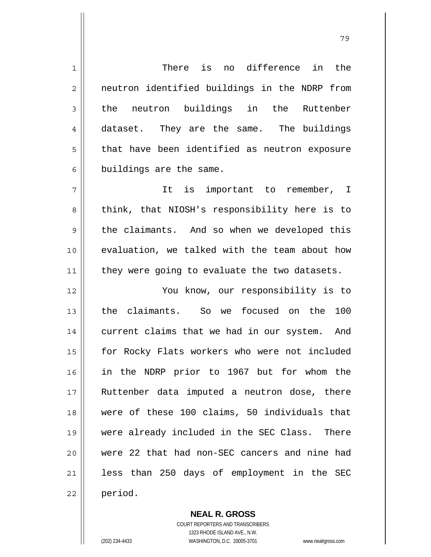1 2 3 4 5 6 7 8 9 10 11 12 13 14 15 16 17 18 19 20 21 22 There is no difference in the neutron identified buildings in the NDRP from the neutron buildings in the Ruttenber dataset. They are the same. The buildings that have been identified as neutron exposure buildings are the same. It is important to remember, I think, that NIOSH's responsibility here is to the claimants. And so when we developed this evaluation, we talked with the team about how they were going to evaluate the two datasets. You know, our responsibility is to the claimants. So we focused on the 100 current claims that we had in our system. And for Rocky Flats workers who were not included in the NDRP prior to 1967 but for whom the Ruttenber data imputed a neutron dose, there were of these 100 claims, 50 individuals that were already included in the SEC Class. There were 22 that had non-SEC cancers and nine had less than 250 days of employment in the SEC period.

> **NEAL R. GROSS** COURT REPORTERS AND TRANSCRIBERS 1323 RHODE ISLAND AVE., N.W. (202) 234-4433 WASHINGTON, D.C. 20005-3701 www.nealrgross.com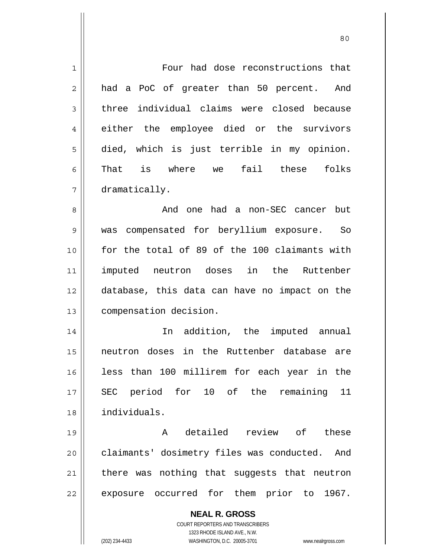| $\mathbf 1$    | Four had dose reconstructions that                                  |
|----------------|---------------------------------------------------------------------|
| $\overline{2}$ | had a PoC of greater than 50 percent. And                           |
| 3              | three individual claims were closed because                         |
| 4              | either the employee died or the survivors                           |
| 5              | died, which is just terrible in my opinion.                         |
| 6              | That is where we fail these folks                                   |
| 7              | dramatically.                                                       |
| 8              | And one had a non-SEC cancer but                                    |
| 9              | was compensated for beryllium exposure. So                          |
| 10             | for the total of 89 of the 100 claimants with                       |
| 11             | imputed neutron doses in the Ruttenber                              |
| 12             | database, this data can have no impact on the                       |
| 13             | compensation decision.                                              |
| 14             | In addition, the imputed annual                                     |
| 15             | neutron doses in the Ruttenber database are                         |
| 16             | less than 100 millirem for each year in the                         |
| 17             | SEC period for 10 of the<br>remaining 11                            |
| 18             | individuals.                                                        |
| 19             | detailed review of<br>Α<br>these                                    |
| 20             | claimants' dosimetry files was conducted.<br>And                    |
| 21             | there was nothing that suggests that neutron                        |
| 22             | exposure occurred for them prior to 1967.                           |
|                |                                                                     |
|                | <b>NEAL R. GROSS</b><br>COURT REPORTERS AND TRANSCRIBERS            |
|                | 1323 RHODE ISLAND AVE., N.W.                                        |
|                | (202) 234-4433<br>WASHINGTON, D.C. 20005-3701<br>www.nealrgross.com |

80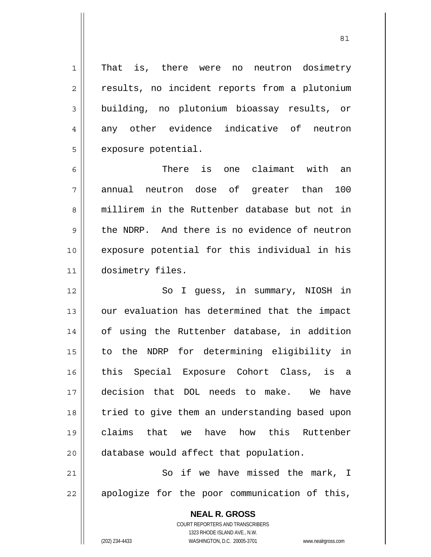1 2 3 4 5 That is, there were no neutron dosimetry results, no incident reports from a plutonium building, no plutonium bioassay results, or any other evidence indicative of neutron exposure potential.

6 7 8 9 10 11 There is one claimant with an annual neutron dose of greater than 100 millirem in the Ruttenber database but not in the NDRP. And there is no evidence of neutron exposure potential for this individual in his dosimetry files.

12 13 14 15 16 17 18 19 20 So I guess, in summary, NIOSH in our evaluation has determined that the impact of using the Ruttenber database, in addition to the NDRP for determining eligibility in this Special Exposure Cohort Class, is a decision that DOL needs to make. We have tried to give them an understanding based upon claims that we have how this Ruttenber database would affect that population.

21 22 So if we have missed the mark, I apologize for the poor communication of this,

> **NEAL R. GROSS** COURT REPORTERS AND TRANSCRIBERS 1323 RHODE ISLAND AVE., N.W. (202) 234-4433 WASHINGTON, D.C. 20005-3701 www.nealrgross.com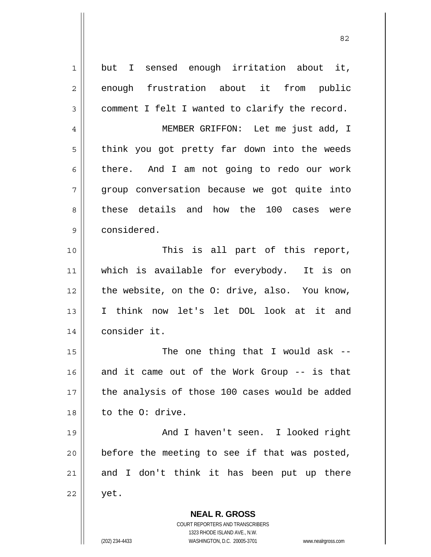| $\mathbf 1$    | but I sensed enough irritation about it,                            |
|----------------|---------------------------------------------------------------------|
| $\overline{2}$ | enough frustration about it from public                             |
| $\mathfrak{Z}$ | comment I felt I wanted to clarify the record.                      |
| $\overline{4}$ | MEMBER GRIFFON: Let me just add, I                                  |
| 5              | think you got pretty far down into the weeds                        |
| 6              | there. And I am not going to redo our work                          |
| 7              | group conversation because we got quite into                        |
| 8              | these details and how the 100 cases were                            |
| $\mathsf 9$    | considered.                                                         |
| 10             | This is all part of this report,                                    |
| 11             | which is available for everybody. It is on                          |
| 12             | the website, on the O: drive, also. You know,                       |
| 13             | I think now let's let DOL look at it and                            |
| 14             | consider it.                                                        |
| 15             | The one thing that I would ask $-$ -                                |
| 16             | and it came out of the Work Group -- is that                        |
| 17             | the analysis of those 100 cases would be added                      |
| 18             | to the O: drive.                                                    |
| 19             | And I haven't seen. I looked right                                  |
| 20             | before the meeting to see if that was posted,                       |
| 21             | and I don't think it has been put up there                          |
| 22             | yet.                                                                |
|                | <b>NEAL R. GROSS</b>                                                |
|                | COURT REPORTERS AND TRANSCRIBERS                                    |
|                | 1323 RHODE ISLAND AVE., N.W.                                        |
|                | (202) 234-4433<br>WASHINGTON, D.C. 20005-3701<br>www.nealrgross.com |

<u>82</u>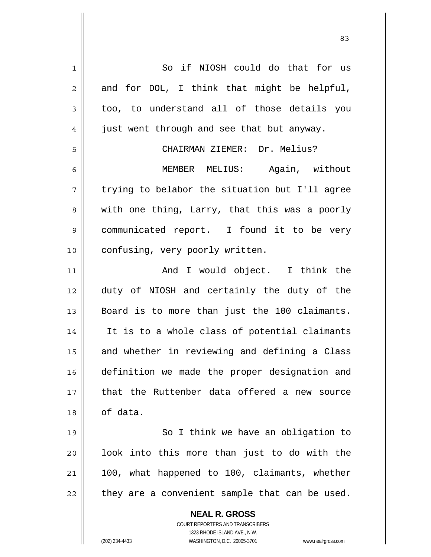| $\mathbf 1$    | So if NIOSH could do that for us                                    |
|----------------|---------------------------------------------------------------------|
| $\overline{2}$ | and for DOL, I think that might be helpful,                         |
| 3              | too, to understand all of those details you                         |
| 4              | just went through and see that but anyway.                          |
| 5              | CHAIRMAN ZIEMER: Dr. Melius?                                        |
| 6              | MEMBER MELIUS:<br>Again, without                                    |
| 7              | trying to belabor the situation but I'll agree                      |
| 8              | with one thing, Larry, that this was a poorly                       |
| $\mathsf 9$    | communicated report. I found it to be very                          |
| 10             | confusing, very poorly written.                                     |
| 11             | And I would object. I think the                                     |
| 12             | duty of NIOSH and certainly the duty of the                         |
| 13             | Board is to more than just the 100 claimants.                       |
| 14             | It is to a whole class of potential claimants                       |
| 15             | and whether in reviewing and defining a Class                       |
| 16             | definition we made the proper designation and                       |
| 17             | that the Ruttenber data offered a new source                        |
| 18             | of data.                                                            |
| 19             | So I think we have an obligation to                                 |
| 20             | look into this more than just to do with the                        |
| 21             | 100, what happened to 100, claimants, whether                       |
| 22             | they are a convenient sample that can be used.                      |
|                | <b>NEAL R. GROSS</b>                                                |
|                | COURT REPORTERS AND TRANSCRIBERS                                    |
|                | 1323 RHODE ISLAND AVE., N.W.                                        |
|                | (202) 234-4433<br>WASHINGTON, D.C. 20005-3701<br>www.nealrgross.com |

<u>83</u>

 $\mathsf{I}$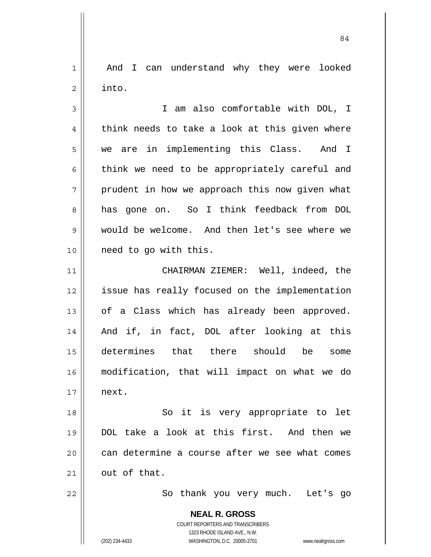1 2 And I can understand why they were looked into.

84

3 4 5 6 7 8 9 10 I am also comfortable with DOL, I think needs to take a look at this given where we are in implementing this Class. And I think we need to be appropriately careful and prudent in how we approach this now given what has gone on. So I think feedback from DOL would be welcome. And then let's see where we need to go with this.

11 12 13 14 15 16 17 CHAIRMAN ZIEMER: Well, indeed, the issue has really focused on the implementation of a Class which has already been approved. And if, in fact, DOL after looking at this determines that there should be some modification, that will impact on what we do next.

18 19 20 21 So it is very appropriate to let DOL take a look at this first. And then we can determine a course after we see what comes out of that.

So thank you very much. Let's go

**NEAL R. GROSS** COURT REPORTERS AND TRANSCRIBERS 1323 RHODE ISLAND AVE., N.W.

22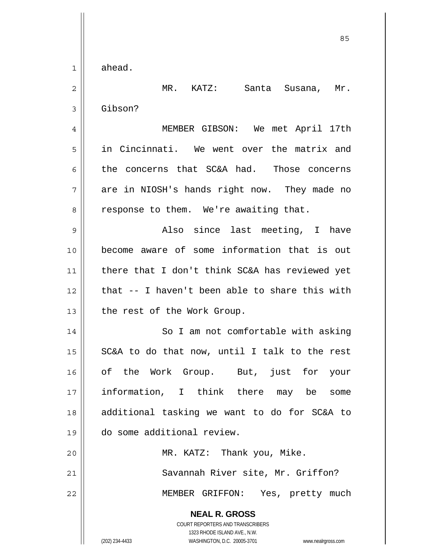ahead.

1

**NEAL R. GROSS** COURT REPORTERS AND TRANSCRIBERS 1323 RHODE ISLAND AVE., N.W. 2 3 4 5 6 7 8 9 10 11 12 13 14 15 16 17 18 19 20 21 22 MR. KATZ: Santa Susana, Mr. Gibson? MEMBER GIBSON: We met April 17th in Cincinnati. We went over the matrix and the concerns that SC&A had. Those concerns are in NIOSH's hands right now. They made no response to them. We're awaiting that. Also since last meeting, I have become aware of some information that is out there that I don't think SC&A has reviewed yet that -- I haven't been able to share this with the rest of the Work Group. So I am not comfortable with asking SC&A to do that now, until I talk to the rest of the Work Group. But, just for your information, I think there may be some additional tasking we want to do for SC&A to do some additional review. MR. KATZ: Thank you, Mike. Savannah River site, Mr. Griffon? MEMBER GRIFFON: Yes, pretty much

(202) 234-4433 WASHINGTON, D.C. 20005-3701 www.nealrgross.com

<u>85 and 2001 and 2001 and 2001 and 2001 and 2001 and 2001 and 2001 and 2001 and 2001 and 2001 and 2001 and 200</u>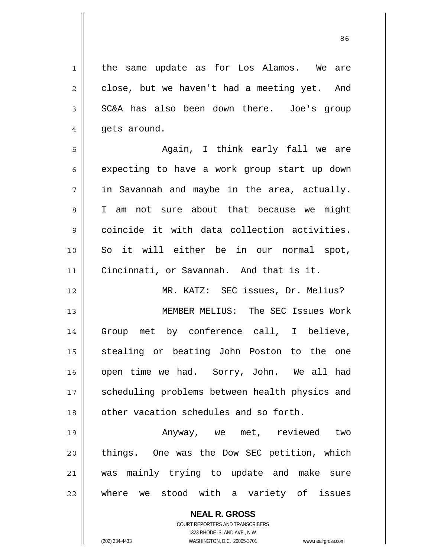1 2 3 4 5 6 7 8 9 10 11 12 13 14 15 16 17 18 19 20 21 the same update as for Los Alamos. We are close, but we haven't had a meeting yet. And SC&A has also been down there. Joe's group gets around. Again, I think early fall we are expecting to have a work group start up down in Savannah and maybe in the area, actually. I am not sure about that because we might coincide it with data collection activities. So it will either be in our normal spot, Cincinnati, or Savannah. And that is it. MR. KATZ: SEC issues, Dr. Melius? MEMBER MELIUS: The SEC Issues Work Group met by conference call, I believe, stealing or beating John Poston to the one open time we had. Sorry, John. We all had scheduling problems between health physics and other vacation schedules and so forth. Anyway, we met, reviewed two things. One was the Dow SEC petition, which was mainly trying to update and make sure

22 where we stood with a variety of issues

> **NEAL R. GROSS** COURT REPORTERS AND TRANSCRIBERS

> > 1323 RHODE ISLAND AVE., N.W.

(202) 234-4433 WASHINGTON, D.C. 20005-3701 www.nealrgross.com

<u>86 and 2001 and 2002 and 2003 and 2003 and 2003 and 2003 and 2003 and 2003 and 2003 and 2003 and 2003 and 200</u>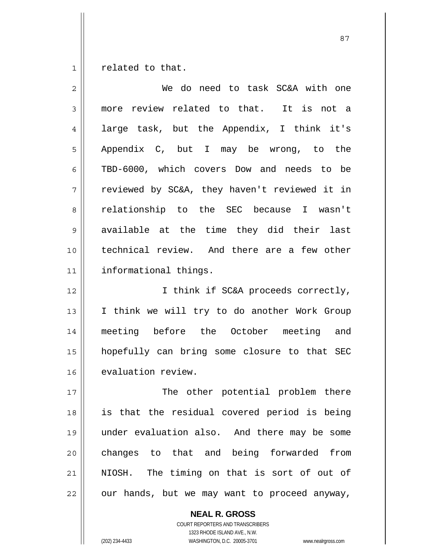1 related to that.

| 2           | We do need to task SC&A with one              |
|-------------|-----------------------------------------------|
| 3           | more review related to that. It is not a      |
| 4           | large task, but the Appendix, I think it's    |
| 5           | Appendix C, but I may be wrong, to the        |
| 6           | TBD-6000, which covers Dow and needs to be    |
| 7           | reviewed by SC&A, they haven't reviewed it in |
| 8           | relationship to the SEC because I wasn't      |
| $\mathsf 9$ | available at the time they did their last     |
| 10          | technical review. And there are a few other   |
| 11          | informational things.                         |
| 12          | I think if SC&A proceeds correctly,           |
| 13          | I think we will try to do another Work Group  |
| 14          | meeting before the October meeting and        |
| 15          | hopefully can bring some closure to that SEC  |
| 16          | evaluation review.                            |
| 17          | The<br>other potential problem there          |
| 18          | is that the residual covered period is being  |
| 19          | under evaluation also. And there may be some  |
| 20          | changes to that and being forwarded from      |
| 21          | NIOSH. The timing on that is sort of out of   |
| 22          | our hands, but we may want to proceed anyway, |

**NEAL R. GROSS**

COURT REPORTERS AND TRANSCRIBERS 1323 RHODE ISLAND AVE., N.W. (202) 234-4433 WASHINGTON, D.C. 20005-3701 www.nealrgross.com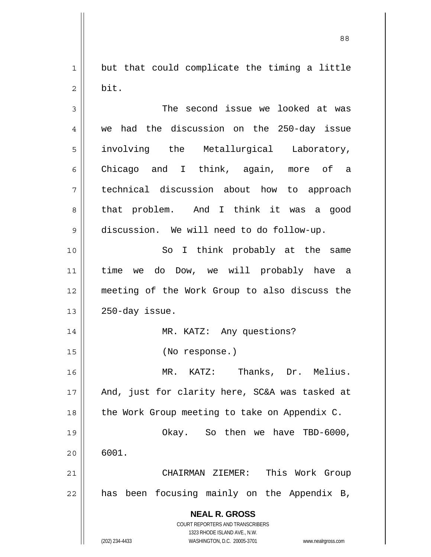1 2 but that could complicate the timing a little bit.

**NEAL R. GROSS** COURT REPORTERS AND TRANSCRIBERS 1323 RHODE ISLAND AVE., N.W. 3 4 5 6 7 8 9 10 11 12 13 14 15 16 17 18 19 20 21 22 The second issue we looked at was we had the discussion on the 250-day issue involving the Metallurgical Laboratory, Chicago and I think, again, more of a technical discussion about how to approach that problem. And I think it was a good discussion. We will need to do follow-up. So I think probably at the same time we do Dow, we will probably have a meeting of the Work Group to also discuss the 250-day issue. MR. KATZ: Any questions? (No response.) MR. KATZ: Thanks, Dr. Melius. And, just for clarity here, SC&A was tasked at the Work Group meeting to take on Appendix C. Okay. So then we have TBD-6000, 6001. CHAIRMAN ZIEMER: This Work Group has been focusing mainly on the Appendix B,

(202) 234-4433 WASHINGTON, D.C. 20005-3701 www.nealrgross.com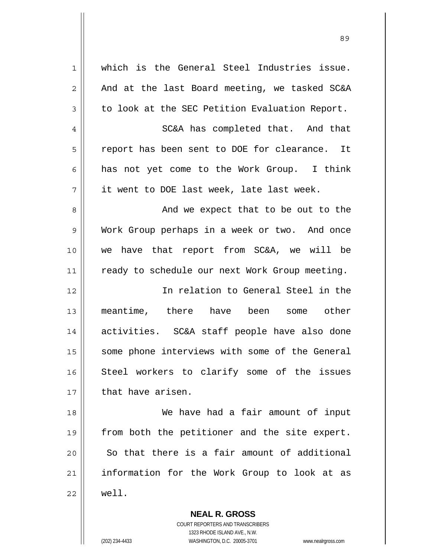| $\mathbf 1$    | which is the General Steel Industries issue.   |
|----------------|------------------------------------------------|
| $\overline{2}$ | And at the last Board meeting, we tasked SC&A  |
| $\mathfrak{Z}$ | to look at the SEC Petition Evaluation Report. |
| 4              | SC&A has completed that. And that              |
| 5              | report has been sent to DOE for clearance. It  |
| 6              | has not yet come to the Work Group. I think    |
| 7              | it went to DOE last week, late last week.      |
| 8              | And we expect that to be out to the            |
| 9              | Work Group perhaps in a week or two. And once  |
| 10             | we have that report from SC&A, we will be      |
| 11             | ready to schedule our next Work Group meeting. |
| 12             | In relation to General Steel in the            |
| 13             | meantime, there have been some other           |
| 14             | activities. SC&A staff people have also done   |
| 15             | some phone interviews with some of the General |
| 16             | Steel workers to clarify some of the issues    |
| 17             | that have arisen.                              |
| 18             | We have had a fair amount of input             |
| 19             | from both the petitioner and the site expert.  |
| 20             | So that there is a fair amount of additional   |
|                |                                                |
| 21             | information for the Work Group to look at as   |

**NEAL R. GROSS** COURT REPORTERS AND TRANSCRIBERS 1323 RHODE ISLAND AVE., N.W.

(202) 234-4433 WASHINGTON, D.C. 20005-3701 www.nealrgross.com

 $\mathsf{I}$ 

<u>89 and 2001 and 2002 and 2003 and 2003 and 2003 and 2003 and 2003 and 2003 and 2003 and 2003 and 2003 and 200</u>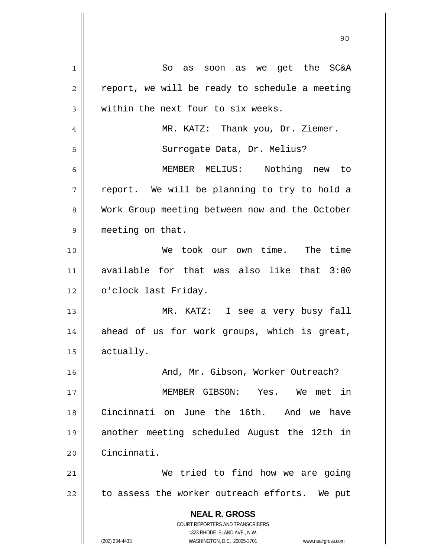**NEAL R. GROSS** COURT REPORTERS AND TRANSCRIBERS 1323 RHODE ISLAND AVE., N.W. (202) 234-4433 WASHINGTON, D.C. 20005-3701 www.nealrgross.com 1 2 3 4 5 6 7 8 9 10 11 12 13 14 15 16 17 18 19 20 21 22 So as soon as we get the SC&A report, we will be ready to schedule a meeting within the next four to six weeks. MR. KATZ: Thank you, Dr. Ziemer. Surrogate Data, Dr. Melius? MEMBER MELIUS: Nothing new to report. We will be planning to try to hold a Work Group meeting between now and the October meeting on that. We took our own time. The time available for that was also like that 3:00 o'clock last Friday. MR. KATZ: I see a very busy fall ahead of us for work groups, which is great, actually. And, Mr. Gibson, Worker Outreach? MEMBER GIBSON: Yes. We met in Cincinnati on June the 16th. And we have another meeting scheduled August the 12th in Cincinnati. We tried to find how we are going to assess the worker outreach efforts. We put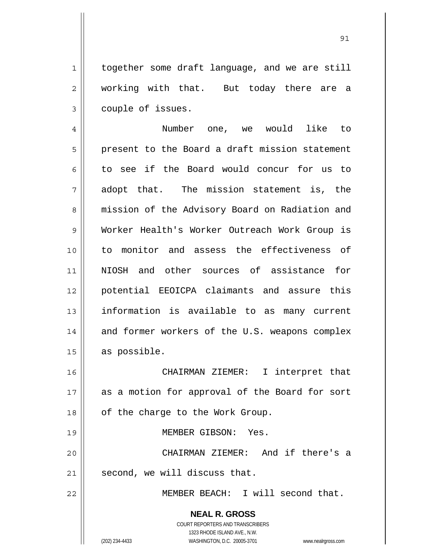1 together some draft language, and we are still working with that. But today there are a couple of issues.

4 5 6 7 8 9 10 11 12 13 14 15 Number one, we would like to present to the Board a draft mission statement to see if the Board would concur for us to adopt that. The mission statement is, the mission of the Advisory Board on Radiation and Worker Health's Worker Outreach Work Group is to monitor and assess the effectiveness of NIOSH and other sources of assistance for potential EEOICPA claimants and assure this information is available to as many current and former workers of the U.S. weapons complex as possible.

16 17 18 CHAIRMAN ZIEMER: I interpret that as a motion for approval of the Board for sort of the charge to the Work Group.

MEMBER GIBSON: Yes.

20 21 CHAIRMAN ZIEMER: And if there's a second, we will discuss that.

MEMBER BEACH: I will second that.

**NEAL R. GROSS** COURT REPORTERS AND TRANSCRIBERS

2

3

19

22

1323 RHODE ISLAND AVE., N.W. (202) 234-4433 WASHINGTON, D.C. 20005-3701 www.nealrgross.com

<u>91</u>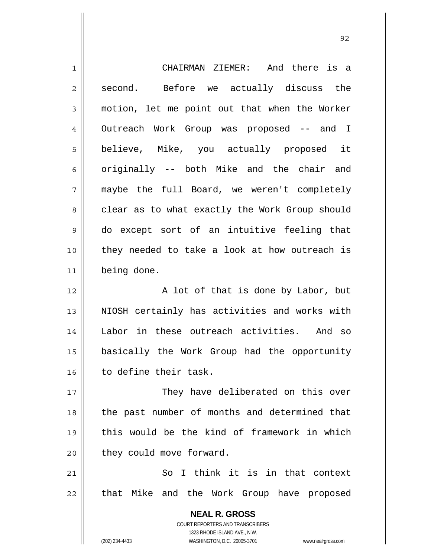| $\mathbf 1$    | CHAIRMAN ZIEMER: And there is a                                     |
|----------------|---------------------------------------------------------------------|
| $\overline{2}$ | Before we actually discuss the<br>second.                           |
| $\mathfrak{Z}$ | motion, let me point out that when the Worker                       |
| $\overline{4}$ | Outreach Work Group was proposed -- and I                           |
| 5              | believe, Mike, you actually proposed it                             |
| 6              | originally -- both Mike and the chair and                           |
| 7              |                                                                     |
|                | maybe the full Board, we weren't completely                         |
| 8              | clear as to what exactly the Work Group should                      |
| 9              | do except sort of an intuitive feeling that                         |
| 10             | they needed to take a look at how outreach is                       |
| 11             | being done.                                                         |
| 12             | A lot of that is done by Labor, but                                 |
| 13             | NIOSH certainly has activities and works with                       |
| 14             | Labor in these outreach activities. And so                          |
| 15             | basically the Work Group had the opportunity                        |
| 16             | to define their task.                                               |
| 17             | They have deliberated on this over                                  |
| 18             | the past number of months and determined that                       |
| 19             | this would be the kind of framework in which                        |
| 20             | they could move forward.                                            |
| 21             | So I think it is in that context                                    |
| 22             | that Mike and the Work Group have proposed                          |
|                | <b>NEAL R. GROSS</b>                                                |
|                | <b>COURT REPORTERS AND TRANSCRIBERS</b>                             |
|                | 1323 RHODE ISLAND AVE., N.W.                                        |
|                | (202) 234-4433<br>WASHINGTON, D.C. 20005-3701<br>www.nealrgross.com |

<u>92 and 2014 and 2014 and 2014 and 2014 and 2014 and 2014 and 2014 and 2014 and 2014 and 2014 and 2014 and 201</u>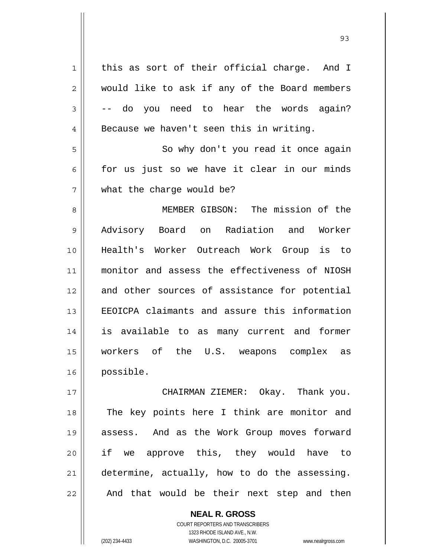1 2 3 4 5 6 7 8 9 10 11 12 13 14 15 16 17 18 19 this as sort of their official charge. And I would like to ask if any of the Board members -- do you need to hear the words again? Because we haven't seen this in writing. So why don't you read it once again for us just so we have it clear in our minds what the charge would be? MEMBER GIBSON: The mission of the Advisory Board on Radiation and Worker Health's Worker Outreach Work Group is to monitor and assess the effectiveness of NIOSH and other sources of assistance for potential EEOICPA claimants and assure this information is available to as many current and former workers of the U.S. weapons complex as possible. CHAIRMAN ZIEMER: Okay. Thank you. The key points here I think are monitor and

assess. And as the Work Group moves forward if we approve this, they would have to determine, actually, how to do the assessing. And that would be their next step and then

**NEAL R. GROSS** COURT REPORTERS AND TRANSCRIBERS 1323 RHODE ISLAND AVE., N.W. (202) 234-4433 WASHINGTON, D.C. 20005-3701 www.nealrgross.com

20

21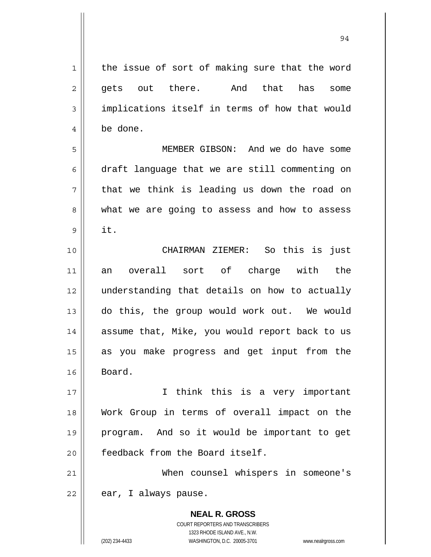**NEAL R. GROSS** COURT REPORTERS AND TRANSCRIBERS 1 2 3 4 5 6 7 8 9 10 11 12 13 14 15 16 17 18 19 20 21 22 the issue of sort of making sure that the word gets out there. And that has some implications itself in terms of how that would be done. MEMBER GIBSON: And we do have some draft language that we are still commenting on that we think is leading us down the road on what we are going to assess and how to assess it. CHAIRMAN ZIEMER: So this is just an overall sort of charge with the understanding that details on how to actually do this, the group would work out. We would assume that, Mike, you would report back to us as you make progress and get input from the Board. I think this is a very important Work Group in terms of overall impact on the program. And so it would be important to get feedback from the Board itself. When counsel whispers in someone's ear, I always pause.

1323 RHODE ISLAND AVE., N.W.

(202) 234-4433 WASHINGTON, D.C. 20005-3701 www.nealrgross.com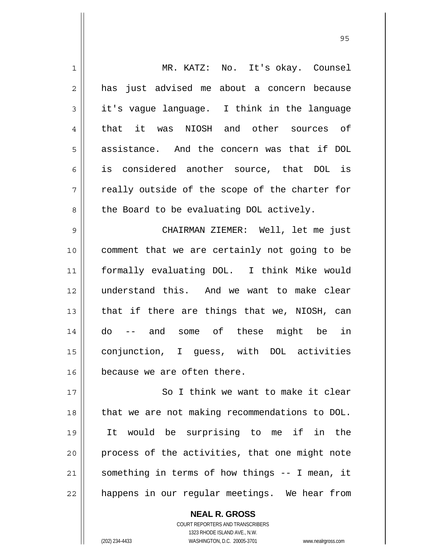| $\mathbf 1$    | MR. KATZ: No. It's okay. Counsel               |
|----------------|------------------------------------------------|
|                |                                                |
| $\overline{2}$ | has just advised me about a concern because    |
| 3              | it's vague language. I think in the language   |
| 4              | that it was NIOSH and other sources of         |
| 5              | assistance. And the concern was that if DOL    |
| 6              | is considered another source, that DOL is      |
| 7              | really outside of the scope of the charter for |
| 8              | the Board to be evaluating DOL actively.       |
| 9              | CHAIRMAN ZIEMER: Well, let me just             |
| 10             | comment that we are certainly not going to be  |
| 11             | formally evaluating DOL. I think Mike would    |
| 12             | understand this. And we want to make clear     |
| 13             | that if there are things that we, NIOSH, can   |
| 14             | -- and some of these might be in<br>do         |
| 15             | conjunction, I guess, with DOL activities      |
| 16             | because we are often there.                    |
| 17             | So I think we want to make it clear            |
| 18             | that we are not making recommendations to DOL. |
| 19             | It would be surprising to me if in the         |
| 20             | process of the activities, that one might note |
| 21             | something in terms of how things -- I mean, it |
| 22             | happens in our regular meetings. We hear from  |

<u>95 and 2001 and 2001 and 2001 and 2001 and 2001 and 2001 and 2001 and 2001 and 2001 and 2001 and 2001 and 200</u>

**NEAL R. GROSS** COURT REPORTERS AND TRANSCRIBERS 1323 RHODE ISLAND AVE., N.W.

 $\mathsf{II}$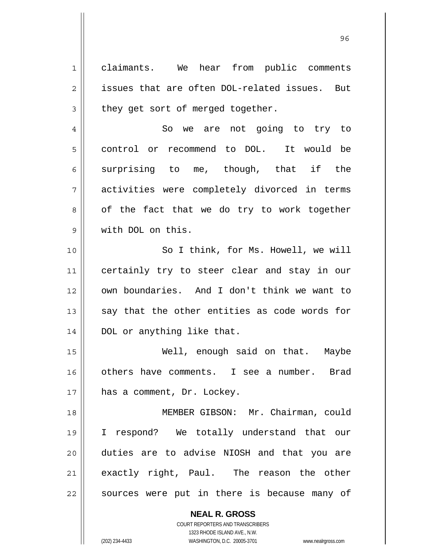1 2 3 4 claimants. We hear from public comments issues that are often DOL-related issues. But they get sort of merged together. So we are not going to try to

control or recommend to DOL. It would be surprising to me, though, that if the activities were completely divorced in terms of the fact that we do try to work together with DOL on this.

10 11 12 13 14 So I think, for Ms. Howell, we will certainly try to steer clear and stay in our own boundaries. And I don't think we want to say that the other entities as code words for DOL or anything like that.

15 16 17 Well, enough said on that. Maybe others have comments. I see a number. Brad has a comment, Dr. Lockey.

18 19 20 21 22 MEMBER GIBSON: Mr. Chairman, could I respond? We totally understand that our duties are to advise NIOSH and that you are exactly right, Paul. The reason the other sources were put in there is because many of

> **NEAL R. GROSS** COURT REPORTERS AND TRANSCRIBERS 1323 RHODE ISLAND AVE., N.W. (202) 234-4433 WASHINGTON, D.C. 20005-3701 www.nealrgross.com

5

6

7

8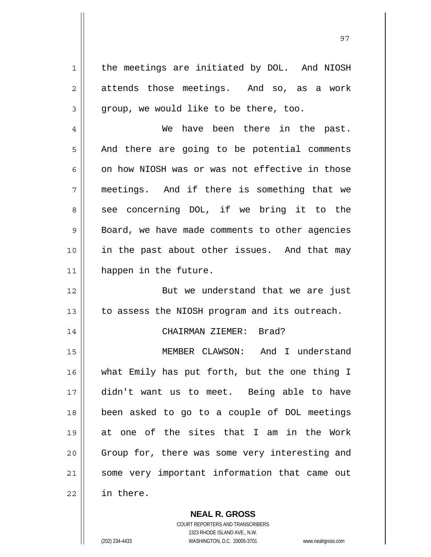1 2 3 4 5 6 7 8 9 10 11 12 13 14 15 16 17 18 19 20 21 22 the meetings are initiated by DOL. And NIOSH attends those meetings. And so, as a work group, we would like to be there, too. We have been there in the past. And there are going to be potential comments on how NIOSH was or was not effective in those meetings. And if there is something that we see concerning DOL, if we bring it to the Board, we have made comments to other agencies in the past about other issues. And that may happen in the future. But we understand that we are just to assess the NIOSH program and its outreach. CHAIRMAN ZIEMER: Brad? MEMBER CLAWSON: And I understand what Emily has put forth, but the one thing I didn't want us to meet. Being able to have been asked to go to a couple of DOL meetings at one of the sites that I am in the Work Group for, there was some very interesting and some very important information that came out in there.

> COURT REPORTERS AND TRANSCRIBERS 1323 RHODE ISLAND AVE., N.W.

**NEAL R. GROSS**

(202) 234-4433 WASHINGTON, D.C. 20005-3701 www.nealrgross.com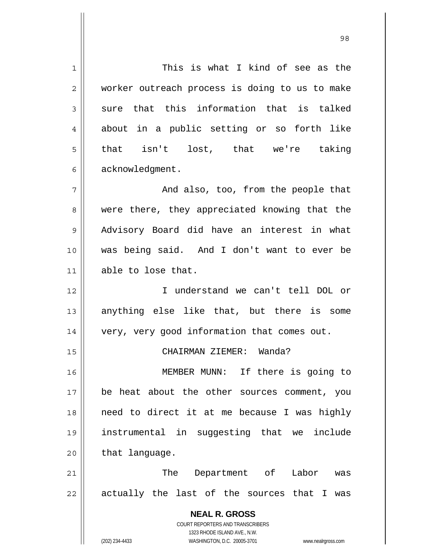**NEAL R. GROSS** COURT REPORTERS AND TRANSCRIBERS 1323 RHODE ISLAND AVE., N.W. 1 2 3 4 5 6 7 8 9 10 11 12 13 14 15 16 17 18 19 20 21 22 This is what I kind of see as the worker outreach process is doing to us to make sure that this information that is talked about in a public setting or so forth like that isn't lost, that we're taking acknowledgment. And also, too, from the people that were there, they appreciated knowing that the Advisory Board did have an interest in what was being said. And I don't want to ever be able to lose that. I understand we can't tell DOL or anything else like that, but there is some very, very good information that comes out. CHAIRMAN ZIEMER: Wanda? MEMBER MUNN: If there is going to be heat about the other sources comment, you need to direct it at me because I was highly instrumental in suggesting that we include that language. The Department of Labor was actually the last of the sources that I was

98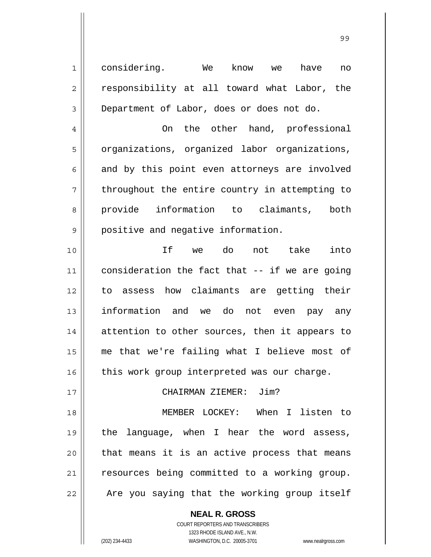considering. We know we have no responsibility at all toward what Labor, the Department of Labor, does or does not do.

 On the other hand, professional organizations, organized labor organizations, and by this point even attorneys are involved throughout the entire country in attempting to provide information to claimants, both positive and negative information.

10 11 12 13 14 15 16 If we do not take into consideration the fact that -- if we are going to assess how claimants are getting their information and we do not even pay any attention to other sources, then it appears to me that we're failing what I believe most of this work group interpreted was our charge.

## CHAIRMAN ZIEMER: Jim?

18 19 20 21 22 MEMBER LOCKEY: When I listen to the language, when I hear the word assess, that means it is an active process that means resources being committed to a working group. Are you saying that the working group itself

> **NEAL R. GROSS** COURT REPORTERS AND TRANSCRIBERS 1323 RHODE ISLAND AVE., N.W. (202) 234-4433 WASHINGTON, D.C. 20005-3701 www.nealrgross.com

1

2

3

4

5

6

7

8

9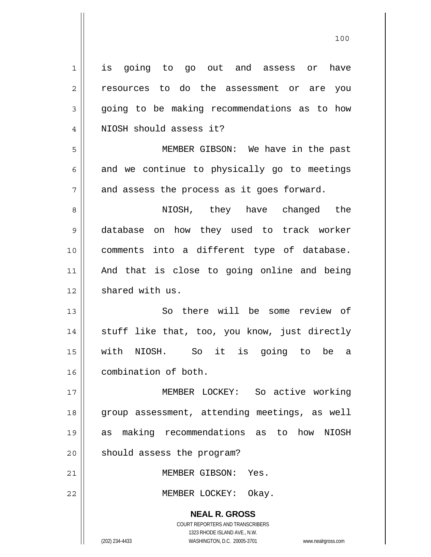| $\mathbf 1$    | going to go out and assess or<br>have<br>is                      |
|----------------|------------------------------------------------------------------|
| $\overline{c}$ | resources to do the assessment or are you                        |
| $\mathfrak{Z}$ | going to be making recommendations as to how                     |
| 4              | NIOSH should assess it?                                          |
| 5              | MEMBER GIBSON: We have in the past                               |
| 6              | and we continue to physically go to meetings                     |
| 7              | and assess the process as it goes forward.                       |
| 8              | NIOSH, they have changed the                                     |
| $\mathsf 9$    | database on how they used to track worker                        |
| 10             | comments into a different type of database.                      |
| 11             | And that is close to going online and being                      |
| 12             | shared with us.                                                  |
| 13             | So there will be some review of                                  |
| 14             | stuff like that, too, you know, just directly                    |
| 15             | with NIOSH. So it is going to<br>be a                            |
| 16             | combination of both.                                             |
| 17             | MEMBER LOCKEY: So active working                                 |
| 18             | group assessment, attending meetings, as well                    |
| 19             | making recommendations as to how NIOSH<br>as                     |
| 20             | should assess the program?                                       |
| 21             | MEMBER GIBSON: Yes.                                              |
| 22             | MEMBER LOCKEY: Okay.                                             |
|                |                                                                  |
|                | <b>NEAL R. GROSS</b>                                             |
|                | COURT REPORTERS AND TRANSCRIBERS<br>1323 RHODE ISLAND AVE., N.W. |

100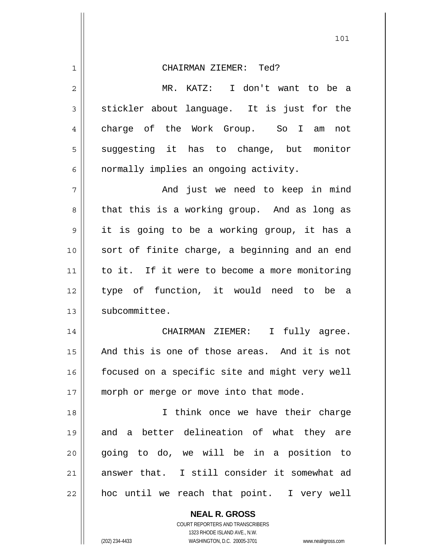| 1  | CHAIRMAN ZIEMER: Ted?                          |
|----|------------------------------------------------|
| 2  | MR. KATZ: I don't want to be a                 |
| 3  | stickler about language. It is just for the    |
| 4  | charge of the Work Group. So I am not          |
| 5  | suggesting it has to change, but monitor       |
| 6  | normally implies an ongoing activity.          |
| 7  | And just we need to keep in mind               |
| 8  | that this is a working group. And as long as   |
| 9  | it is going to be a working group, it has a    |
| 10 | sort of finite charge, a beginning and an end  |
| 11 | to it. If it were to become a more monitoring  |
| 12 | type of function, it would need to be a        |
| 13 | subcommittee.                                  |
| 14 | CHAIRMAN ZIEMER: I<br>fully agree.             |
| 15 | And this is one of those areas. And it is not  |
| 16 | focused on a specific site and might very well |
| 17 | morph or merge or move into that mode.         |
| 18 | I think once we have their charge              |
| 19 | and a better delineation of what they are      |
| 20 | going to do, we will be in a position to       |
| 21 | answer that. I still consider it somewhat ad   |
| 22 | hoc until we reach that point. I very well     |
|    | <b>NEAL R. GROSS</b>                           |

COURT REPORTERS AND TRANSCRIBERS 1323 RHODE ISLAND AVE., N.W.

 $\mathsf{II}$ 

(202) 234-4433 WASHINGTON, D.C. 20005-3701 www.nealrgross.com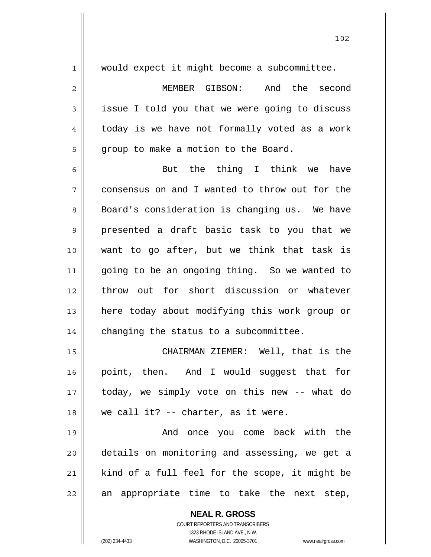| $\mathbf 1$    | would expect it might become a subcommittee.             |
|----------------|----------------------------------------------------------|
| $\overline{2}$ | MEMBER GIBSON: And the second                            |
| 3              | issue I told you that we were going to discuss           |
| 4              | today is we have not formally voted as a work            |
| 5              | group to make a motion to the Board.                     |
| 6              | But the thing I think we<br>have                         |
| 7              | consensus on and I wanted to throw out for the           |
| 8              | Board's consideration is changing us. We have            |
| 9              | presented a draft basic task to you that we              |
| 10             | want to go after, but we think that task is              |
| 11             | going to be an ongoing thing. So we wanted to            |
| 12             | throw out for short discussion or whatever               |
| 13             | here today about modifying this work group or            |
| 14             | changing the status to a subcommittee.                   |
| 15             | CHAIRMAN ZIEMER: Well, that is the                       |
| 16             | point, then. And I would suggest that for                |
| 17             | today, we simply vote on this new -- what do             |
| 18             | we call it? -- charter, as it were.                      |
| 19             | And once you come back with the                          |
| 20             | details on monitoring and assessing, we get a            |
| 21             | kind of a full feel for the scope, it might be           |
| 22             | an appropriate time to take the next step,               |
|                | <b>NEAL R. GROSS</b><br>COURT REPORTERS AND TRANSCRIBERS |

1323 RHODE ISLAND AVE., N.W.

 $\mathsf{II}$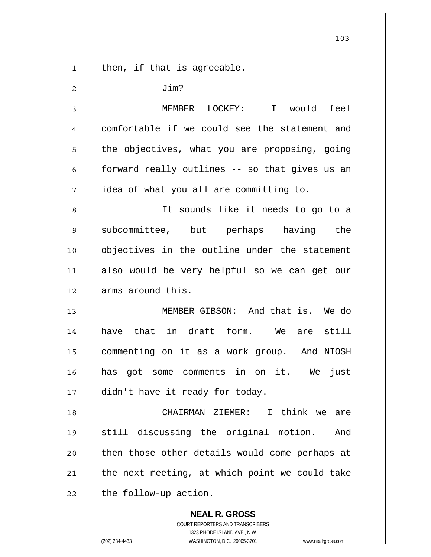|             | 103                                            |
|-------------|------------------------------------------------|
| $\mathbf 1$ | then, if that is agreeable.                    |
| 2           | Jim?                                           |
| 3           | MEMBER LOCKEY: I would feel                    |
| 4           | comfortable if we could see the statement and  |
| 5           | the objectives, what you are proposing, going  |
| 6           | forward really outlines -- so that gives us an |
| 7           | idea of what you all are committing to.        |
| 8           | It sounds like it needs to go to a             |
| 9           | subcommittee, but perhaps having the           |
| 10          | objectives in the outline under the statement  |
| 11          | also would be very helpful so we can get our   |
| 12          | arms around this.                              |
| 13          | MEMBER GIBSON: And that is. We do              |
| 14          | have that in draft form. We<br>are still       |
| 15          | commenting on it as a work group. And NIOSH    |
| 16          | has got some comments in on it. We just        |
| 17          | didn't have it ready for today.                |
| 18          | CHAIRMAN ZIEMER:<br>I think we are             |
| 19          | still discussing the original motion.<br>And   |
| 20          | then those other details would come perhaps at |
| 21          | the next meeting, at which point we could take |
| 22          | the follow-up action.                          |
|             | <b>NEAL R. GROSS</b>                           |

COURT REPORTERS AND TRANSCRIBERS 1323 RHODE ISLAND AVE., N.W.

 $\mathsf{II}$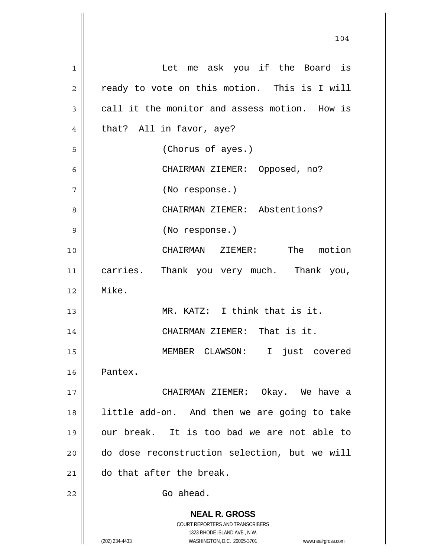| $\mathbf 1$  | Let me ask you if the Board is                                          |
|--------------|-------------------------------------------------------------------------|
| $\mathbf{2}$ | ready to vote on this motion. This is I will                            |
| 3            | call it the monitor and assess motion. How is                           |
| 4            | that? All in favor, aye?                                                |
| 5            | (Chorus of ayes.)                                                       |
| 6            | CHAIRMAN ZIEMER: Opposed, no?                                           |
| 7            | (No response.)                                                          |
| 8            | CHAIRMAN ZIEMER: Abstentions?                                           |
| 9            | (No response.)                                                          |
| 10           | CHAIRMAN ZIEMER: The motion                                             |
| 11           | carries. Thank you very much. Thank you,                                |
| 12           | Mike.                                                                   |
| 13           | MR. KATZ: I think that is it.                                           |
| 14           | CHAIRMAN ZIEMER: That is it.                                            |
| 15           | MEMBER CLAWSON: I just covered                                          |
| 16           | Pantex.                                                                 |
| 17           | CHAIRMAN ZIEMER: Okay. We have a                                        |
| 18           | little add-on. And then we are going to take                            |
| 19           | our break. It is too bad we are not able to                             |
| 20           | do dose reconstruction selection, but we will                           |
| 21           | do that after the break.                                                |
| 22           | Go ahead.                                                               |
|              | <b>NEAL R. GROSS</b>                                                    |
|              | <b>COURT REPORTERS AND TRANSCRIBERS</b><br>1323 RHODE ISLAND AVE., N.W. |
|              | (202) 234-4433<br>WASHINGTON, D.C. 20005-3701<br>www.nealrgross.com     |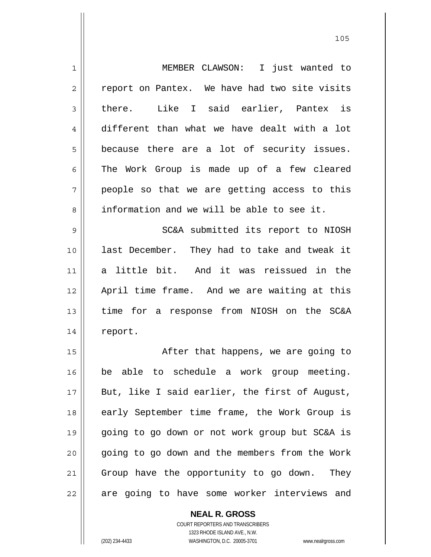1 2 3 4 5 6 7 8 9 10 11 12 13 14 15 16 17 18 19 20 21 22 MEMBER CLAWSON: I just wanted to report on Pantex. We have had two site visits there. Like I said earlier, Pantex is different than what we have dealt with a lot because there are a lot of security issues. The Work Group is made up of a few cleared people so that we are getting access to this information and we will be able to see it. SC&A submitted its report to NIOSH last December. They had to take and tweak it a little bit. And it was reissued in the April time frame. And we are waiting at this time for a response from NIOSH on the SC&A report. After that happens, we are going to be able to schedule a work group meeting. But, like I said earlier, the first of August, early September time frame, the Work Group is going to go down or not work group but SC&A is going to go down and the members from the Work Group have the opportunity to go down. They are going to have some worker interviews and

> COURT REPORTERS AND TRANSCRIBERS 1323 RHODE ISLAND AVE., N.W.

**NEAL R. GROSS**

(202) 234-4433 WASHINGTON, D.C. 20005-3701 www.nealrgross.com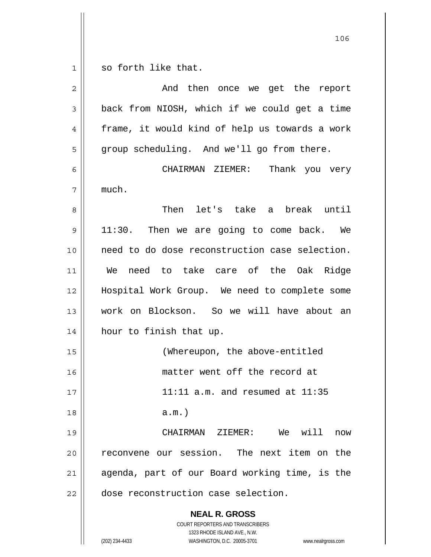so forth like that.

1

| $\overline{c}$ | And then once we get the report                                                                                                                                 |
|----------------|-----------------------------------------------------------------------------------------------------------------------------------------------------------------|
| $\mathfrak{Z}$ | back from NIOSH, which if we could get a time                                                                                                                   |
| 4              | frame, it would kind of help us towards a work                                                                                                                  |
| 5              | group scheduling. And we'll go from there.                                                                                                                      |
| 6              | CHAIRMAN ZIEMER: Thank you very                                                                                                                                 |
| 7              | much.                                                                                                                                                           |
| 8              | Then let's take a break until                                                                                                                                   |
| 9              | 11:30. Then we are going to come back. We                                                                                                                       |
| 10             | need to do dose reconstruction case selection.                                                                                                                  |
| 11             | need to take care of the Oak Ridge<br>We                                                                                                                        |
| 12             | Hospital Work Group. We need to complete some                                                                                                                   |
| 13             | work on Blockson. So we will have about an                                                                                                                      |
| 14             | hour to finish that up.                                                                                                                                         |
| 15             | (Whereupon, the above-entitled                                                                                                                                  |
| 16             | matter went off the record at                                                                                                                                   |
| 17             | $11:11$ a.m. and resumed at $11:35$                                                                                                                             |
| 18             | $a.m.$ )                                                                                                                                                        |
| 19             | CHAIRMAN ZIEMER: We will<br>now                                                                                                                                 |
| 20             | reconvene our session. The next item on the                                                                                                                     |
| 21             | agenda, part of our Board working time, is the                                                                                                                  |
| 22             | dose reconstruction case selection.                                                                                                                             |
|                | <b>NEAL R. GROSS</b><br>COURT REPORTERS AND TRANSCRIBERS<br>1323 RHODE ISLAND AVE., N.W.<br>WASHINGTON, D.C. 20005-3701<br>(202) 234-4433<br>www.nealrgross.com |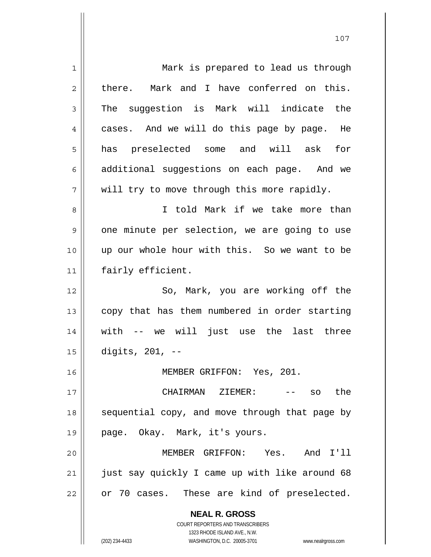| 1  | Mark is prepared to lead us through                                 |
|----|---------------------------------------------------------------------|
| 2  | there. Mark and I have conferred on this.                           |
| 3  | The suggestion is Mark will indicate the                            |
| 4  | cases. And we will do this page by page. He                         |
| 5  | has preselected some and will ask for                               |
| 6  | additional suggestions on each page. And we                         |
| 7  | will try to move through this more rapidly.                         |
| 8  | I told Mark if we take more than                                    |
| 9  | one minute per selection, we are going to use                       |
| 10 | up our whole hour with this. So we want to be                       |
| 11 | fairly efficient.                                                   |
| 12 | So, Mark, you are working off the                                   |
| 13 | copy that has them numbered in order starting                       |
| 14 | with -- we will just use the last three                             |
| 15 | digits, $201, -$                                                    |
| 16 | MEMBER GRIFFON: Yes, 201.                                           |
| 17 | CHAIRMAN ZIEMER:<br>-- so the                                       |
| 18 | sequential copy, and move through that page by                      |
| 19 | page. Okay. Mark, it's yours.                                       |
| 20 | MEMBER GRIFFON: Yes. And I'll                                       |
| 21 | just say quickly I came up with like around 68                      |
| 22 | or 70 cases. These are kind of preselected.                         |
|    | <b>NEAL R. GROSS</b>                                                |
|    | <b>COURT REPORTERS AND TRANSCRIBERS</b>                             |
|    | 1323 RHODE ISLAND AVE., N.W.                                        |
|    | (202) 234-4433<br>WASHINGTON, D.C. 20005-3701<br>www.nealrgross.com |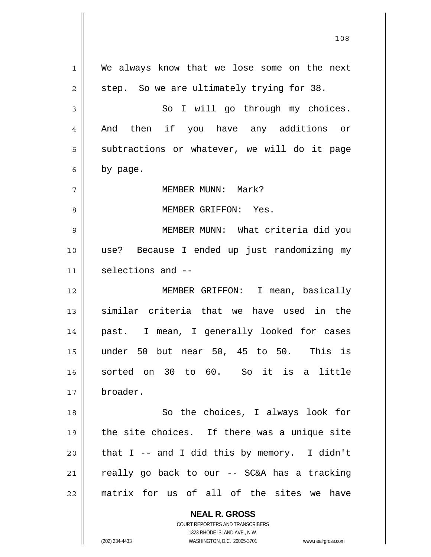**NEAL R. GROSS** 1 2 3 4 5 6 7 8 9 10 11 12 13 14 15 16 17 18 19 20 21 22 We always know that we lose some on the next step. So we are ultimately trying for 38. So I will go through my choices. And then if you have any additions or subtractions or whatever, we will do it page by page. MEMBER MUNN: Mark? MEMBER GRIFFON: Yes. MEMBER MUNN: What criteria did you use? Because I ended up just randomizing my selections and -- MEMBER GRIFFON: I mean, basically similar criteria that we have used in the past. I mean, I generally looked for cases under 50 but near 50, 45 to 50. This is sorted on 30 to 60. So it is a little broader. So the choices, I always look for the site choices. If there was a unique site that I -- and I did this by memory. I didn't really go back to our -- SC&A has a tracking matrix for us of all of the sites we have

108

COURT REPORTERS AND TRANSCRIBERS 1323 RHODE ISLAND AVE., N.W.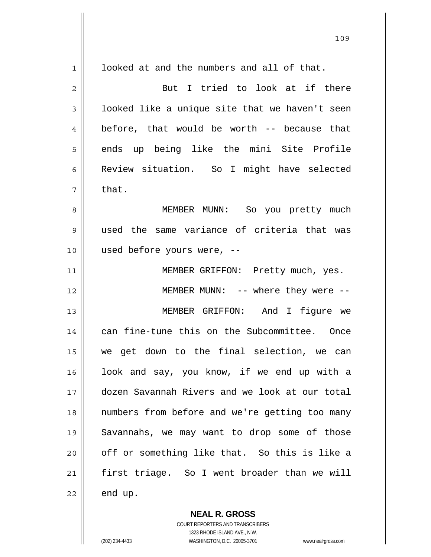| $1\,$          | looked at and the numbers and all of that.     |
|----------------|------------------------------------------------|
| $\overline{c}$ | But I tried to look at if there                |
| 3              | looked like a unique site that we haven't seen |
| 4              | before, that would be worth -- because that    |
| 5              | ends up being like the mini Site Profile       |
| 6              | Review situation. So I might have selected     |
| 7              | that.                                          |
| 8              | MEMBER MUNN: So you pretty much                |
| 9              | used the same variance of criteria that was    |
| 10             | used before yours were, --                     |
| 11             | MEMBER GRIFFON: Pretty much, yes.              |
| 12             | MEMBER MUNN: -- where they were --             |
| 13             | MEMBER GRIFFON: And I figure we                |
| 14             | can fine-tune this on the Subcommittee. Once   |
| 15             | we get down to the final selection, we can     |
| 16             | look and say, you know, if we end up with a    |
| 17             | dozen Savannah Rivers and we look at our total |
| 18             | numbers from before and we're getting too many |
| 19             | Savannahs, we may want to drop some of those   |
| 20             | off or something like that. So this is like a  |
| 21             | first triage. So I went broader than we will   |
| 22             | end up.                                        |

109

**NEAL R. GROSS** COURT REPORTERS AND TRANSCRIBERS 1323 RHODE ISLAND AVE., N.W. (202) 234-4433 WASHINGTON, D.C. 20005-3701 www.nealrgross.com

 $\mathsf{II}$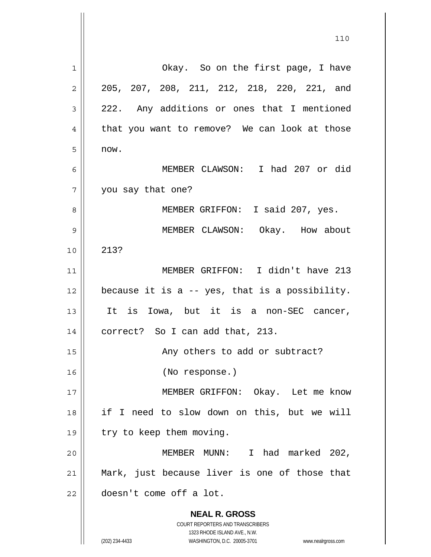| Okay. So on the first page, I have<br>$\mathbf 1$<br>205, 207, 208, 211, 212, 218, 220, 221, and<br>$\mathbf{2}$<br>222. Any additions or ones that I mentioned<br>3<br>that you want to remove? We can look at those<br>4<br>5<br>now.<br>MEMBER CLAWSON: I had 207 or did<br>6<br>7<br>you say that one?<br>MEMBER GRIFFON: I said 207, yes.<br>8<br>9<br>MEMBER CLAWSON: Okay. How about |  |
|---------------------------------------------------------------------------------------------------------------------------------------------------------------------------------------------------------------------------------------------------------------------------------------------------------------------------------------------------------------------------------------------|--|
|                                                                                                                                                                                                                                                                                                                                                                                             |  |
|                                                                                                                                                                                                                                                                                                                                                                                             |  |
|                                                                                                                                                                                                                                                                                                                                                                                             |  |
|                                                                                                                                                                                                                                                                                                                                                                                             |  |
|                                                                                                                                                                                                                                                                                                                                                                                             |  |
|                                                                                                                                                                                                                                                                                                                                                                                             |  |
|                                                                                                                                                                                                                                                                                                                                                                                             |  |
|                                                                                                                                                                                                                                                                                                                                                                                             |  |
|                                                                                                                                                                                                                                                                                                                                                                                             |  |
| 213?<br>10                                                                                                                                                                                                                                                                                                                                                                                  |  |
| MEMBER GRIFFON: I didn't have 213<br>11                                                                                                                                                                                                                                                                                                                                                     |  |
| because it is a $-$ yes, that is a possibility.<br>12                                                                                                                                                                                                                                                                                                                                       |  |
| 13<br>It is Iowa, but it is a non-SEC cancer,                                                                                                                                                                                                                                                                                                                                               |  |
| correct? So I can add that, 213.<br>14                                                                                                                                                                                                                                                                                                                                                      |  |
| 15<br>Any others to add or subtract?                                                                                                                                                                                                                                                                                                                                                        |  |
| 16<br>(No response.)                                                                                                                                                                                                                                                                                                                                                                        |  |
| MEMBER GRIFFON: Okay. Let me know<br>17                                                                                                                                                                                                                                                                                                                                                     |  |
| if I need to slow down on this, but we will<br>18                                                                                                                                                                                                                                                                                                                                           |  |
| try to keep them moving.<br>19                                                                                                                                                                                                                                                                                                                                                              |  |
| MEMBER MUNN: I had marked 202,<br>20                                                                                                                                                                                                                                                                                                                                                        |  |
| Mark, just because liver is one of those that<br>21                                                                                                                                                                                                                                                                                                                                         |  |
| doesn't come off a lot.<br>22                                                                                                                                                                                                                                                                                                                                                               |  |
| <b>NEAL R. GROSS</b><br>COURT REPORTERS AND TRANSCRIBERS                                                                                                                                                                                                                                                                                                                                    |  |
| 1323 RHODE ISLAND AVE., N.W.<br>(202) 234-4433<br>WASHINGTON, D.C. 20005-3701<br>www.nealrgross.com                                                                                                                                                                                                                                                                                         |  |

 $\mathsf{I}$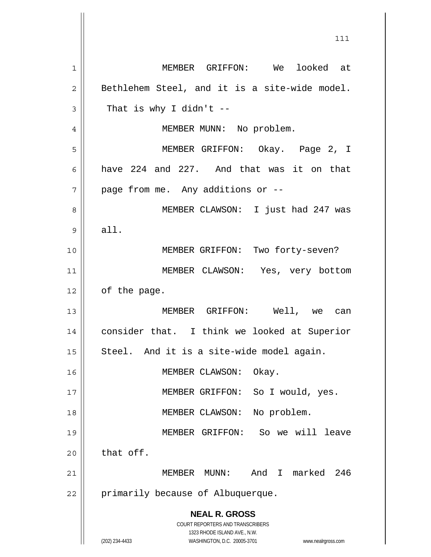**NEAL R. GROSS** COURT REPORTERS AND TRANSCRIBERS 1323 RHODE ISLAND AVE., N.W. (202) 234-4433 WASHINGTON, D.C. 20005-3701 www.nealrgross.com 1 2 3 4 5 6 7 8 9 10 11 12 13 14 15 16 17 18 19 20 21 22 MEMBER GRIFFON: We looked at Bethlehem Steel, and it is a site-wide model. That is why I didn't  $-$  MEMBER MUNN: No problem. MEMBER GRIFFON: Okay. Page 2, I have 224 and 227. And that was it on that page from me. Any additions or -- MEMBER CLAWSON: I just had 247 was all. MEMBER GRIFFON: Two forty-seven? MEMBER CLAWSON: Yes, very bottom of the page. MEMBER GRIFFON: Well, we can consider that. I think we looked at Superior Steel. And it is a site-wide model again. MEMBER CLAWSON: Okay. MEMBER GRIFFON: So I would, yes. MEMBER CLAWSON: No problem. MEMBER GRIFFON: So we will leave that off. MEMBER MUNN: And I marked 246 primarily because of Albuquerque.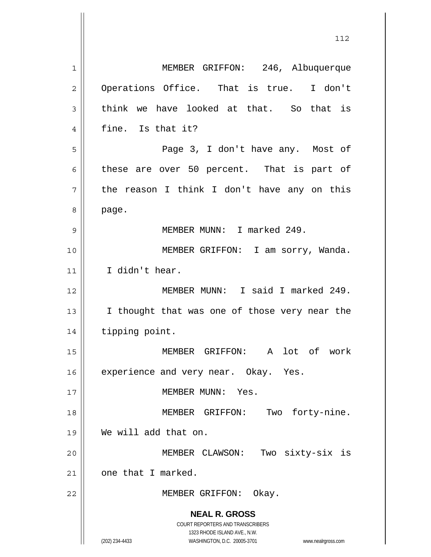**NEAL R. GROSS** COURT REPORTERS AND TRANSCRIBERS 1323 RHODE ISLAND AVE., N.W. (202) 234-4433 WASHINGTON, D.C. 20005-3701 www.nealrgross.com 1 2 3 4 5 6 7 8 9 10 11 12 13 14 15 16 17 18 19 20 21 22 MEMBER GRIFFON: 246, Albuquerque Operations Office. That is true. I don't think we have looked at that. So that is fine. Is that it? Page 3, I don't have any. Most of these are over 50 percent. That is part of the reason I think I don't have any on this page. MEMBER MUNN: I marked 249. MEMBER GRIFFON: I am sorry, Wanda. I didn't hear. MEMBER MUNN: I said I marked 249. I thought that was one of those very near the tipping point. MEMBER GRIFFON: A lot of work experience and very near. Okay. Yes. MEMBER MUNN: Yes. MEMBER GRIFFON: Two forty-nine. We will add that on. MEMBER CLAWSON: Two sixty-six is one that I marked. MEMBER GRIFFON: Okay.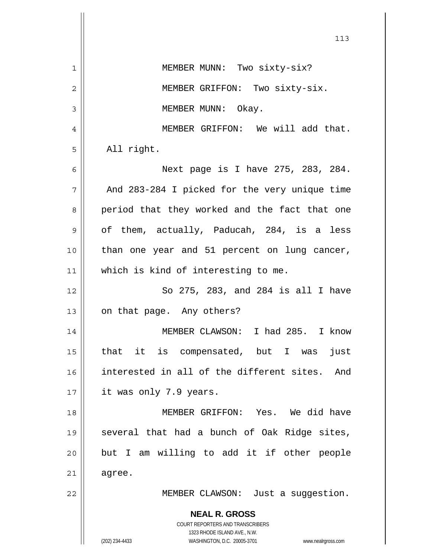|    | 113                                                                                                 |
|----|-----------------------------------------------------------------------------------------------------|
| 1  | MEMBER MUNN: Two sixty-six?                                                                         |
| 2  | MEMBER GRIFFON: Two sixty-six.                                                                      |
| 3  | MEMBER MUNN: Okay.                                                                                  |
| 4  | MEMBER GRIFFON: We will add that.                                                                   |
| 5  | All right.                                                                                          |
| 6  | Next page is I have 275, 283, 284.                                                                  |
| 7  | And 283-284 I picked for the very unique time                                                       |
| 8  | period that they worked and the fact that one                                                       |
| 9  | of them, actually, Paducah, 284, is a less                                                          |
| 10 | than one year and 51 percent on lung cancer,                                                        |
| 11 | which is kind of interesting to me.                                                                 |
| 12 | So 275, 283, and 284 is all I have                                                                  |
| 13 | on that page. Any others?                                                                           |
| 14 | MEMBER CLAWSON: I had 285. I know                                                                   |
| 15 | that it is compensated, but I was<br>just                                                           |
| 16 | interested in all of the different sites. And                                                       |
| 17 | it was only 7.9 years.                                                                              |
| 18 | MEMBER GRIFFON: Yes. We did have                                                                    |
| 19 | several that had a bunch of Oak Ridge sites,                                                        |
| 20 | but I am willing to add it if other people                                                          |
| 21 | agree.                                                                                              |
| 22 | MEMBER CLAWSON: Just a suggestion.                                                                  |
|    | <b>NEAL R. GROSS</b><br><b>COURT REPORTERS AND TRANSCRIBERS</b>                                     |
|    | 1323 RHODE ISLAND AVE., N.W.<br>(202) 234-4433<br>WASHINGTON, D.C. 20005-3701<br>www.nealrgross.com |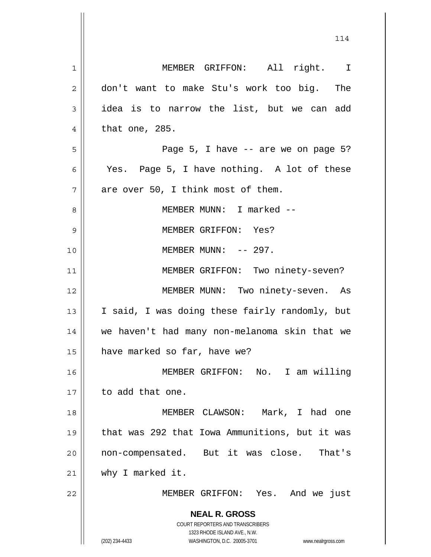**NEAL R. GROSS** COURT REPORTERS AND TRANSCRIBERS 1323 RHODE ISLAND AVE., N.W. (202) 234-4433 WASHINGTON, D.C. 20005-3701 www.nealrgross.com 1 2 3 4 5 6 7 8 9 10 11 12 13 14 15 16 17 18 19 20 21 22 MEMBER GRIFFON: All right. I don't want to make Stu's work too big. The idea is to narrow the list, but we can add that one, 285. Page 5, I have -- are we on page 5? Yes. Page 5, I have nothing. A lot of these are over 50, I think most of them. MEMBER MUNN: I marked -- MEMBER GRIFFON: Yes? MEMBER MUNN:  $-- 297$ . MEMBER GRIFFON: Two ninety-seven? MEMBER MUNN: Two ninety-seven. As I said, I was doing these fairly randomly, but we haven't had many non-melanoma skin that we have marked so far, have we? MEMBER GRIFFON: No. I am willing to add that one. MEMBER CLAWSON: Mark, I had one that was 292 that Iowa Ammunitions, but it was non-compensated. But it was close. That's why I marked it. MEMBER GRIFFON: Yes. And we just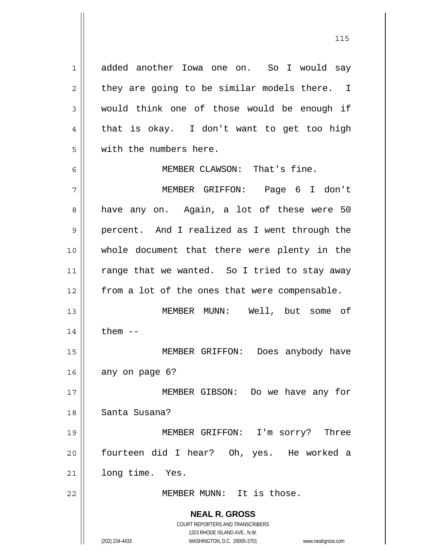added another Iowa one on. So I would say they are going to be similar models there. I would think one of those would be enough if that is okay. I don't want to get too high with the numbers here.

MEMBER CLAWSON: That's fine.

7 8 9 10 11 12 13 14 MEMBER GRIFFON: Page 6 I don't have any on. Again, a lot of these were 50 percent. And I realized as I went through the whole document that there were plenty in the range that we wanted. So I tried to stay away from a lot of the ones that were compensable. MEMBER MUNN: Well, but some of them --

15 16 MEMBER GRIFFON: Does anybody have any on page 6?

17 18 19 MEMBER GIBSON: Do we have any for Santa Susana? MEMBER GRIFFON: I'm sorry? Three

20 21 fourteen did I hear? Oh, yes. He worked a long time. Yes.

MEMBER MUNN: It is those.

**NEAL R. GROSS** COURT REPORTERS AND TRANSCRIBERS 1323 RHODE ISLAND AVE., N.W.

22

1

2

3

4

5

6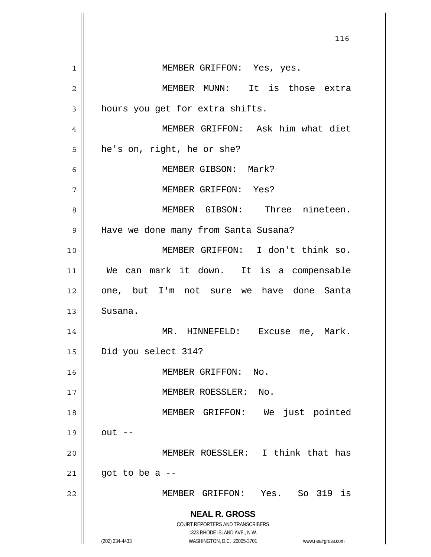**NEAL R. GROSS** COURT REPORTERS AND TRANSCRIBERS 1323 RHODE ISLAND AVE., N.W. (202) 234-4433 WASHINGTON, D.C. 20005-3701 www.nealrgross.com <u>116</u> 1 2 3 4 5 6 7 8 9 10 11 12 13 14 15 16 17 18 19 20 21 22 MEMBER GRIFFON: Yes, yes. MEMBER MUNN: It is those extra hours you get for extra shifts. MEMBER GRIFFON: Ask him what diet he's on, right, he or she? MEMBER GIBSON: Mark? MEMBER GRIFFON: Yes? MEMBER GIBSON: Three nineteen. Have we done many from Santa Susana? MEMBER GRIFFON: I don't think so. We can mark it down. It is a compensable one, but I'm not sure we have done Santa Susana. MR. HINNEFELD: Excuse me, Mark. Did you select 314? MEMBER GRIFFON: No. MEMBER ROESSLER: No. MEMBER GRIFFON: We just pointed  $out$   $--$  MEMBER ROESSLER: I think that has got to be a -- MEMBER GRIFFON: Yes. So 319 is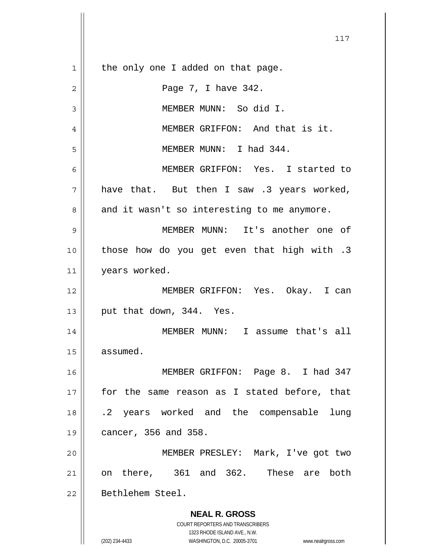**NEAL R. GROSS** COURT REPORTERS AND TRANSCRIBERS 1323 RHODE ISLAND AVE., N.W. (202) 234-4433 WASHINGTON, D.C. 20005-3701 www.nealrgross.com 117 1 2 3 4 5 6 7 8 9 10 11 12 13 14 15 16 17 18 19 20 21 22 the only one I added on that page. Page 7, I have 342. MEMBER MUNN: So did I. MEMBER GRIFFON: And that is it. MEMBER MUNN: I had 344. MEMBER GRIFFON: Yes. I started to have that. But then I saw .3 years worked, and it wasn't so interesting to me anymore. MEMBER MUNN: It's another one of those how do you get even that high with .3 years worked. MEMBER GRIFFON: Yes. Okay. I can put that down, 344. Yes. MEMBER MUNN: I assume that's all assumed. MEMBER GRIFFON: Page 8. I had 347 for the same reason as I stated before, that .2 years worked and the compensable lung cancer, 356 and 358. MEMBER PRESLEY: Mark, I've got two on there, 361 and 362. These are both Bethlehem Steel.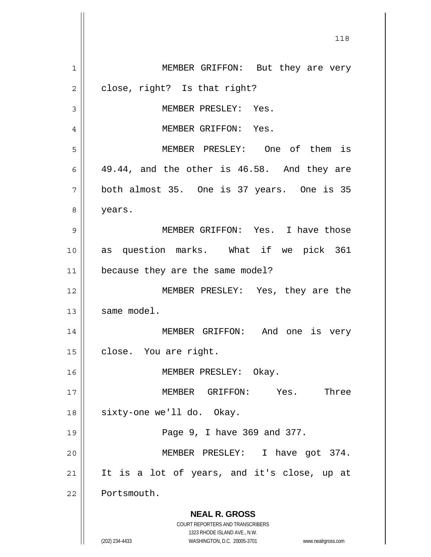**NEAL R. GROSS** COURT REPORTERS AND TRANSCRIBERS 1323 RHODE ISLAND AVE., N.W. (202) 234-4433 WASHINGTON, D.C. 20005-3701 www.nealrgross.com 1 2 3 4 5 6 7 8 9 10 11 12 13 14 15 16 17 18 19 20 21 22 MEMBER GRIFFON: But they are very close, right? Is that right? MEMBER PRESLEY: Yes. MEMBER GRIFFON: Yes. MEMBER PRESLEY: One of them is 49.44, and the other is 46.58. And they are both almost 35. One is 37 years. One is 35 years. MEMBER GRIFFON: Yes. I have those as question marks. What if we pick 361 because they are the same model? MEMBER PRESLEY: Yes, they are the same model. MEMBER GRIFFON: And one is very close. You are right. MEMBER PRESLEY: Okay. MEMBER GRIFFON: Yes. Three sixty-one we'll do. Okay. Page 9, I have 369 and 377. MEMBER PRESLEY: I have got 374. It is a lot of years, and it's close, up at Portsmouth.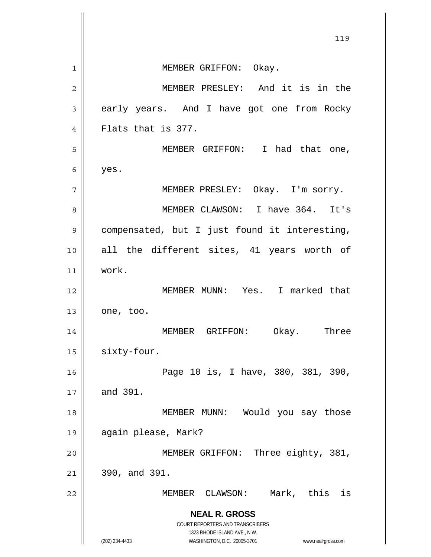**NEAL R. GROSS** COURT REPORTERS AND TRANSCRIBERS 1323 RHODE ISLAND AVE., N.W. (202) 234-4433 WASHINGTON, D.C. 20005-3701 www.nealrgross.com 119 1 2 3 4 5 6 7 8 9 10 11 12 13 14 15 16 17 18 19 20 21 22 MEMBER GRIFFON: Okay. MEMBER PRESLEY: And it is in the early years. And I have got one from Rocky Flats that is 377. MEMBER GRIFFON: I had that one, yes. MEMBER PRESLEY: Okay. I'm sorry. MEMBER CLAWSON: I have 364. It's compensated, but I just found it interesting, all the different sites, 41 years worth of work. MEMBER MUNN: Yes. I marked that one, too. MEMBER GRIFFON: Okay. Three sixty-four. Page 10 is, I have, 380, 381, 390, and 391. MEMBER MUNN: Would you say those again please, Mark? MEMBER GRIFFON: Three eighty, 381, 390, and 391. MEMBER CLAWSON: Mark, this is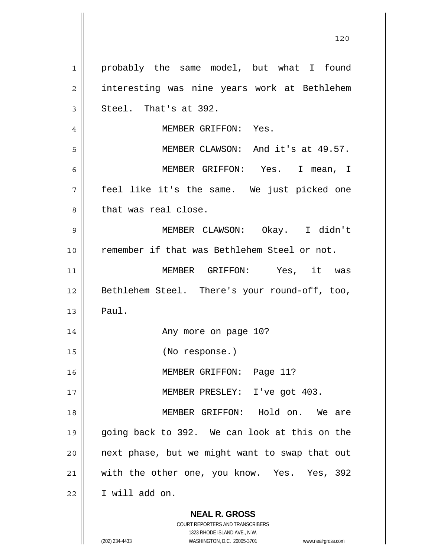**NEAL R. GROSS** 1 2 3 4 5 6 7 8 9 10 11 12 13 14 15 16 17 18 19 20 21 22 probably the same model, but what I found interesting was nine years work at Bethlehem Steel. That's at 392. MEMBER GRIFFON: Yes. MEMBER CLAWSON: And it's at 49.57. MEMBER GRIFFON: Yes. I mean, I feel like it's the same. We just picked one that was real close. MEMBER CLAWSON: Okay. I didn't remember if that was Bethlehem Steel or not. MEMBER GRIFFON: Yes, it was Bethlehem Steel. There's your round-off, too, Paul. Any more on page 10? (No response.) MEMBER GRIFFON: Page 11? MEMBER PRESLEY: I've got 403. MEMBER GRIFFON: Hold on. We are going back to 392. We can look at this on the next phase, but we might want to swap that out with the other one, you know. Yes. Yes, 392 I will add on.

> COURT REPORTERS AND TRANSCRIBERS 1323 RHODE ISLAND AVE., N.W.

(202) 234-4433 WASHINGTON, D.C. 20005-3701 www.nealrgross.com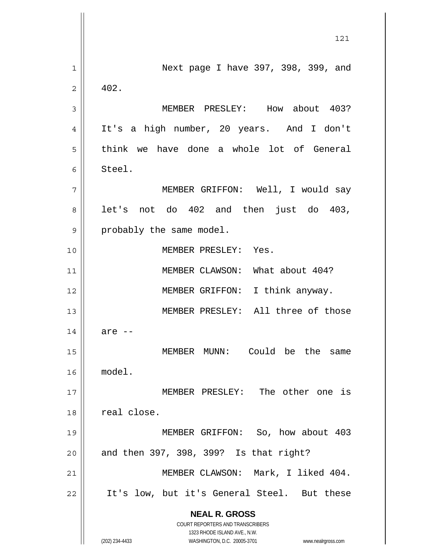**NEAL R. GROSS** COURT REPORTERS AND TRANSCRIBERS 1323 RHODE ISLAND AVE., N.W. (202) 234-4433 WASHINGTON, D.C. 20005-3701 www.nealrgross.com 121 1 2 3 4 5 6 7 8 9 10 11 12 13 14 15 16 17 18 19 20 21 22 Next page I have 397, 398, 399, and 402. MEMBER PRESLEY: How about 403? It's a high number, 20 years. And I don't think we have done a whole lot of General Steel. MEMBER GRIFFON: Well, I would say let's not do 402 and then just do 403, probably the same model. MEMBER PRESLEY: Yes. MEMBER CLAWSON: What about 404? MEMBER GRIFFON: I think anyway. MEMBER PRESLEY: All three of those are -- MEMBER MUNN: Could be the same model. MEMBER PRESLEY: The other one is real close. MEMBER GRIFFON: So, how about 403 and then 397, 398, 399? Is that right? MEMBER CLAWSON: Mark, I liked 404. It's low, but it's General Steel. But these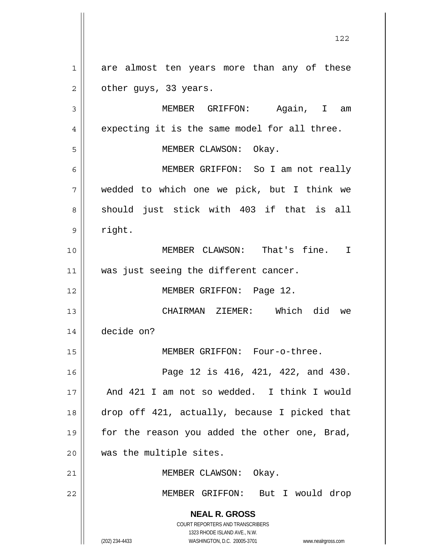1 2 are almost ten years more than any of these other guys, 33 years.

**NEAL R. GROSS** COURT REPORTERS AND TRANSCRIBERS 1323 RHODE ISLAND AVE., N.W. 3 4 5 6 7 8 9 10 11 12 13 14 15 16 17 18 19 20 21 22 MEMBER GRIFFON: Again, I am expecting it is the same model for all three. MEMBER CLAWSON: Okay. MEMBER GRIFFON: So I am not really wedded to which one we pick, but I think we should just stick with 403 if that is all right. MEMBER CLAWSON: That's fine. I was just seeing the different cancer. MEMBER GRIFFON: Page 12. CHAIRMAN ZIEMER: Which did we decide on? MEMBER GRIFFON: Four-o-three. Page 12 is 416, 421, 422, and 430. And 421 I am not so wedded. I think I would drop off 421, actually, because I picked that for the reason you added the other one, Brad, was the multiple sites. MEMBER CLAWSON: Okay. MEMBER GRIFFON: But I would drop

(202) 234-4433 WASHINGTON, D.C. 20005-3701 www.nealrgross.com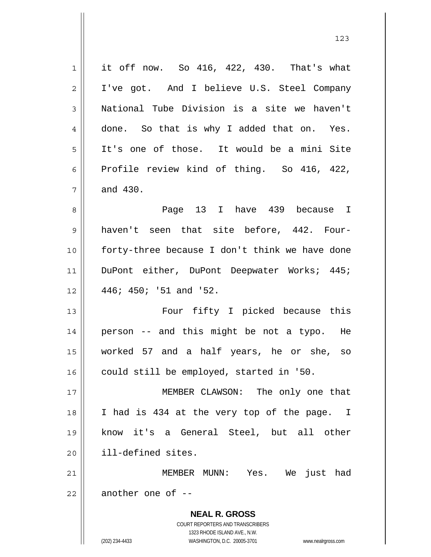**NEAL R. GROSS** COURT REPORTERS AND TRANSCRIBERS 1323 RHODE ISLAND AVE., N.W. (202) 234-4433 WASHINGTON, D.C. 20005-3701 www.nealrgross.com 1 2 3 4 5 6 7 8 9 10 11 12 13 14 15 16 17 18 19 20 21 22 it off now. So 416, 422, 430. That's what I've got. And I believe U.S. Steel Company National Tube Division is a site we haven't done. So that is why I added that on. Yes. It's one of those. It would be a mini Site Profile review kind of thing. So 416, 422, and 430. Page 13 I have 439 because I haven't seen that site before, 442. Fourforty-three because I don't think we have done DuPont either, DuPont Deepwater Works; 445; 446; 450; '51 and '52. Four fifty I picked because this person -- and this might be not a typo. He worked 57 and a half years, he or she, so could still be employed, started in '50. MEMBER CLAWSON: The only one that I had is 434 at the very top of the page. I know it's a General Steel, but all other ill-defined sites. MEMBER MUNN: Yes. We just had another one of --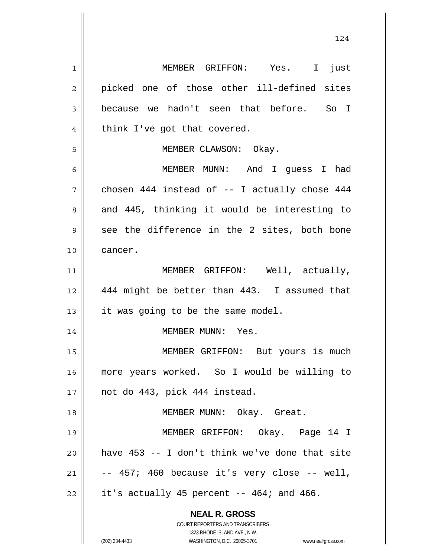**NEAL R. GROSS** COURT REPORTERS AND TRANSCRIBERS 1323 RHODE ISLAND AVE., N.W. 1 2 3 4 5 6 7 8 9 10 11 12 13 14 15 16 17 18 19 20 21 22 MEMBER GRIFFON: Yes. I just picked one of those other ill-defined sites because we hadn't seen that before. So I think I've got that covered. MEMBER CLAWSON: Okay. MEMBER MUNN: And I guess I had chosen 444 instead of -- I actually chose 444 and 445, thinking it would be interesting to see the difference in the 2 sites, both bone cancer. MEMBER GRIFFON: Well, actually, 444 might be better than 443. I assumed that it was going to be the same model. MEMBER MUNN: Yes. MEMBER GRIFFON: But yours is much more years worked. So I would be willing to not do 443, pick 444 instead. MEMBER MUNN: Okay. Great. MEMBER GRIFFON: Okay. Page 14 I have 453 -- I don't think we've done that site -- 457; 460 because it's very close -- well, it's actually 45 percent  $-$  464; and 466.

(202) 234-4433 WASHINGTON, D.C. 20005-3701 www.nealrgross.com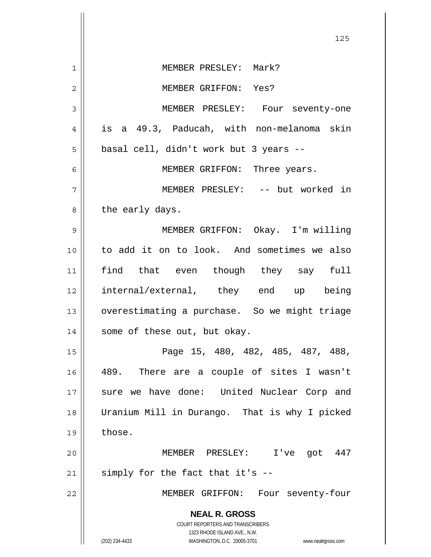|    | 125                                                                 |
|----|---------------------------------------------------------------------|
| 1  | MEMBER PRESLEY: Mark?                                               |
| 2  | MEMBER GRIFFON: Yes?                                                |
| 3  | MEMBER PRESLEY: Four seventy-one                                    |
| 4  | is a 49.3, Paducah, with non-melanoma skin                          |
| 5  | basal cell, didn't work but 3 years --                              |
| 6  | MEMBER GRIFFON: Three years.                                        |
| 7  | MEMBER PRESLEY: -- but worked in                                    |
| 8  | the early days.                                                     |
| 9  | MEMBER GRIFFON: Okay. I'm willing                                   |
| 10 | to add it on to look. And sometimes we also                         |
| 11 | find that even though they say full                                 |
| 12 | internal/external, they end up being                                |
| 13 | overestimating a purchase. So we might triage                       |
| 14 | some of these out, but okay.                                        |
| 15 | Page 15, 480, 482, 485, 487, 488,                                   |
| 16 | 489. There are a couple of sites I wasn't                           |
| 17 | sure we have done: United Nuclear Corp and                          |
| 18 | Uranium Mill in Durango. That is why I picked                       |
| 19 | those.                                                              |
| 20 | MEMBER PRESLEY: I've got 447                                        |
| 21 | simply for the fact that it's --                                    |
| 22 | MEMBER GRIFFON: Four seventy-four                                   |
|    | <b>NEAL R. GROSS</b>                                                |
|    | COURT REPORTERS AND TRANSCRIBERS<br>1323 RHODE ISLAND AVE., N.W.    |
|    | (202) 234-4433<br>WASHINGTON, D.C. 20005-3701<br>www.nealrgross.com |

 $\mathbb{I}$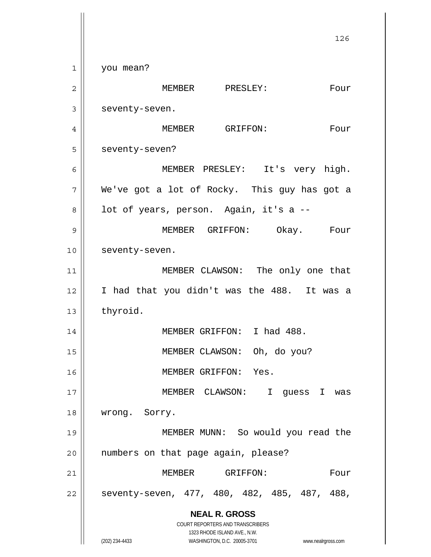**NEAL R. GROSS** COURT REPORTERS AND TRANSCRIBERS 1323 RHODE ISLAND AVE., N.W. (202) 234-4433 WASHINGTON, D.C. 20005-3701 www.nealrgross.com 126 1 2 3 4 5 6 7 8 9 10 11 12 13 14 15 16 17 18 19 20 21 22 you mean? MEMBER PRESLEY: Four seventy-seven. MEMBER GRIFFON: Four seventy-seven? MEMBER PRESLEY: It's very high. We've got a lot of Rocky. This guy has got a lot of years, person. Again, it's a -- MEMBER GRIFFON: Okay. Four seventy-seven. MEMBER CLAWSON: The only one that I had that you didn't was the 488. It was a thyroid. MEMBER GRIFFON: I had 488. MEMBER CLAWSON: Oh, do you? MEMBER GRIFFON: Yes. MEMBER CLAWSON: I guess I was wrong. Sorry. MEMBER MUNN: So would you read the numbers on that page again, please? MEMBER GRIFFON: Four seventy-seven, 477, 480, 482, 485, 487, 488,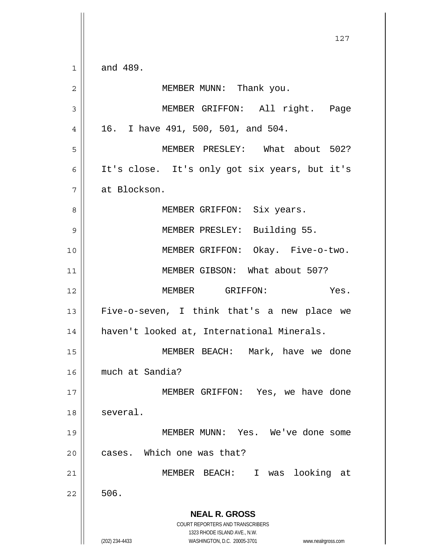**NEAL R. GROSS** COURT REPORTERS AND TRANSCRIBERS 1323 RHODE ISLAND AVE., N.W. (202) 234-4433 WASHINGTON, D.C. 20005-3701 www.nealrgross.com 127 1 2 3 4 5 6 7 8 9 10 11 12 13 14 15 16 17 18 19 20 21 22 and 489. MEMBER MUNN: Thank you. MEMBER GRIFFON: All right. Page 16. I have 491, 500, 501, and 504. MEMBER PRESLEY: What about 502? It's close. It's only got six years, but it's at Blockson. MEMBER GRIFFON: Six years. MEMBER PRESLEY: Building 55. MEMBER GRIFFON: Okay. Five-o-two. MEMBER GIBSON: What about 507? MEMBER GRIFFON: Yes. Five-o-seven, I think that's a new place we haven't looked at, International Minerals. MEMBER BEACH: Mark, have we done much at Sandia? MEMBER GRIFFON: Yes, we have done several. MEMBER MUNN: Yes. We've done some cases. Which one was that? MEMBER BEACH: I was looking at 506.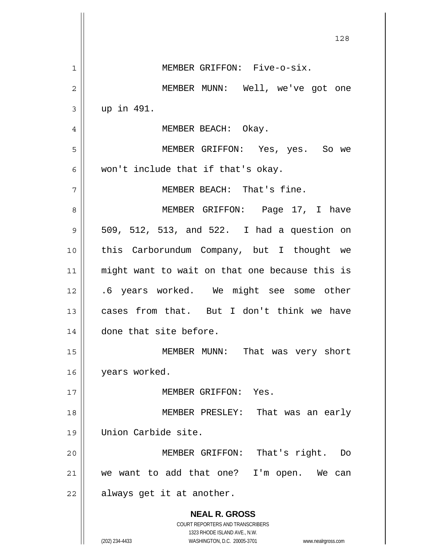| 128                                                                                                 |
|-----------------------------------------------------------------------------------------------------|
| MEMBER GRIFFON: Five-o-six.                                                                         |
| MEMBER MUNN: Well, we've got one                                                                    |
| up in 491.                                                                                          |
| MEMBER BEACH: Okay.                                                                                 |
| MEMBER GRIFFON: Yes, yes. So we                                                                     |
| won't include that if that's okay.                                                                  |
| MEMBER BEACH: That's fine.                                                                          |
| MEMBER GRIFFON: Page 17, I have                                                                     |
| 509, 512, 513, and 522. I had a question on                                                         |
| this Carborundum Company, but I thought we                                                          |
| might want to wait on that one because this is                                                      |
| .6 years worked. We might see some other                                                            |
| cases from that. But I don't think we have                                                          |
| done that site before.                                                                              |
| MEMBER MUNN:<br>That was very short                                                                 |
| years worked.                                                                                       |
| MEMBER GRIFFON: Yes.                                                                                |
| MEMBER PRESLEY: That was an early                                                                   |
| Union Carbide site.                                                                                 |
| That's right.<br>MEMBER GRIFFON:<br>Do                                                              |
| we want to add that one?<br>I'm open.<br>We<br>can                                                  |
| always get it at another.                                                                           |
| <b>NEAL R. GROSS</b><br><b>COURT REPORTERS AND TRANSCRIBERS</b>                                     |
| 1323 RHODE ISLAND AVE., N.W.<br>(202) 234-4433<br>WASHINGTON, D.C. 20005-3701<br>www.nealrgross.com |
|                                                                                                     |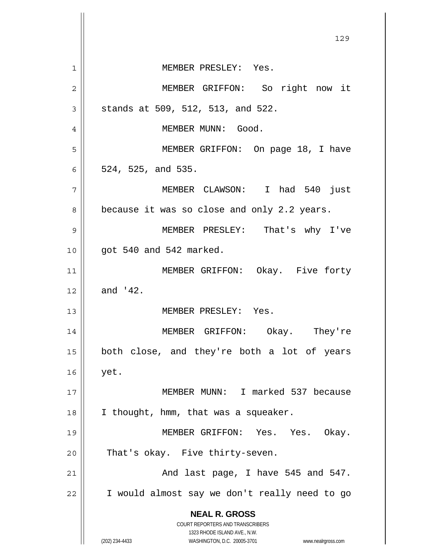**NEAL R. GROSS** COURT REPORTERS AND TRANSCRIBERS 1323 RHODE ISLAND AVE., N.W. (202) 234-4433 WASHINGTON, D.C. 20005-3701 www.nealrgross.com 129 1 2 3 4 5 6 7 8 9 10 11 12 13 14 15 16 17 18 19 20 21 22 MEMBER PRESLEY: Yes. MEMBER GRIFFON: So right now it stands at 509, 512, 513, and 522. MEMBER MUNN: Good. MEMBER GRIFFON: On page 18, I have 524, 525, and 535. MEMBER CLAWSON: I had 540 just because it was so close and only 2.2 years. MEMBER PRESLEY: That's why I've got 540 and 542 marked. MEMBER GRIFFON: Okay. Five forty and '42. MEMBER PRESLEY: Yes. MEMBER GRIFFON: Okay. They're both close, and they're both a lot of years yet. MEMBER MUNN: I marked 537 because I thought, hmm, that was a squeaker. MEMBER GRIFFON: Yes. Yes. Okay. That's okay. Five thirty-seven. And last page, I have 545 and 547. I would almost say we don't really need to go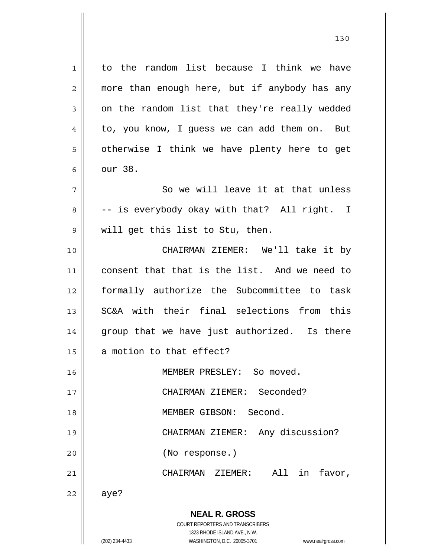| $\mathbf 1$    | to the random list because I think we have                                                          |
|----------------|-----------------------------------------------------------------------------------------------------|
| $\overline{2}$ | more than enough here, but if anybody has any                                                       |
| 3              | on the random list that they're really wedded                                                       |
| 4              | to, you know, I guess we can add them on. But                                                       |
| 5              | otherwise I think we have plenty here to get                                                        |
| 6              | our 38.                                                                                             |
| 7              | So we will leave it at that unless                                                                  |
| 8              | -- is everybody okay with that? All right. I                                                        |
| 9              | will get this list to Stu, then.                                                                    |
| 10             | CHAIRMAN ZIEMER: We'll take it by                                                                   |
| 11             | consent that that is the list. And we need to                                                       |
| 12             | formally authorize the Subcommittee to task                                                         |
| 13             | SC&A with their final selections from this                                                          |
| 14             | group that we have just authorized. Is there                                                        |
| 15             | a motion to that effect?                                                                            |
| 16             | MEMBER PRESLEY: So moved.                                                                           |
| 17             | Seconded?<br>CHAIRMAN ZIEMER:                                                                       |
| 18             | Second.<br>MEMBER GIBSON:                                                                           |
| 19             | Any discussion?<br>CHAIRMAN ZIEMER:                                                                 |
| 20             | (No response.)                                                                                      |
| 21             | All<br>in<br>CHAIRMAN ZIEMER:<br>favor,                                                             |
| 22             | aye?                                                                                                |
|                | <b>NEAL R. GROSS</b><br><b>COURT REPORTERS AND TRANSCRIBERS</b>                                     |
|                | 1323 RHODE ISLAND AVE., N.W.<br>(202) 234-4433<br>WASHINGTON, D.C. 20005-3701<br>www.nealrgross.com |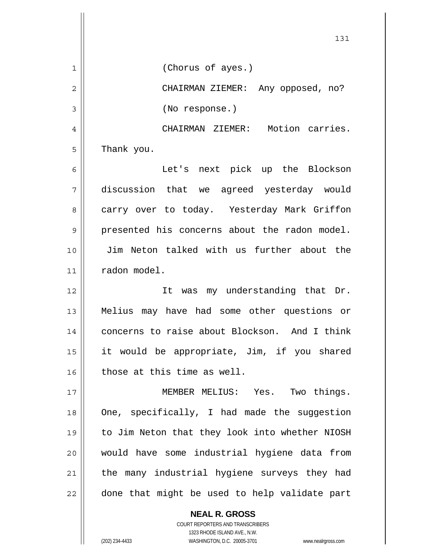|    | 131                                            |
|----|------------------------------------------------|
| 1  | (Chorus of ayes.)                              |
| 2  | CHAIRMAN ZIEMER: Any opposed, no?              |
| 3  | (No response.)                                 |
| 4  | CHAIRMAN ZIEMER: Motion carries.               |
| 5  | Thank you.                                     |
| 6  | Let's next pick up the Blockson                |
| 7  | discussion that we agreed yesterday would      |
| 8  | carry over to today. Yesterday Mark Griffon    |
| 9  | presented his concerns about the radon model.  |
| 10 | Jim Neton talked with us further about the     |
| 11 | radon model.                                   |
| 12 | It was my understanding that Dr.               |
| 13 | Melius may have had some other questions or    |
| 14 | concerns to raise about Blockson. And I think  |
| 15 | it would be appropriate, Jim, if you shared    |
| 16 | those at this time as well.                    |
| 17 | MEMBER MELIUS: Yes. Two things.                |
| 18 | One, specifically, I had made the suggestion   |
| 19 | to Jim Neton that they look into whether NIOSH |
| 20 | would have some industrial hygiene data from   |
| 21 | the many industrial hygiene surveys they had   |
| 22 | done that might be used to help validate part  |

COURT REPORTERS AND TRANSCRIBERS 1323 RHODE ISLAND AVE., N.W. (202) 234-4433 WASHINGTON, D.C. 20005-3701 www.nealrgross.com

**NEAL R. GROSS**

 $\mathbf{I}$ 

 $\mathsf{I}$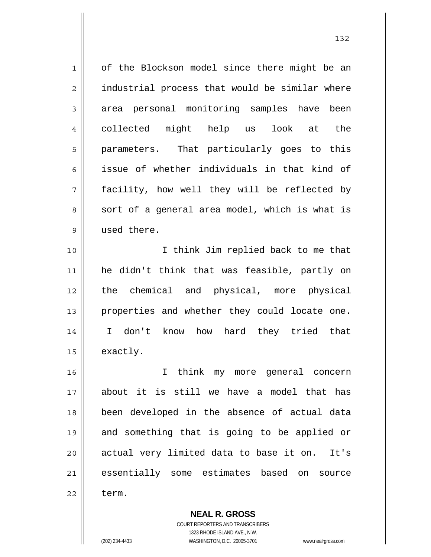| $\mathbf 1$    | of the Blockson model since there might be an  |
|----------------|------------------------------------------------|
| $\overline{2}$ | industrial process that would be similar where |
| $\mathsf 3$    | area personal monitoring samples have been     |
| 4              | collected might help us look at the            |
| 5              | parameters. That particularly goes to this     |
| 6              | issue of whether individuals in that kind of   |
| 7              | facility, how well they will be reflected by   |
| 8              | sort of a general area model, which is what is |
| $\mathsf 9$    | used there.                                    |
| 10             | I think Jim replied back to me that            |
| 11             | he didn't think that was feasible, partly on   |
| 12             | the chemical and physical, more physical       |
| 13             | properties and whether they could locate one.  |
| 14             | I don't know how hard they tried that          |
| 15             | exactly.                                       |
| 16             | I think my more general concern                |
| 17             | about it is still we have a model that has     |
| 18             | been developed in the absence of actual data   |
| 19             | and something that is going to be applied or   |
| 20             | actual very limited data to base it on. It's   |
| 21             | essentially some estimates based on source     |
| 22             | term.                                          |

**NEAL R. GROSS** COURT REPORTERS AND TRANSCRIBERS 1323 RHODE ISLAND AVE., N.W.

 $\mathsf{II}$ 

(202) 234-4433 WASHINGTON, D.C. 20005-3701 www.nealrgross.com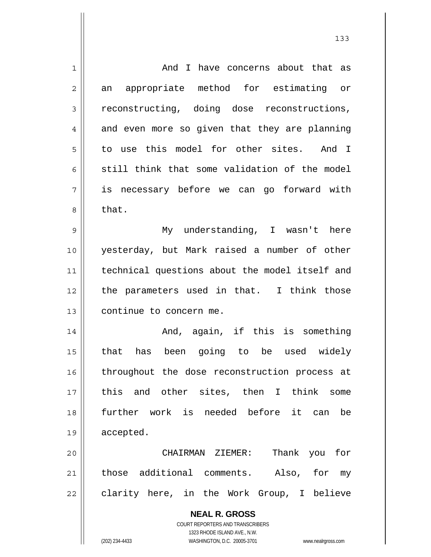| 1  | And I have concerns about that as                                   |
|----|---------------------------------------------------------------------|
| 2  | appropriate method for estimating or<br>an                          |
| 3  | reconstructing, doing dose reconstructions,                         |
| 4  | and even more so given that they are planning                       |
| 5  | to use this model for other sites. And I                            |
| 6  | still think that some validation of the model                       |
| 7  | is necessary before we can go forward with                          |
| 8  | that.                                                               |
| 9  | My understanding, I wasn't here                                     |
| 10 | yesterday, but Mark raised a number of other                        |
| 11 | technical questions about the model itself and                      |
| 12 | the parameters used in that. I think those                          |
| 13 | continue to concern me.                                             |
| 14 | And, again, if this is something                                    |
| 15 | that has been going to be used widely                               |
| 16 | throughout the dose reconstruction process at                       |
| 17 | this and other sites, then I think<br>some                          |
| 18 | further work is needed before<br>it can<br>be                       |
| 19 | accepted.                                                           |
| 20 | Thank you for<br>CHAIRMAN ZIEMER:                                   |
| 21 | those additional comments. Also, for my                             |
| 22 | clarity here, in the Work Group, I believe                          |
|    | <b>NEAL R. GROSS</b>                                                |
|    | COURT REPORTERS AND TRANSCRIBERS                                    |
|    | 1323 RHODE ISLAND AVE., N.W.                                        |
|    | (202) 234-4433<br>WASHINGTON, D.C. 20005-3701<br>www.nealrgross.com |

133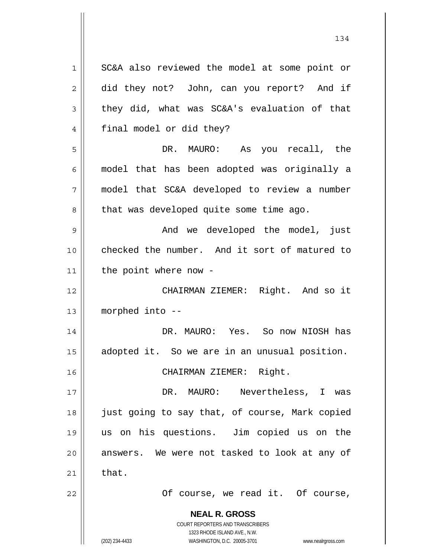**NEAL R. GROSS** COURT REPORTERS AND TRANSCRIBERS 1323 RHODE ISLAND AVE., N.W. (202) 234-4433 WASHINGTON, D.C. 20005-3701 www.nealrgross.com 1 2 3 4 5 6 7 8 9 10 11 12 13 14 15 16 17 18 19 20 21 22 SC&A also reviewed the model at some point or did they not? John, can you report? And if they did, what was SC&A's evaluation of that final model or did they? DR. MAURO: As you recall, the model that has been adopted was originally a model that SC&A developed to review a number that was developed quite some time ago. And we developed the model, just checked the number. And it sort of matured to the point where now - CHAIRMAN ZIEMER: Right. And so it morphed into -- DR. MAURO: Yes. So now NIOSH has adopted it. So we are in an unusual position. CHAIRMAN ZIEMER: Right. DR. MAURO: Nevertheless, I was just going to say that, of course, Mark copied us on his questions. Jim copied us on the answers. We were not tasked to look at any of that. Of course, we read it. Of course,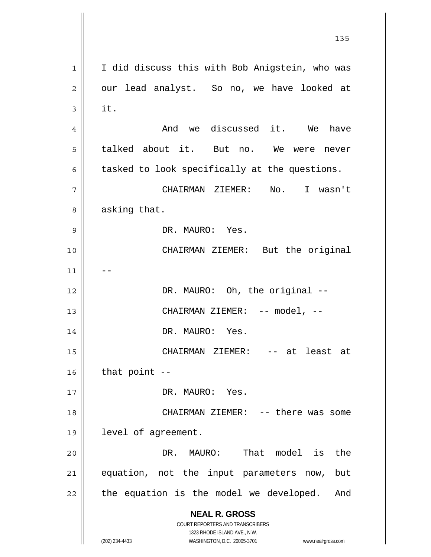**NEAL R. GROSS** COURT REPORTERS AND TRANSCRIBERS 1323 RHODE ISLAND AVE., N.W. (202) 234-4433 WASHINGTON, D.C. 20005-3701 www.nealrgross.com <u>135</u> 1 2 3 4 5 6 7 8 9 10 11 12 13 14 15 16 17 18 19 20 21 22 I did discuss this with Bob Anigstein, who was our lead analyst. So no, we have looked at it. And we discussed it. We have talked about it. But no. We were never tasked to look specifically at the questions. CHAIRMAN ZIEMER: No. I wasn't asking that. DR. MAURO: Yes. CHAIRMAN ZIEMER: But the original -- DR. MAURO: Oh, the original --CHAIRMAN ZIEMER: -- model, -- DR. MAURO: Yes. CHAIRMAN ZIEMER: -- at least at that point -- DR. MAURO: Yes. CHAIRMAN ZIEMER: -- there was some level of agreement. DR. MAURO: That model is the equation, not the input parameters now, but the equation is the model we developed. And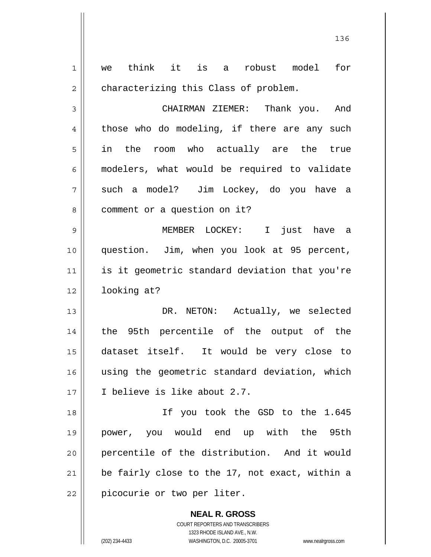| $\mathbf 1$ | think it is a robust model for<br>we           |
|-------------|------------------------------------------------|
| $\mathbf 2$ | characterizing this Class of problem.          |
| 3           | CHAIRMAN ZIEMER: Thank you. And                |
| 4           | those who do modeling, if there are any such   |
| 5           | in the room who actually are the true          |
| 6           | modelers, what would be required to validate   |
| 7           | such a model? Jim Lockey, do you have a        |
| 8           | comment or a question on it?                   |
| $\mathsf 9$ | MEMBER LOCKEY: I just have a                   |
| 10          | question. Jim, when you look at 95 percent,    |
| 11          | is it geometric standard deviation that you're |
| 12          | looking at?                                    |
| 13          | DR. NETON: Actually, we selected               |
| 14          | the 95th percentile of the output of the       |
| 15          | dataset itself. It would be very close to      |
| 16          | using the geometric standard deviation, which  |
| 17          | I believe is like about 2.7.                   |
| 18          | If you took the GSD to the 1.645               |
| 19          | power, you would end up with the 95th          |
| 20          | percentile of the distribution. And it would   |
| 21          | be fairly close to the 17, not exact, within a |
| 22          | picocurie or two per liter.                    |
|             | <b>NEAL R. GROSS</b>                           |

136

COURT REPORTERS AND TRANSCRIBERS 1323 RHODE ISLAND AVE., N.W.

 $\mathsf{II}$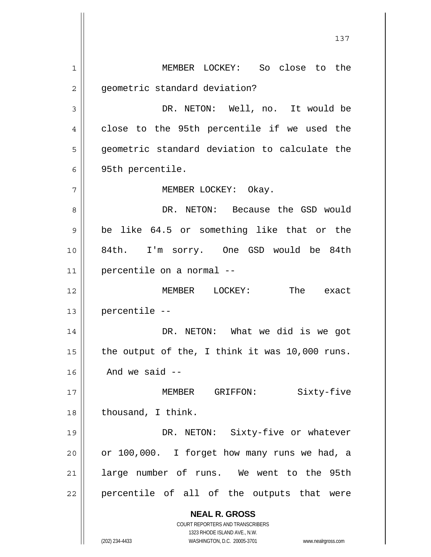**NEAL R. GROSS** COURT REPORTERS AND TRANSCRIBERS 1323 RHODE ISLAND AVE., N.W. (202) 234-4433 WASHINGTON, D.C. 20005-3701 www.nealrgross.com 1 2 3 4 5 6 7 8 9 10 11 12 13 14 15 16 17 18 19 20 21 22 MEMBER LOCKEY: So close to the geometric standard deviation? DR. NETON: Well, no. It would be close to the 95th percentile if we used the geometric standard deviation to calculate the 95th percentile. MEMBER LOCKEY: Okay. DR. NETON: Because the GSD would be like 64.5 or something like that or the 84th. I'm sorry. One GSD would be 84th percentile on a normal -- MEMBER LOCKEY: The exact percentile -- DR. NETON: What we did is we got the output of the, I think it was 10,000 runs. And we said -- MEMBER GRIFFON: Sixty-five thousand, I think. DR. NETON: Sixty-five or whatever or 100,000. I forget how many runs we had, a large number of runs. We went to the 95th percentile of all of the outputs that were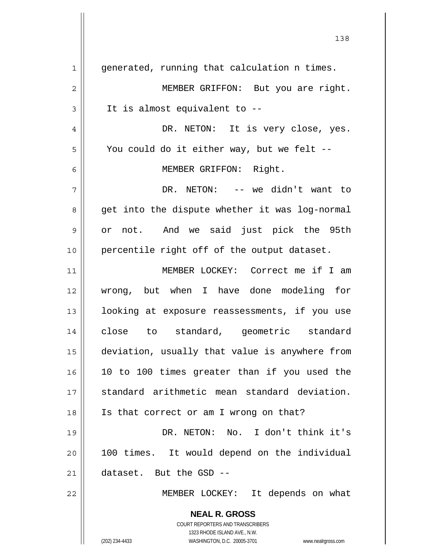**NEAL R. GROSS** COURT REPORTERS AND TRANSCRIBERS 1323 RHODE ISLAND AVE., N.W. (202) 234-4433 WASHINGTON, D.C. 20005-3701 www.nealrgross.com 138 1 2 3 4 5 6 7 8 9 10 11 12 13 14 15 16 17 18 19 20 21 22 generated, running that calculation n times. MEMBER GRIFFON: But you are right. It is almost equivalent to -- DR. NETON: It is very close, yes. You could do it either way, but we felt -- MEMBER GRIFFON: Right. DR. NETON: -- we didn't want to get into the dispute whether it was log-normal or not. And we said just pick the 95th percentile right off of the output dataset. MEMBER LOCKEY: Correct me if I am wrong, but when I have done modeling for looking at exposure reassessments, if you use close to standard, geometric standard deviation, usually that value is anywhere from 10 to 100 times greater than if you used the standard arithmetic mean standard deviation. Is that correct or am I wrong on that? DR. NETON: No. I don't think it's 100 times. It would depend on the individual dataset. But the GSD -- MEMBER LOCKEY: It depends on what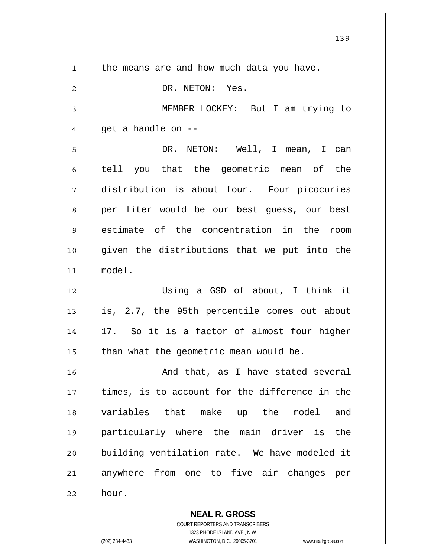1 2 3 4 5 6 7 8 9 10 11 12 13 14 15 16 17 18 19 20 21 22 the means are and how much data you have. DR. NETON: Yes. MEMBER LOCKEY: But I am trying to get a handle on -- DR. NETON: Well, I mean, I can tell you that the geometric mean of the distribution is about four. Four picocuries per liter would be our best guess, our best estimate of the concentration in the room given the distributions that we put into the model. Using a GSD of about, I think it is, 2.7, the 95th percentile comes out about 17. So it is a factor of almost four higher than what the geometric mean would be. And that, as I have stated several times, is to account for the difference in the variables that make up the model and particularly where the main driver is the building ventilation rate. We have modeled it anywhere from one to five air changes per hour.

139

**NEAL R. GROSS** COURT REPORTERS AND TRANSCRIBERS 1323 RHODE ISLAND AVE., N.W.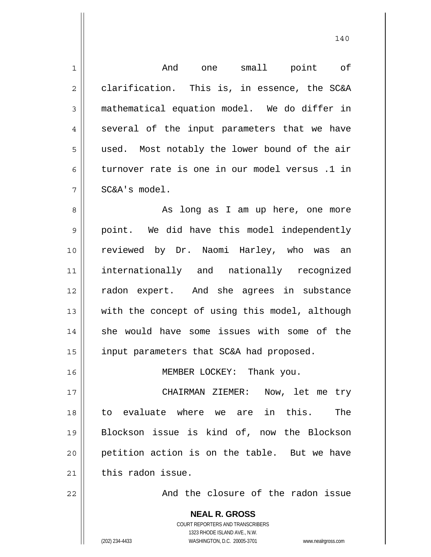| $\mathbf 1$    | And one small point of                                                                          |
|----------------|-------------------------------------------------------------------------------------------------|
| $\overline{c}$ | clarification. This is, in essence, the SC&A                                                    |
| 3              | mathematical equation model. We do differ in                                                    |
| 4              | several of the input parameters that we have                                                    |
| 5              | used. Most notably the lower bound of the air                                                   |
| 6              | turnover rate is one in our model versus .1 in                                                  |
| 7              | SC&A's model.                                                                                   |
| 8              | As long as I am up here, one more                                                               |
| 9              | point. We did have this model independently                                                     |
| 10             | reviewed by Dr. Naomi Harley, who was an                                                        |
| 11             | internationally and nationally recognized                                                       |
| 12             | radon expert. And she agrees in substance                                                       |
| 13             | with the concept of using this model, although                                                  |
| 14             | she would have some issues with some of the                                                     |
| 15             | input parameters that SC&A had proposed.                                                        |
| 16             | MEMBER LOCKEY: Thank you.                                                                       |
| 17             | CHAIRMAN ZIEMER: Now, let me try                                                                |
| 18             | to evaluate where we are in this.<br>The                                                        |
| 19             | Blockson issue is kind of, now the Blockson                                                     |
| 20             | petition action is on the table. But we have                                                    |
| 21             | this radon issue.                                                                               |
| 22             | And the closure of the radon issue                                                              |
|                | <b>NEAL R. GROSS</b><br><b>COURT REPORTERS AND TRANSCRIBERS</b><br>1323 RHODE ISLAND AVE., N.W. |
|                | (202) 234-4433<br>WASHINGTON, D.C. 20005-3701<br>www.nealrgross.com                             |

140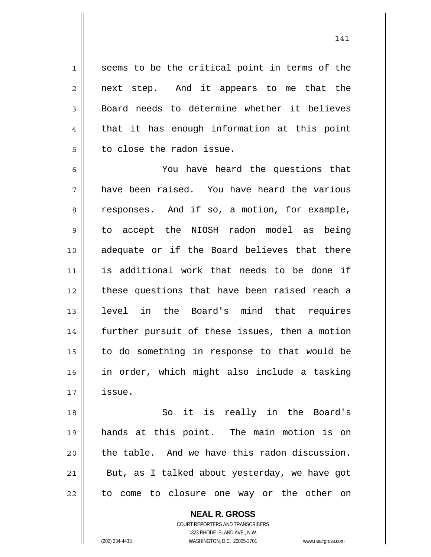seems to be the critical point in terms of the next step. And it appears to me that the Board needs to determine whether it believes that it has enough information at this point to close the radon issue.

6 7 8 9 10 11 12 13 14 15 16 17 You have heard the questions that have been raised. You have heard the various responses. And if so, a motion, for example, to accept the NIOSH radon model as being adequate or if the Board believes that there is additional work that needs to be done if these questions that have been raised reach a level in the Board's mind that requires further pursuit of these issues, then a motion to do something in response to that would be in order, which might also include a tasking issue.

18 19 20 21 22 So it is really in the Board's hands at this point. The main motion is on the table. And we have this radon discussion. But, as I talked about yesterday, we have got to come to closure one way or the other on

> **NEAL R. GROSS** COURT REPORTERS AND TRANSCRIBERS

1

2

3

4

5

1323 RHODE ISLAND AVE., N.W. (202) 234-4433 WASHINGTON, D.C. 20005-3701 www.nealrgross.com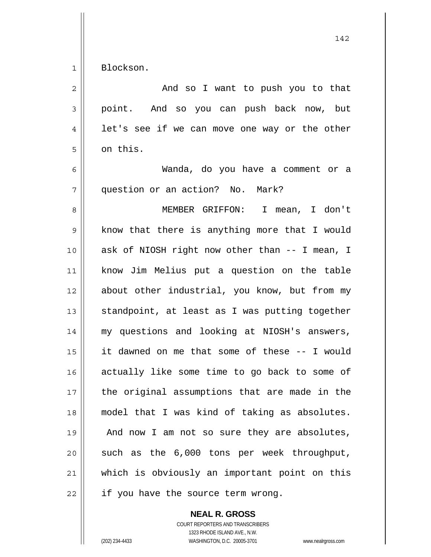1 Blockson.

| 2  | And so I want to push you to that              |
|----|------------------------------------------------|
| 3  | point. And so you can push back now, but       |
| 4  | let's see if we can move one way or the other  |
| 5  | on this.                                       |
| 6  | Wanda, do you have a comment or a              |
| 7  | question or an action? No. Mark?               |
| 8  | MEMBER GRIFFON: I mean, I don't                |
| 9  | know that there is anything more that I would  |
| 10 | ask of NIOSH right now other than -- I mean, I |
| 11 | know Jim Melius put a question on the table    |
| 12 | about other industrial, you know, but from my  |
| 13 | standpoint, at least as I was putting together |
| 14 | my questions and looking at NIOSH's answers,   |
| 15 | it dawned on me that some of these -- I would  |
| 16 | actually like some time to go back to some of  |
| 17 | the original assumptions that are made in the  |
| 18 | model that I was kind of taking as absolutes.  |
| 19 | And now I am not so sure they are absolutes,   |
| 20 | such as the 6,000 tons per week throughput,    |
| 21 | which is obviously an important point on this  |
| 22 | if you have the source term wrong.             |

**NEAL R. GROSS**

COURT REPORTERS AND TRANSCRIBERS 1323 RHODE ISLAND AVE., N.W. (202) 234-4433 WASHINGTON, D.C. 20005-3701 www.nealrgross.com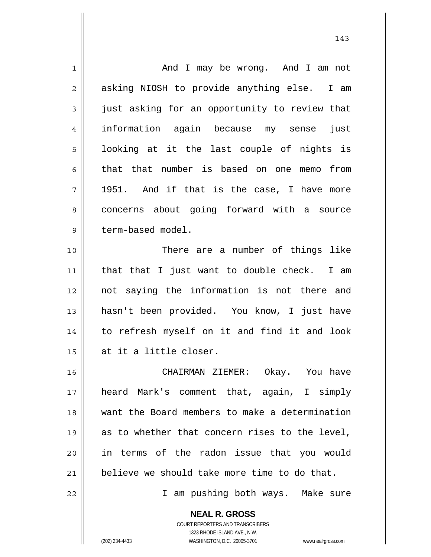| 1  | And I may be wrong. And I am not               |
|----|------------------------------------------------|
| 2  | asking NIOSH to provide anything else.<br>I am |
| 3  | just asking for an opportunity to review that  |
| 4  | information again because my sense<br>just     |
| 5  | looking at it the last couple of nights is     |
| 6  | that that number is based on one memo<br>from  |
| 7  | 1951. And if that is the case, I have more     |
| 8  | concerns about going forward with a source     |
| 9  | term-based model.                              |
| 10 | There are a number of things like              |
| 11 | that that I just want to double check. I am    |
| 12 | not saying the information is not there and    |
| 13 | hasn't been provided. You know, I just have    |
| 14 | to refresh myself on it and find it and look   |
| 15 | at it a little closer.                         |
| 16 | CHAIRMAN ZIEMER: Okay. You have                |
| 17 | heard Mark's comment that, again, I simply     |
| 18 | want the Board members to make a determination |
| 19 | as to whether that concern rises to the level, |
| 20 | in terms of the radon issue that you would     |
| 21 | believe we should take more time to do that.   |
| 22 | I am pushing both ways. Make sure              |
|    | <b>NEAL R. GROSS</b>                           |

143

COURT REPORTERS AND TRANSCRIBERS 1323 RHODE ISLAND AVE., N.W.

 $\mathsf{II}$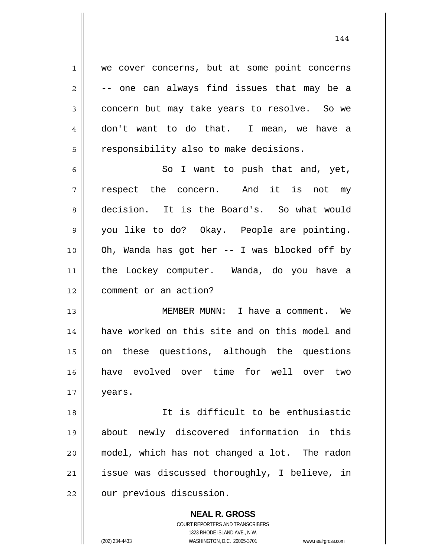1 we cover concerns, but at some point concerns -- one can always find issues that may be a concern but may take years to resolve. So we don't want to do that. I mean, we have a responsibility also to make decisions.

2

3

4

5

6 7 8 9 10 11 12 So I want to push that and, yet, respect the concern. And it is not my decision. It is the Board's. So what would you like to do? Okay. People are pointing. Oh, Wanda has got her -- I was blocked off by the Lockey computer. Wanda, do you have a comment or an action?

13 14 15 16 17 MEMBER MUNN: I have a comment. We have worked on this site and on this model and on these questions, although the questions have evolved over time for well over two years.

18 19 20 21 22 It is difficult to be enthusiastic about newly discovered information in this model, which has not changed a lot. The radon issue was discussed thoroughly, I believe, in our previous discussion.

> **NEAL R. GROSS** COURT REPORTERS AND TRANSCRIBERS 1323 RHODE ISLAND AVE., N.W. (202) 234-4433 WASHINGTON, D.C. 20005-3701 www.nealrgross.com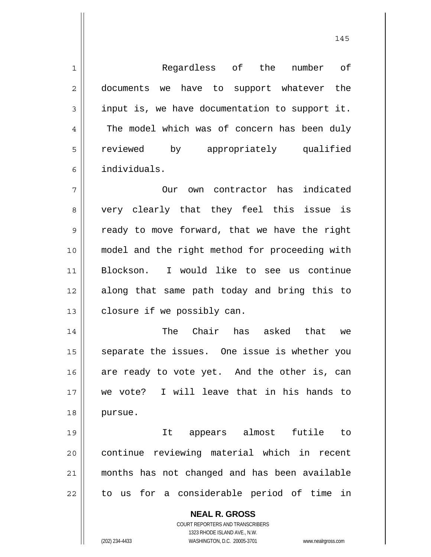1 2 3 4 5 6 7 8 Regardless of the number of documents we have to support whatever the input is, we have documentation to support it. The model which was of concern has been duly reviewed by appropriately qualified individuals. Our own contractor has indicated very clearly that they feel this issue is ready to move forward, that we have the right

9 10 11 12 13 model and the right method for proceeding with Blockson. I would like to see us continue along that same path today and bring this to closure if we possibly can.

14 15 16 17 18 The Chair has asked that we separate the issues. One issue is whether you are ready to vote yet. And the other is, can we vote? I will leave that in his hands to pursue.

19 20 21 22 It appears almost futile to continue reviewing material which in recent months has not changed and has been available to us for a considerable period of time in

> **NEAL R. GROSS** COURT REPORTERS AND TRANSCRIBERS

> > 1323 RHODE ISLAND AVE., N.W.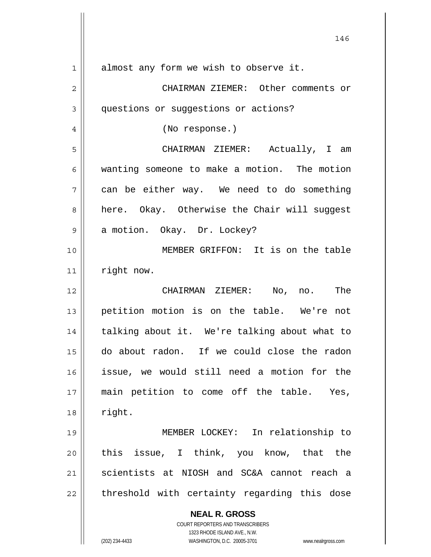| 1  | almost any form we wish to observe it.                                  |
|----|-------------------------------------------------------------------------|
| 2  | CHAIRMAN ZIEMER: Other comments or                                      |
| 3  | questions or suggestions or actions?                                    |
| 4  | (No response.)                                                          |
| 5  | CHAIRMAN ZIEMER: Actually, I am                                         |
| 6  | wanting someone to make a motion. The motion                            |
| 7  | can be either way. We need to do something                              |
| 8  | here. Okay. Otherwise the Chair will suggest                            |
| 9  | a motion. Okay. Dr. Lockey?                                             |
| 10 | MEMBER GRIFFON: It is on the table                                      |
| 11 | right now.                                                              |
| 12 | CHAIRMAN ZIEMER: No, no. The                                            |
| 13 | petition motion is on the table. We're not                              |
| 14 | talking about it. We're talking about what to                           |
| 15 | do about radon. If we could close the radon                             |
| 16 | issue, we would still need a motion for the                             |
| 17 | main petition to come off the table. Yes,                               |
| 18 | right.                                                                  |
| 19 | MEMBER LOCKEY: In relationship to                                       |
| 20 | this issue, I think, you know, that the                                 |
| 21 | scientists at NIOSH and SC&A cannot reach a                             |
| 22 | threshold with certainty regarding this dose                            |
|    | <b>NEAL R. GROSS</b>                                                    |
|    | <b>COURT REPORTERS AND TRANSCRIBERS</b><br>1323 RHODE ISLAND AVE., N.W. |
|    | WASHINGTON, D.C. 20005-3701<br>(202) 234-4433<br>www.nealrgross.com     |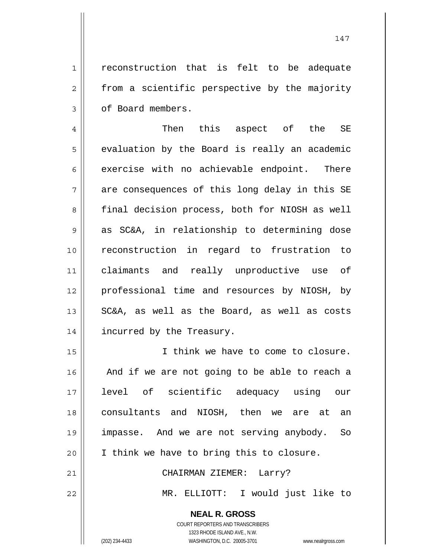reconstruction that is felt to be adequate from a scientific perspective by the majority of Board members.

4 5 6 7 8 9 10 11 12 13 14 Then this aspect of the SE evaluation by the Board is really an academic exercise with no achievable endpoint. There are consequences of this long delay in this SE final decision process, both for NIOSH as well as SC&A, in relationship to determining dose reconstruction in regard to frustration to claimants and really unproductive use of professional time and resources by NIOSH, by SC&A, as well as the Board, as well as costs incurred by the Treasury.

15 16 17 18 19 20 21 I think we have to come to closure. And if we are not going to be able to reach a level of scientific adequacy using our consultants and NIOSH, then we are at an impasse. And we are not serving anybody. So I think we have to bring this to closure. CHAIRMAN ZIEMER: Larry?

22

1

2

3

MR. ELLIOTT: I would just like to

**NEAL R. GROSS**

COURT REPORTERS AND TRANSCRIBERS 1323 RHODE ISLAND AVE., N.W. (202) 234-4433 WASHINGTON, D.C. 20005-3701 www.nealrgross.com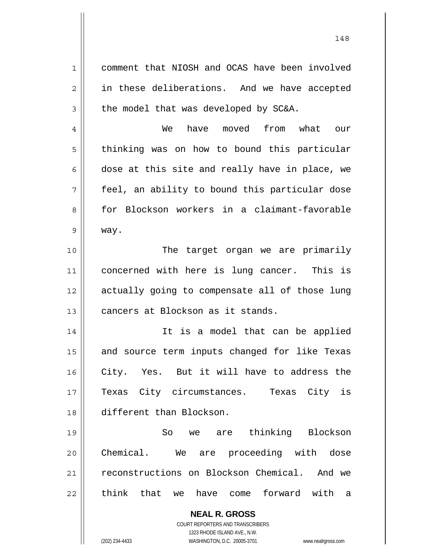**NEAL R. GROSS** COURT REPORTERS AND TRANSCRIBERS 1323 RHODE ISLAND AVE., N.W. 1 2 3 4 5 6 7 8 9 10 11 12 13 14 15 16 17 18 19 20 21 22 comment that NIOSH and OCAS have been involved in these deliberations. And we have accepted the model that was developed by SC&A. We have moved from what our thinking was on how to bound this particular dose at this site and really have in place, we feel, an ability to bound this particular dose for Blockson workers in a claimant-favorable way. The target organ we are primarily concerned with here is lung cancer. This is actually going to compensate all of those lung cancers at Blockson as it stands. It is a model that can be applied and source term inputs changed for like Texas City. Yes. But it will have to address the Texas City circumstances. Texas City is different than Blockson. So we are thinking Blockson Chemical. We are proceeding with dose reconstructions on Blockson Chemical. And we think that we have come forward with a

148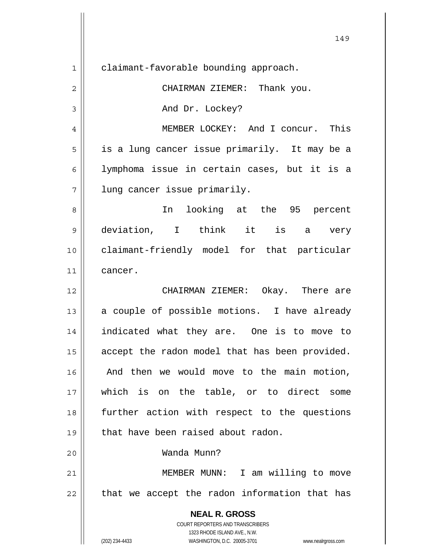| 1              | claimant-favorable bounding approach.                                                               |
|----------------|-----------------------------------------------------------------------------------------------------|
| $\overline{c}$ | CHAIRMAN ZIEMER: Thank you.                                                                         |
| 3              | And Dr. Lockey?                                                                                     |
| 4              | MEMBER LOCKEY: And I concur. This                                                                   |
| 5              | is a lung cancer issue primarily. It may be a                                                       |
| 6              | lymphoma issue in certain cases, but it is a                                                        |
| 7              | lung cancer issue primarily.                                                                        |
| 8              | looking at the 95 percent<br>In                                                                     |
| 9              | deviation, I think it is a very                                                                     |
| 10             | claimant-friendly model for that particular                                                         |
| 11             | cancer.                                                                                             |
| 12             | CHAIRMAN ZIEMER: Okay. There are                                                                    |
| 13             | a couple of possible motions. I have already                                                        |
| 14             | indicated what they are. One is to move to                                                          |
| 15             | accept the radon model that has been provided.                                                      |
| 16             | And then we would move to the main motion,                                                          |
| 17             | which is on the table, or to direct some                                                            |
| 18             | further action with respect to the questions                                                        |
| 19             | that have been raised about radon.                                                                  |
| 20             | Wanda Munn?                                                                                         |
| 21             | MEMBER MUNN: I am willing to move                                                                   |
| 22             | that we accept the radon information that has                                                       |
|                | <b>NEAL R. GROSS</b>                                                                                |
|                | COURT REPORTERS AND TRANSCRIBERS                                                                    |
|                | 1323 RHODE ISLAND AVE., N.W.<br>(202) 234-4433<br>WASHINGTON, D.C. 20005-3701<br>www.nealrgross.com |

 $\mathsf{I}$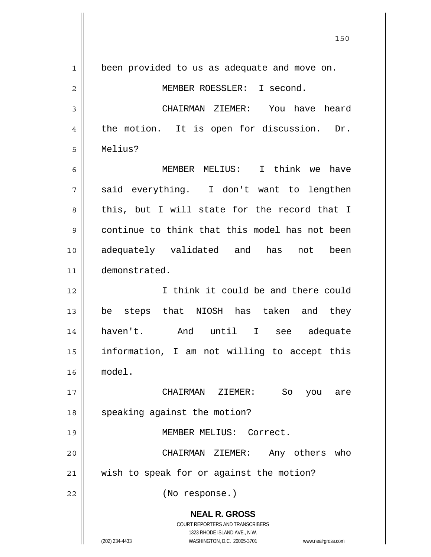**NEAL R. GROSS** COURT REPORTERS AND TRANSCRIBERS 1323 RHODE ISLAND AVE., N.W. (202) 234-4433 WASHINGTON, D.C. 20005-3701 www.nealrgross.com 1 2 3 4 5 6 7 8 9 10 11 12 13 14 15 16 17 18 19 20 21 22 been provided to us as adequate and move on. MEMBER ROESSLER: I second. CHAIRMAN ZIEMER: You have heard the motion. It is open for discussion. Dr. Melius? MEMBER MELIUS: I think we have said everything. I don't want to lengthen this, but I will state for the record that I continue to think that this model has not been adequately validated and has not been demonstrated. I think it could be and there could be steps that NIOSH has taken and they haven't. And until I see adequate information, I am not willing to accept this model. CHAIRMAN ZIEMER: So you are speaking against the motion? MEMBER MELIUS: Correct. CHAIRMAN ZIEMER: Any others who wish to speak for or against the motion? (No response.)

<u>150</u>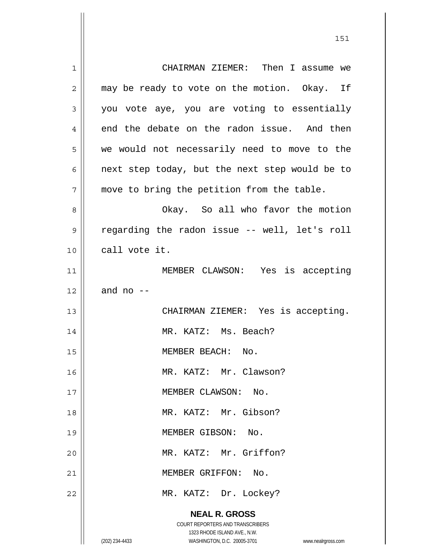| 1              | CHAIRMAN ZIEMER: Then I assume we                                   |
|----------------|---------------------------------------------------------------------|
| $\overline{2}$ | may be ready to vote on the motion. Okay. If                        |
| 3              | you vote aye, you are voting to essentially                         |
| 4              | end the debate on the radon issue. And then                         |
| 5              | we would not necessarily need to move to the                        |
| 6              | next step today, but the next step would be to                      |
| 7              | move to bring the petition from the table.                          |
| 8              | Okay. So all who favor the motion                                   |
| 9              | regarding the radon issue -- well, let's roll                       |
| 10             | call vote it.                                                       |
| 11             | MEMBER CLAWSON: Yes is accepting                                    |
| 12             | and no $-$                                                          |
| 13             | CHAIRMAN ZIEMER: Yes is accepting.                                  |
| 14             | MR. KATZ: Ms. Beach?                                                |
| 15             | MEMBER BEACH: No.                                                   |
| 16             | MR. KATZ: Mr. Clawson?                                              |
| 17             | MEMBER CLAWSON: No.                                                 |
| 18             | MR. KATZ: Mr. Gibson?                                               |
| 19             | MEMBER GIBSON: No.                                                  |
| 20             | MR. KATZ: Mr. Griffon?                                              |
| 21             | MEMBER GRIFFON:<br>No.                                              |
| 22             | MR. KATZ: Dr. Lockey?                                               |
|                |                                                                     |
|                | <b>NEAL R. GROSS</b><br>COURT REPORTERS AND TRANSCRIBERS            |
|                | 1323 RHODE ISLAND AVE., N.W.                                        |
|                | (202) 234-4433<br>WASHINGTON, D.C. 20005-3701<br>www.nealrgross.com |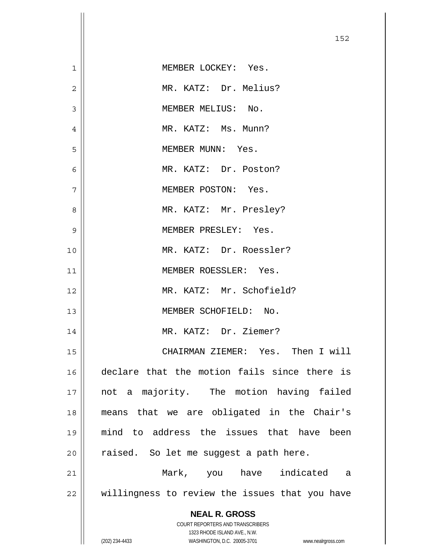| $\mathbf 1$    | MEMBER LOCKEY: Yes.                                                                                 |
|----------------|-----------------------------------------------------------------------------------------------------|
| $\overline{2}$ | MR. KATZ: Dr. Melius?                                                                               |
| 3              | MEMBER MELIUS: No.                                                                                  |
| 4              | MR. KATZ: Ms. Munn?                                                                                 |
| 5              | MEMBER MUNN: Yes.                                                                                   |
| 6              | MR. KATZ: Dr. Poston?                                                                               |
| 7              | MEMBER POSTON: Yes.                                                                                 |
| 8              | MR. KATZ: Mr. Presley?                                                                              |
| 9              | MEMBER PRESLEY: Yes.                                                                                |
| 10             | MR. KATZ: Dr. Roessler?                                                                             |
| 11             | MEMBER ROESSLER: Yes.                                                                               |
| 12             | MR. KATZ: Mr. Schofield?                                                                            |
| 13             | MEMBER SCHOFIELD: No.                                                                               |
| 14             | MR. KATZ: Dr. Ziemer?                                                                               |
| 15             | CHAIRMAN ZIEMER: Yes. Then I will                                                                   |
| 16             | declare that the motion fails since there is                                                        |
| 17             | not a majority. The motion having failed                                                            |
| 18             | means that we are obligated in the Chair's                                                          |
| 19             | mind to address the issues that have been                                                           |
| 20             | raised. So let me suggest a path here.                                                              |
| 21             | Mark, you have indicated a                                                                          |
| 22             | willingness to review the issues that you have                                                      |
|                | <b>NEAL R. GROSS</b>                                                                                |
|                | COURT REPORTERS AND TRANSCRIBERS                                                                    |
|                | 1323 RHODE ISLAND AVE., N.W.<br>(202) 234-4433<br>WASHINGTON, D.C. 20005-3701<br>www.nealrgross.com |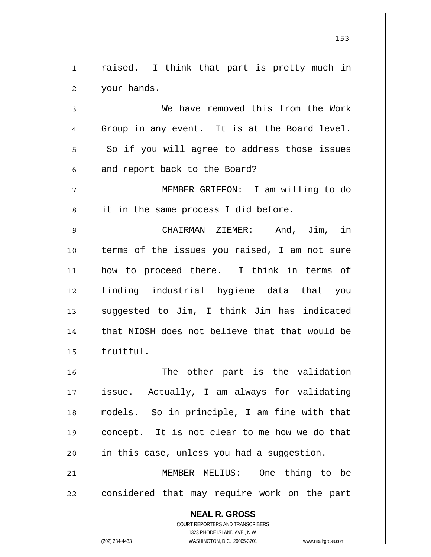1 2 raised. I think that part is pretty much in your hands.

3 4 5 6 We have removed this from the Work Group in any event. It is at the Board level. So if you will agree to address those issues and report back to the Board?

7 8 MEMBER GRIFFON: I am willing to do it in the same process I did before.

9 10 11 12 13 14 15 CHAIRMAN ZIEMER: And, Jim, in terms of the issues you raised, I am not sure how to proceed there. I think in terms of finding industrial hygiene data that you suggested to Jim, I think Jim has indicated that NIOSH does not believe that that would be fruitful.

16 17 18 19 20 The other part is the validation issue. Actually, I am always for validating models. So in principle, I am fine with that concept. It is not clear to me how we do that in this case, unless you had a suggestion.

21 22 MEMBER MELIUS: One thing to be considered that may require work on the part

> **NEAL R. GROSS** COURT REPORTERS AND TRANSCRIBERS

> > 1323 RHODE ISLAND AVE., N.W.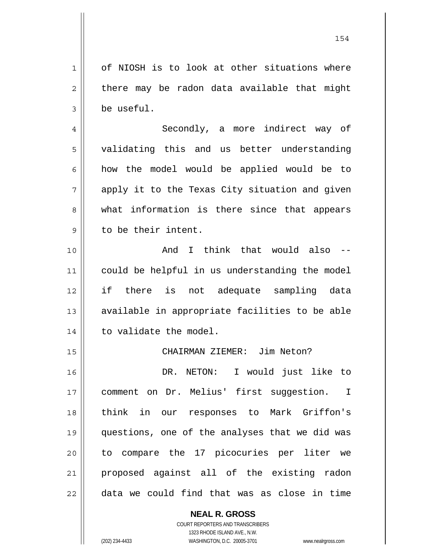**NEAL R. GROSS** COURT REPORTERS AND TRANSCRIBERS 2 3 4 5 6 7 8 9 10 11 12 13 14 15 16 17 18 19 20 21 22 there may be radon data available that might be useful. Secondly, a more indirect way of validating this and us better understanding how the model would be applied would be to apply it to the Texas City situation and given what information is there since that appears to be their intent. And I think that would also - could be helpful in us understanding the model if there is not adequate sampling data available in appropriate facilities to be able to validate the model. CHAIRMAN ZIEMER: Jim Neton? DR. NETON: I would just like to comment on Dr. Melius' first suggestion. I think in our responses to Mark Griffon's questions, one of the analyses that we did was to compare the 17 picocuries per liter we proposed against all of the existing radon data we could find that was as close in time

of NIOSH is to look at other situations where

1323 RHODE ISLAND AVE., N.W.

1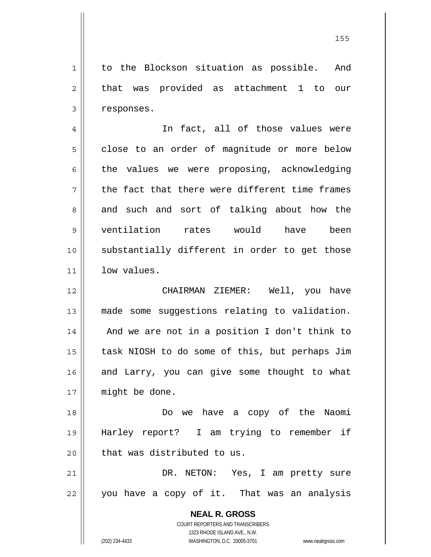1 to the Blockson situation as possible. And that was provided as attachment 1 to our responses.

4 5 6 7 8 9 10 11 In fact, all of those values were close to an order of magnitude or more below the values we were proposing, acknowledging the fact that there were different time frames and such and sort of talking about how the ventilation rates would have been substantially different in order to get those low values.

12 13 14 15 16 17 CHAIRMAN ZIEMER: Well, you have made some suggestions relating to validation. And we are not in a position I don't think to task NIOSH to do some of this, but perhaps Jim and Larry, you can give some thought to what might be done.

18 19 20 Do we have a copy of the Naomi Harley report? I am trying to remember if that was distributed to us.

21 22 DR. NETON: Yes, I am pretty sure you have a copy of it. That was an analysis

> **NEAL R. GROSS** COURT REPORTERS AND TRANSCRIBERS 1323 RHODE ISLAND AVE., N.W. (202) 234-4433 WASHINGTON, D.C. 20005-3701 www.nealrgross.com

2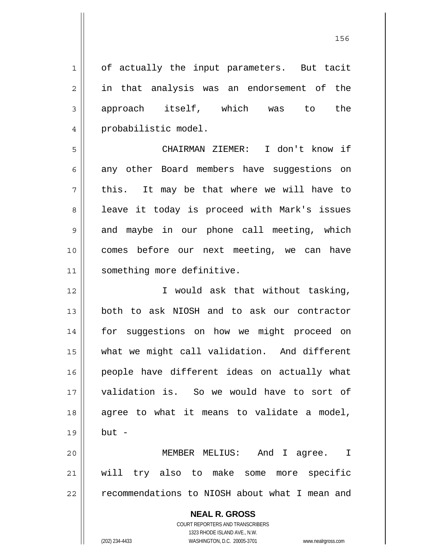<u>156 - Animal Stephen Barbara, amerikan pendadaran pengaran pengaran pengaran pengaran pengaran pengaran penga</u>

**NEAL R. GROSS** COURT REPORTERS AND TRANSCRIBERS 1323 RHODE ISLAND AVE., N.W. 1 2 3 4 5 6 7 8 9 10 11 12 13 14 15 16 17 18 19 20 21 22 of actually the input parameters. But tacit in that analysis was an endorsement of the approach itself, which was to the probabilistic model. CHAIRMAN ZIEMER: I don't know if any other Board members have suggestions on this. It may be that where we will have to leave it today is proceed with Mark's issues and maybe in our phone call meeting, which comes before our next meeting, we can have something more definitive. I would ask that without tasking, both to ask NIOSH and to ask our contractor for suggestions on how we might proceed on what we might call validation. And different people have different ideas on actually what validation is. So we would have to sort of agree to what it means to validate a model, but - MEMBER MELIUS: And I agree. I will try also to make some more specific recommendations to NIOSH about what I mean and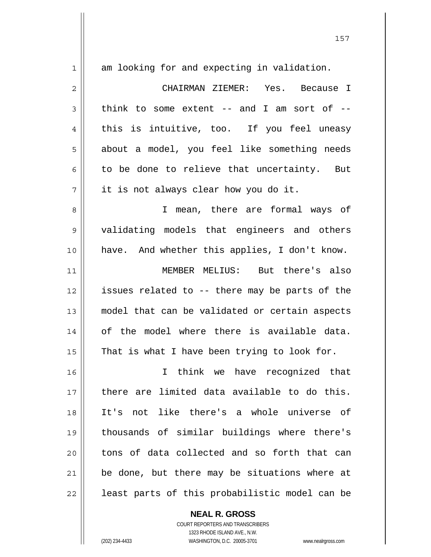| $\mathbf 1$  | am looking for and expecting in validation.     |
|--------------|-------------------------------------------------|
| $\mathbf{2}$ | CHAIRMAN ZIEMER: Yes. Because I                 |
| 3            | think to some extent $--$ and I am sort of $--$ |
| 4            | this is intuitive, too. If you feel uneasy      |
| 5            | about a model, you feel like something needs    |
| 6            | to be done to relieve that uncertainty. But     |
| 7            | it is not always clear how you do it.           |
| 8            | I mean, there are formal ways of                |
| 9            | validating models that engineers and others     |
| 10           | have. And whether this applies, I don't know.   |
| 11           | MEMBER MELIUS: But there's also                 |
| 12           | issues related to -- there may be parts of the  |
| 13           | model that can be validated or certain aspects  |
| 14           | of the model where there is available data.     |
| 15           | That is what I have been trying to look for.    |
| 16           | think we have recognized that<br>I              |
| 17           | there are limited data available to do this.    |
| 18           | not like there's a whole universe of<br>It's    |
| 19           | thousands of similar buildings where there's    |
| 20           | tons of data collected and so forth that can    |
| 21           | be done, but there may be situations where at   |
| 22           | least parts of this probabilistic model can be  |

**NEAL R. GROSS**

COURT REPORTERS AND TRANSCRIBERS 1323 RHODE ISLAND AVE., N.W. (202) 234-4433 WASHINGTON, D.C. 20005-3701 www.nealrgross.com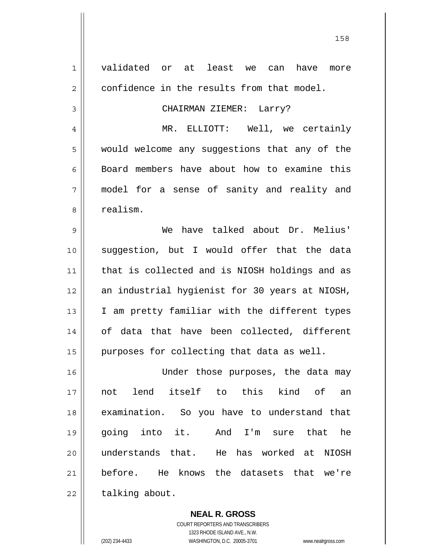| 1            | validated or at least we<br>have<br>can<br>more |
|--------------|-------------------------------------------------|
| $\mathbf{2}$ | confidence in the results from that model.      |
| 3            | CHAIRMAN ZIEMER: Larry?                         |
| 4            | MR. ELLIOTT: Well, we certainly                 |
| 5            | would welcome any suggestions that any of the   |
| 6            | Board members have about how to examine this    |
| 7            | model for a sense of sanity and reality and     |
| 8            | realism.                                        |
| 9            | have talked about Dr. Melius'<br>We             |
| 10           | suggestion, but I would offer that the data     |
| 11           | that is collected and is NIOSH holdings and as  |
| 12           | an industrial hygienist for 30 years at NIOSH,  |
| 13           | I am pretty familiar with the different types   |
| 14           | of data that have been collected, different     |
| 15           | purposes for collecting that data as well.      |
|              |                                                 |
| 16           | Under those purposes, the data may              |
| 17           | not lend itself to this kind of an              |
| 18           | examination. So you have to understand that     |
| 19           | going into it. And I'm sure<br>that he          |
| 20           | understands that. He has worked at NIOSH        |
| 21           | before. He knows the datasets that we're        |
| 22           | talking about.                                  |
|              |                                                 |

**NEAL R. GROSS** COURT REPORTERS AND TRANSCRIBERS

1323 RHODE ISLAND AVE., N.W.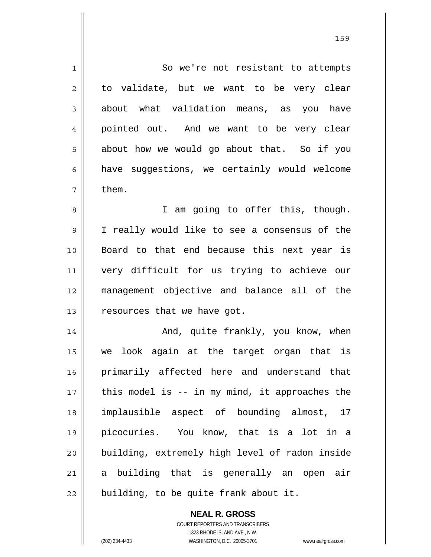1 2 3 4 5 6 7 8 9 10 11 12 13 14 15 16 17 18 19 20 21 22 So we're not resistant to attempts to validate, but we want to be very clear about what validation means, as you have pointed out. And we want to be very clear about how we would go about that. So if you have suggestions, we certainly would welcome them. I am going to offer this, though. I really would like to see a consensus of the Board to that end because this next year is very difficult for us trying to achieve our management objective and balance all of the resources that we have got. And, quite frankly, you know, when we look again at the target organ that is primarily affected here and understand that this model is -- in my mind, it approaches the implausible aspect of bounding almost, 17 picocuries. You know, that is a lot in a building, extremely high level of radon inside a building that is generally an open air building, to be quite frank about it.

159

COURT REPORTERS AND TRANSCRIBERS 1323 RHODE ISLAND AVE., N.W. (202) 234-4433 WASHINGTON, D.C. 20005-3701 www.nealrgross.com

**NEAL R. GROSS**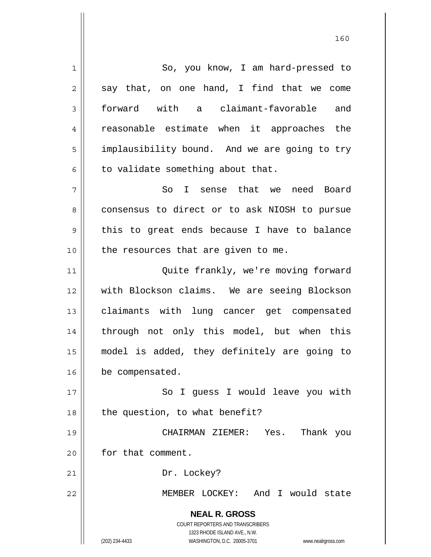**NEAL R. GROSS** COURT REPORTERS AND TRANSCRIBERS 1323 RHODE ISLAND AVE., N.W. (202) 234-4433 WASHINGTON, D.C. 20005-3701 www.nealrgross.com 1 2 3 4 5 6 7 8 9 10 11 12 13 14 15 16 17 18 19 20 21 22 So, you know, I am hard-pressed to say that, on one hand, I find that we come forward with a claimant-favorable and reasonable estimate when it approaches the implausibility bound. And we are going to try to validate something about that. So I sense that we need Board consensus to direct or to ask NIOSH to pursue this to great ends because I have to balance the resources that are given to me. Quite frankly, we're moving forward with Blockson claims. We are seeing Blockson claimants with lung cancer get compensated through not only this model, but when this model is added, they definitely are going to be compensated. So I guess I would leave you with the question, to what benefit? CHAIRMAN ZIEMER: Yes. Thank you for that comment. Dr. Lockey? MEMBER LOCKEY: And I would state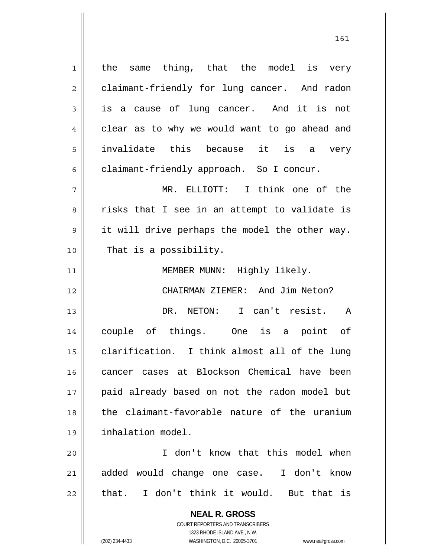**NEAL R. GROSS** COURT REPORTERS AND TRANSCRIBERS 1 2 3 4 5 6 7 8 9 10 11 12 13 14 15 16 17 18 19 20 21 22 the same thing, that the model is very claimant-friendly for lung cancer. And radon is a cause of lung cancer. And it is not clear as to why we would want to go ahead and invalidate this because it is a very claimant-friendly approach. So I concur. MR. ELLIOTT: I think one of the risks that I see in an attempt to validate is it will drive perhaps the model the other way. That is a possibility. MEMBER MUNN: Highly likely. CHAIRMAN ZIEMER: And Jim Neton? DR. NETON: I can't resist. A couple of things. One is a point of clarification. I think almost all of the lung cancer cases at Blockson Chemical have been paid already based on not the radon model but the claimant-favorable nature of the uranium inhalation model. I don't know that this model when added would change one case. I don't know that. I don't think it would. But that is

1323 RHODE ISLAND AVE., N.W.

(202) 234-4433 WASHINGTON, D.C. 20005-3701 www.nealrgross.com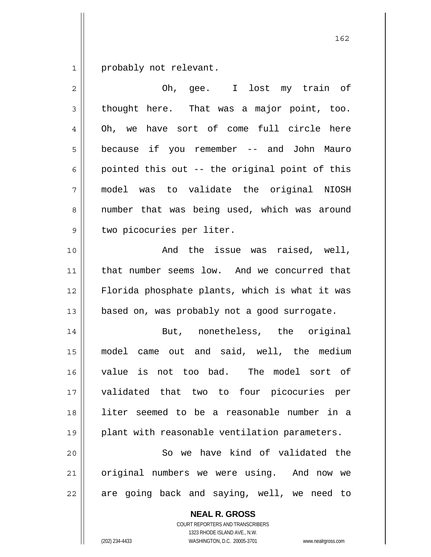1 probably not relevant.

| $\overline{2}$ | Oh, gee. I lost my train of                    |
|----------------|------------------------------------------------|
| 3              | thought here. That was a major point, too.     |
| 4              | Oh, we have sort of come full circle here      |
| 5              | because if you remember -- and John Mauro      |
| 6              | pointed this out -- the original point of this |
| 7              | model was to validate the original NIOSH       |
| 8              | number that was being used, which was around   |
| $\mathsf 9$    | two picocuries per liter.                      |
| 10             | And the issue was raised, well,                |
| 11             | that number seems low. And we concurred that   |
| 12             | Florida phosphate plants, which is what it was |
| 13             | based on, was probably not a good surrogate.   |
| 14             | But, nonetheless, the original                 |
| 15             | model came out and said, well, the medium      |
| 16             | value is not too bad. The model sort of        |
| 17             | validated that two to four picocuries per      |
| 18             | liter seemed to be a reasonable number in a    |
| 19             | plant with reasonable ventilation parameters.  |
| 20             | So we have kind of validated the               |
| 21             | original numbers we were using. And now we     |
| 22             | are going back and saying, well, we need to    |
|                | <b>NEAL R. GROSS</b>                           |

COURT REPORTERS AND TRANSCRIBERS 1323 RHODE ISLAND AVE., N.W.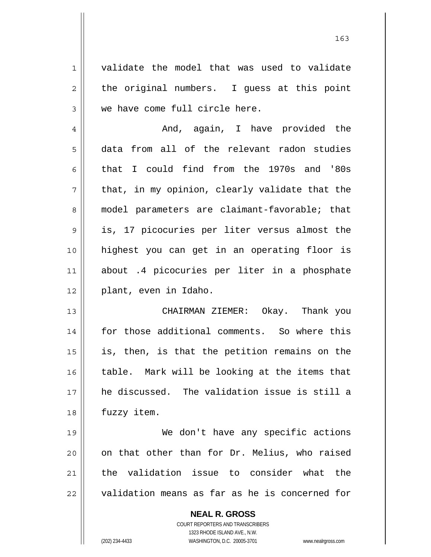**NEAL R. GROSS** COURT REPORTERS AND TRANSCRIBERS 1 2 3 4 5 6 7 8 9 10 11 12 13 14 15 16 17 18 19 20 21 22 validate the model that was used to validate the original numbers. I guess at this point we have come full circle here. And, again, I have provided the data from all of the relevant radon studies that I could find from the 1970s and '80s that, in my opinion, clearly validate that the model parameters are claimant-favorable; that is, 17 picocuries per liter versus almost the highest you can get in an operating floor is about .4 picocuries per liter in a phosphate plant, even in Idaho. CHAIRMAN ZIEMER: Okay. Thank you for those additional comments. So where this is, then, is that the petition remains on the table. Mark will be looking at the items that he discussed. The validation issue is still a fuzzy item. We don't have any specific actions on that other than for Dr. Melius, who raised the validation issue to consider what the validation means as far as he is concerned for

1323 RHODE ISLAND AVE., N.W.

(202) 234-4433 WASHINGTON, D.C. 20005-3701 www.nealrgross.com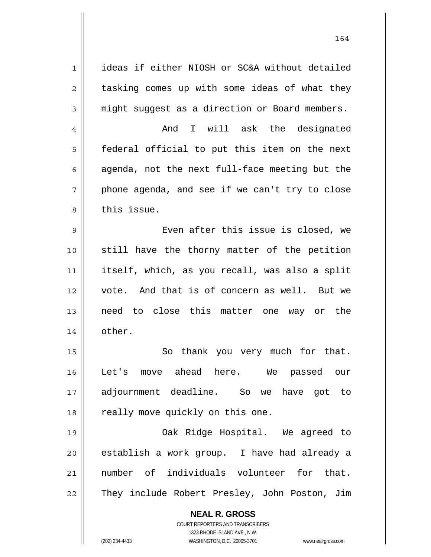**NEAL R. GROSS** 1 2 3 4 5 6 7 8 9 10 11 12 13 14 15 16 17 18 19 20 21 22 ideas if either NIOSH or SC&A without detailed tasking comes up with some ideas of what they might suggest as a direction or Board members. And I will ask the designated federal official to put this item on the next agenda, not the next full-face meeting but the phone agenda, and see if we can't try to close this issue. Even after this issue is closed, we still have the thorny matter of the petition itself, which, as you recall, was also a split vote. And that is of concern as well. But we need to close this matter one way or the other. So thank you very much for that. Let's move ahead here. We passed our adjournment deadline. So we have got to really move quickly on this one. Oak Ridge Hospital. We agreed to establish a work group. I have had already a number of individuals volunteer for that. They include Robert Presley, John Poston, Jim

164

COURT REPORTERS AND TRANSCRIBERS 1323 RHODE ISLAND AVE., N.W.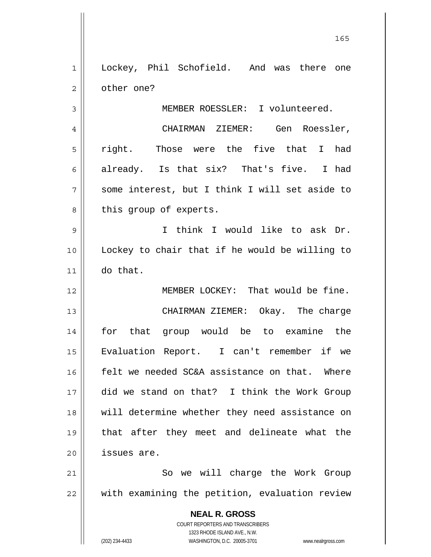| $\mathbf 1$    | Lockey, Phil Schofield. And was there one         |
|----------------|---------------------------------------------------|
| $\overline{2}$ | other one?                                        |
| 3              | MEMBER ROESSLER: I volunteered.                   |
| 4              | CHAIRMAN ZIEMER: Gen Roessler,                    |
| 5              | right. Those were the five that I had             |
| 6              | already. Is that six? That's five. I had          |
| 7              | some interest, but I think I will set aside to    |
| 8              | this group of experts.                            |
| 9              | I think I would like to ask Dr.                   |
| 10             | Lockey to chair that if he would be willing to    |
| 11             | do that.                                          |
| 12             | MEMBER LOCKEY: That would be fine.                |
| 13             | CHAIRMAN ZIEMER: Okay. The charge                 |
| 14             | for that group would be to examine the            |
| 15             | Evaluation Report. I can't remember if we         |
| 16             | felt we needed SC&A assistance on that. Where     |
| 17             | did we stand on that? I think the Work Group      |
| 18             | will determine whether they need assistance on    |
| 19             | that after they meet and delineate what the       |
| 20             | issues are.                                       |
| 21             | So we will charge the Work Group                  |
| 22             | with examining the petition, evaluation review    |
|                | <b>NEAL R. GROSS</b>                              |
|                | <b>COURT REPORTERS AND TRANSCRIBERS</b>           |
|                | 1323 RHODE ISLAND AVE., N.W.<br>(202) 234-4433    |
|                | WASHINGTON, D.C. 20005-3701<br>www.nealrgross.com |

<u>165</u>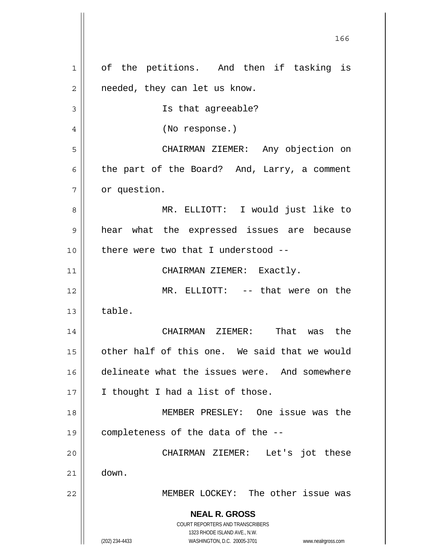**NEAL R. GROSS** COURT REPORTERS AND TRANSCRIBERS 1323 RHODE ISLAND AVE., N.W. (202) 234-4433 WASHINGTON, D.C. 20005-3701 www.nealrgross.com <u>166</u> 1 2 3 4 5 6 7 8 9 10 11 12 13 14 15 16 17 18 19 20 21 22 of the petitions. And then if tasking is needed, they can let us know. Is that agreeable? (No response.) CHAIRMAN ZIEMER: Any objection on the part of the Board? And, Larry, a comment or question. MR. ELLIOTT: I would just like to hear what the expressed issues are because there were two that I understood -- CHAIRMAN ZIEMER: Exactly. MR. ELLIOTT: -- that were on the table. CHAIRMAN ZIEMER: That was the other half of this one. We said that we would delineate what the issues were. And somewhere I thought I had a list of those. MEMBER PRESLEY: One issue was the completeness of the data of the -- CHAIRMAN ZIEMER: Let's jot these down. MEMBER LOCKEY: The other issue was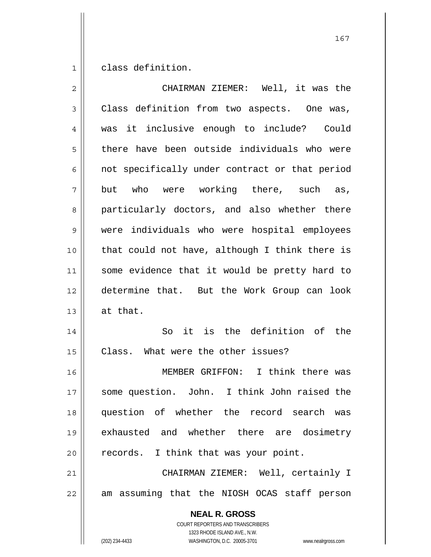1 class definition.

| $\overline{2}$ | CHAIRMAN ZIEMER: Well, it was the                                                                   |
|----------------|-----------------------------------------------------------------------------------------------------|
| 3              | Class definition from two aspects. One was,                                                         |
| 4              | was it inclusive enough to include? Could                                                           |
| 5              | there have been outside individuals who were                                                        |
| 6              | not specifically under contract or that period                                                      |
| 7              | but who were working there, such as,                                                                |
| 8              | particularly doctors, and also whether there                                                        |
| $\mathsf 9$    | were individuals who were hospital employees                                                        |
| 10             | that could not have, although I think there is                                                      |
| 11             | some evidence that it would be pretty hard to                                                       |
| 12             | determine that. But the Work Group can look                                                         |
| 13             | at that.                                                                                            |
| 14             | So it is the definition of the                                                                      |
| 15             | Class. What were the other issues?                                                                  |
| 16             | MEMBER GRIFFON: I think there was                                                                   |
| 17             | some question. John. I think John raised the                                                        |
| 18             | question of whether the record search was                                                           |
| 19             | exhausted and whether there are dosimetry                                                           |
| 20             | records. I think that was your point.                                                               |
| 21             | CHAIRMAN ZIEMER: Well, certainly I                                                                  |
| 22             | am assuming that the NIOSH OCAS staff person                                                        |
|                | <b>NEAL R. GROSS</b><br><b>COURT REPORTERS AND TRANSCRIBERS</b>                                     |
|                | 1323 RHODE ISLAND AVE., N.W.<br>WASHINGTON, D.C. 20005-3701<br>(202) 234-4433<br>www.nealrgross.com |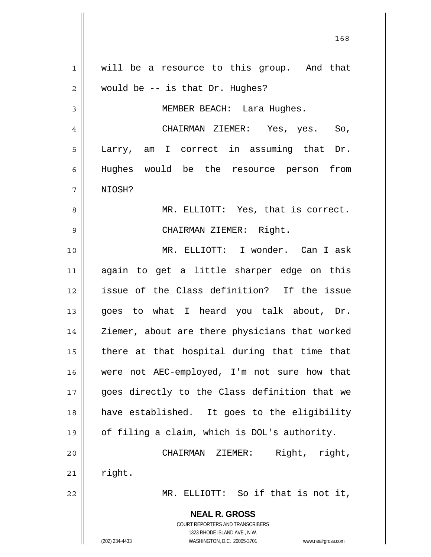**NEAL R. GROSS** COURT REPORTERS AND TRANSCRIBERS 1323 RHODE ISLAND AVE., N.W. (202) 234-4433 WASHINGTON, D.C. 20005-3701 www.nealrgross.com 1 2 3 4 5 6 7 8 9 10 11 12 13 14 15 16 17 18 19 20 21 22 will be a resource to this group. And that would be -- is that Dr. Hughes? MEMBER BEACH: Lara Hughes. CHAIRMAN ZIEMER: Yes, yes. So, Larry, am I correct in assuming that Dr. Hughes would be the resource person from NIOSH? MR. ELLIOTT: Yes, that is correct. CHAIRMAN ZIEMER: Right. MR. ELLIOTT: I wonder. Can I ask again to get a little sharper edge on this issue of the Class definition? If the issue goes to what I heard you talk about, Dr. Ziemer, about are there physicians that worked there at that hospital during that time that were not AEC-employed, I'm not sure how that goes directly to the Class definition that we have established. It goes to the eligibility of filing a claim, which is DOL's authority. CHAIRMAN ZIEMER: Right, right, right. MR. ELLIOTT: So if that is not it,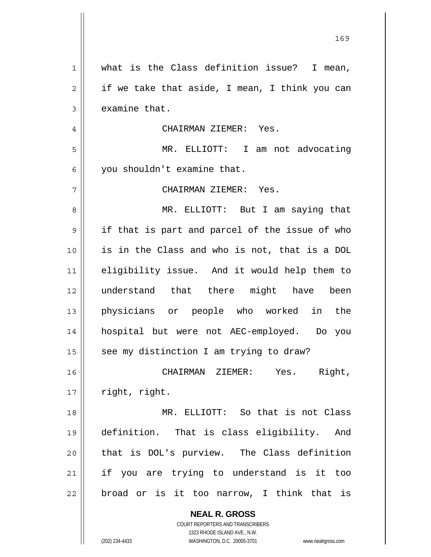| 1  | what is the Class definition issue? I mean,              |
|----|----------------------------------------------------------|
| 2  | if we take that aside, I mean, I think you can           |
| 3  | examine that.                                            |
| 4  | CHAIRMAN ZIEMER: Yes.                                    |
| 5  | MR. ELLIOTT: I am not advocating                         |
| 6  | you shouldn't examine that.                              |
| 7  | CHAIRMAN ZIEMER: Yes.                                    |
| 8  | MR. ELLIOTT: But I am saying that                        |
| 9  | if that is part and parcel of the issue of who           |
| 10 | is in the Class and who is not, that is a DOL            |
| 11 | eligibility issue. And it would help them to             |
| 12 | understand that there might have been                    |
| 13 | physicians or people who worked in the                   |
| 14 | hospital but were not AEC-employed. Do you               |
| 15 | see my distinction I am trying to draw?                  |
| 16 | Right,<br>CHAIRMAN ZIEMER: Yes.                          |
| 17 | right, right.                                            |
| 18 | MR. ELLIOTT: So that is not Class                        |
| 19 | definition. That is class eligibility. And               |
| 20 | that is DOL's purview. The Class definition              |
| 21 | if you are trying to understand is it too                |
| 22 | broad or is it too narrow, I think that is               |
|    | <b>NEAL R. GROSS</b><br>COURT REPORTERS AND TRANSCRIBERS |

1323 RHODE ISLAND AVE., N.W.

 $\mathsf{II}$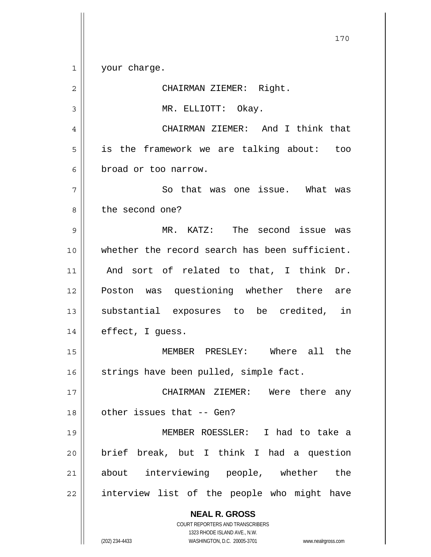**NEAL R. GROSS** COURT REPORTERS AND TRANSCRIBERS 1323 RHODE ISLAND AVE., N.W. 1 2 3 4 5 6 7 8 9 10 11 12 13 14 15 16 17 18 19 20 21 22 your charge. CHAIRMAN ZIEMER: Right. MR. ELLIOTT: Okay. CHAIRMAN ZIEMER: And I think that is the framework we are talking about: too broad or too narrow. So that was one issue. What was the second one? MR. KATZ: The second issue was whether the record search has been sufficient. And sort of related to that, I think Dr. Poston was questioning whether there are substantial exposures to be credited, in effect, I guess. MEMBER PRESLEY: Where all the strings have been pulled, simple fact. CHAIRMAN ZIEMER: Were there any other issues that -- Gen? MEMBER ROESSLER: I had to take a brief break, but I think I had a question about interviewing people, whether the interview list of the people who might have

170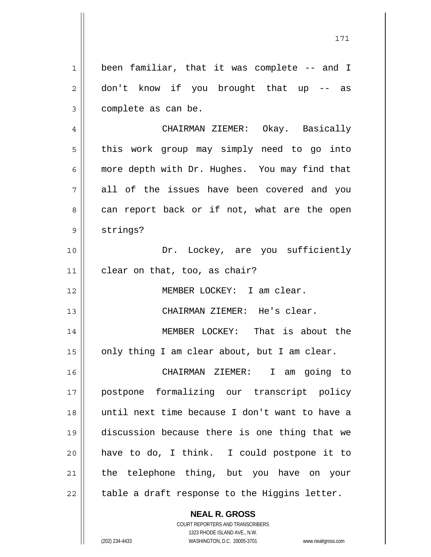1 2 3 4 5 6 7 8 9 10 11 12 been familiar, that it was complete -- and I don't know if you brought that up -- as complete as can be. CHAIRMAN ZIEMER: Okay. Basically this work group may simply need to go into more depth with Dr. Hughes. You may find that all of the issues have been covered and you can report back or if not, what are the open strings? Dr. Lockey, are you sufficiently clear on that, too, as chair?

MEMBER LOCKEY: I am clear.

CHAIRMAN ZIEMER: He's clear.

14 15 MEMBER LOCKEY: That is about the only thing I am clear about, but I am clear.

16 17 18 19 20 21 22 CHAIRMAN ZIEMER: I am going to postpone formalizing our transcript policy until next time because I don't want to have a discussion because there is one thing that we have to do, I think. I could postpone it to the telephone thing, but you have on your table a draft response to the Higgins letter.

> **NEAL R. GROSS** COURT REPORTERS AND TRANSCRIBERS

> > 1323 RHODE ISLAND AVE., N.W.

13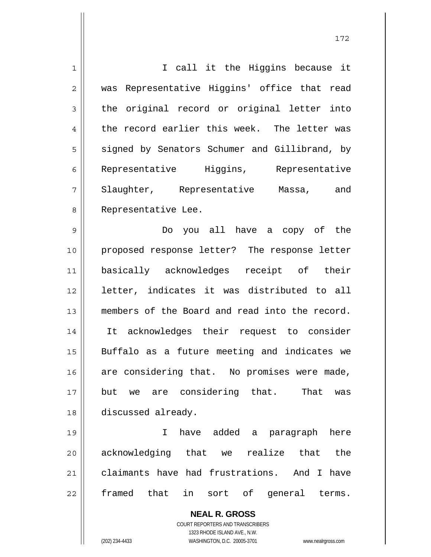| $\mathbf{1}$   | I call it the Higgins because it                                    |
|----------------|---------------------------------------------------------------------|
| $\overline{2}$ | was Representative Higgins' office that read                        |
| 3              | the original record or original letter into                         |
| 4              | the record earlier this week. The letter was                        |
| 5              | signed by Senators Schumer and Gillibrand, by                       |
| 6              | Representative Higgins,<br>Representative                           |
| 7              | Slaughter, Representative Massa, and                                |
| 8              | Representative Lee.                                                 |
| 9              | Do you all have a copy of the                                       |
| 10             | proposed response letter? The response letter                       |
| 11             | basically acknowledges receipt of their                             |
| 12             | letter, indicates it was distributed to all                         |
| 13             | members of the Board and read into the record.                      |
| 14             | It acknowledges their request to consider                           |
| 15             | Buffalo as a future meeting and indicates we                        |
| 16             | are considering that. No promises were made,                        |
| 17             | are considering that. That<br>but<br>we<br>was                      |
| 18             | discussed already.                                                  |
| 19             | added<br>I<br>have<br>a<br>paragraph<br>here                        |
| 20             | acknowledging that we realize<br>that<br>the                        |
| 21             | claimants have had frustrations. And I have                         |
| 22             | framed that<br>sort of<br>in<br>general terms.                      |
|                | <b>NEAL R. GROSS</b>                                                |
|                | COURT REPORTERS AND TRANSCRIBERS                                    |
|                | 1323 RHODE ISLAND AVE., N.W.                                        |
|                | (202) 234-4433<br>WASHINGTON, D.C. 20005-3701<br>www.nealrgross.com |

 $\mathsf{I}$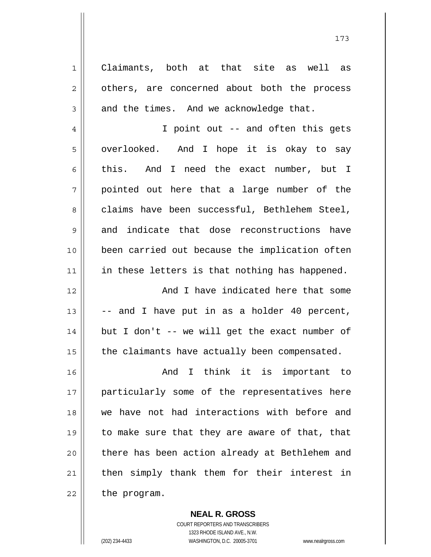1 2 3 4 5 6 7 8 9 10 11 12 13 14 15 16 17 18 19 20 21 22 Claimants, both at that site as well as others, are concerned about both the process and the times. And we acknowledge that. I point out -- and often this gets overlooked. And I hope it is okay to say this. And I need the exact number, but I pointed out here that a large number of the claims have been successful, Bethlehem Steel, and indicate that dose reconstructions have been carried out because the implication often in these letters is that nothing has happened. And I have indicated here that some -- and I have put in as a holder 40 percent, but I don't -- we will get the exact number of the claimants have actually been compensated. And I think it is important to particularly some of the representatives here we have not had interactions with before and to make sure that they are aware of that, that there has been action already at Bethlehem and then simply thank them for their interest in the program.

> **NEAL R. GROSS** COURT REPORTERS AND TRANSCRIBERS 1323 RHODE ISLAND AVE., N.W. (202) 234-4433 WASHINGTON, D.C. 20005-3701 www.nealrgross.com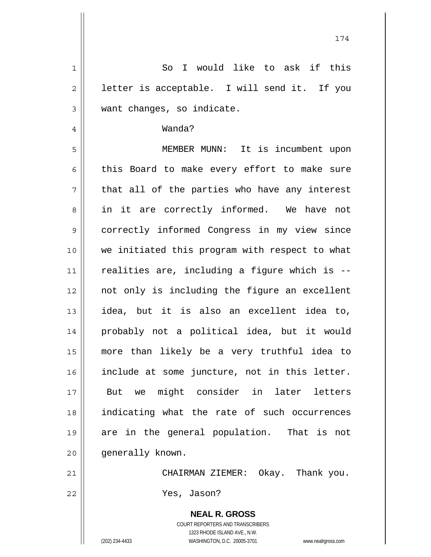| $\mathbf 1$    | So I would like to ask if this                                                                      |
|----------------|-----------------------------------------------------------------------------------------------------|
| $\overline{2}$ | letter is acceptable. I will send it. If you                                                        |
| 3              | want changes, so indicate.                                                                          |
| $\overline{4}$ | Wanda?                                                                                              |
| 5              | MEMBER MUNN: It is incumbent upon                                                                   |
| 6              | this Board to make every effort to make sure                                                        |
| 7              | that all of the parties who have any interest                                                       |
| 8              | in it are correctly informed. We have not                                                           |
| 9              | correctly informed Congress in my view since                                                        |
| 10             | we initiated this program with respect to what                                                      |
| 11             | realities are, including a figure which is --                                                       |
| 12             | not only is including the figure an excellent                                                       |
| 13             | idea, but it is also an excellent idea to,                                                          |
| 14             | probably not a political idea, but it would                                                         |
| 15             | more than likely be a very truthful idea to                                                         |
| 16             | include at some juncture, not in this letter.                                                       |
| 17             | But we might consider in later letters                                                              |
| 18             | indicating what the rate of such occurrences                                                        |
| 19             | are in the general population. That is not                                                          |
| 20             | generally known.                                                                                    |
| 21             | CHAIRMAN ZIEMER: Okay. Thank you.                                                                   |
| 22             | Yes, Jason?                                                                                         |
|                | <b>NEAL R. GROSS</b>                                                                                |
|                | COURT REPORTERS AND TRANSCRIBERS                                                                    |
|                | 1323 RHODE ISLAND AVE., N.W.<br>(202) 234-4433<br>WASHINGTON, D.C. 20005-3701<br>www.nealrgross.com |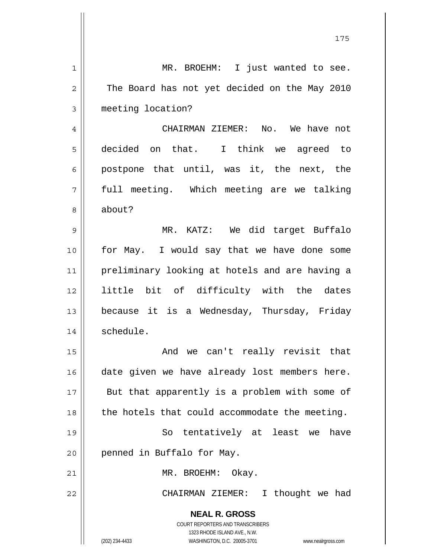| $\mathbf 1$    | MR. BROEHM: I just wanted to see.                                                                   |
|----------------|-----------------------------------------------------------------------------------------------------|
| $\overline{c}$ | The Board has not yet decided on the May 2010                                                       |
| 3              | meeting location?                                                                                   |
| $\overline{4}$ | CHAIRMAN ZIEMER: No. We have not                                                                    |
| 5              | decided on that. I think we agreed to                                                               |
| 6              | postpone that until, was it, the next, the                                                          |
| 7              | full meeting. Which meeting are we talking                                                          |
| 8              | about?                                                                                              |
| 9              | MR. KATZ: We did target Buffalo                                                                     |
| 10             | for May. I would say that we have done some                                                         |
| 11             | preliminary looking at hotels and are having a                                                      |
| 12             | little bit of difficulty with the dates                                                             |
| 13             | because it is a Wednesday, Thursday, Friday                                                         |
| 14             | schedule.                                                                                           |
| 15             | And we can't really revisit that                                                                    |
| 16             | date given we have already lost members here.                                                       |
| 17             | But that apparently is a problem with some of                                                       |
| 18             | the hotels that could accommodate the meeting.                                                      |
| 19             | So tentatively at least we<br>have                                                                  |
| 20             | penned in Buffalo for May.                                                                          |
| 21             | MR. BROEHM: Okay.                                                                                   |
| 22             | CHAIRMAN ZIEMER:<br>I thought we had                                                                |
|                | <b>NEAL R. GROSS</b>                                                                                |
|                | COURT REPORTERS AND TRANSCRIBERS                                                                    |
|                | 1323 RHODE ISLAND AVE., N.W.<br>(202) 234-4433<br>WASHINGTON, D.C. 20005-3701<br>www.nealrgross.com |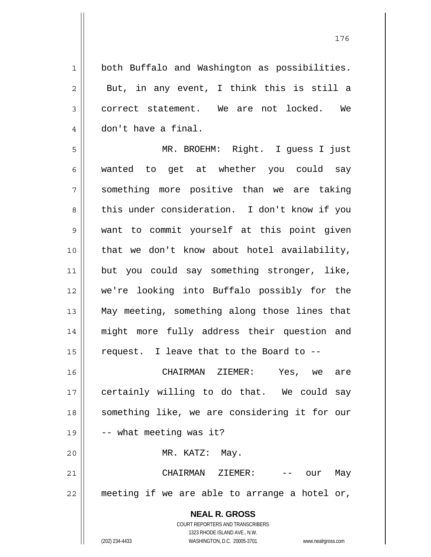both Buffalo and Washington as possibilities. But, in any event, I think this is still a correct statement. We are not locked. We don't have a final.

1

2

3

4

5 6 7 8 9 10 11 12 13 14 15 MR. BROEHM: Right. I guess I just wanted to get at whether you could say something more positive than we are taking this under consideration. I don't know if you want to commit yourself at this point given that we don't know about hotel availability, but you could say something stronger, like, we're looking into Buffalo possibly for the May meeting, something along those lines that might more fully address their question and request. I leave that to the Board to --

16 17 18 19 20 21 CHAIRMAN ZIEMER: Yes, we are certainly willing to do that. We could say something like, we are considering it for our -- what meeting was it? MR. KATZ: May. CHAIRMAN ZIEMER: -- our May

22 meeting if we are able to arrange a hotel or,

> **NEAL R. GROSS** COURT REPORTERS AND TRANSCRIBERS 1323 RHODE ISLAND AVE., N.W. (202) 234-4433 WASHINGTON, D.C. 20005-3701 www.nealrgross.com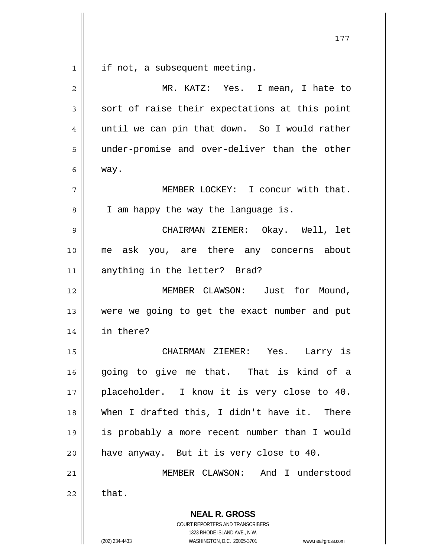|                | 177                                                                                                                                     |
|----------------|-----------------------------------------------------------------------------------------------------------------------------------------|
| $\mathbf 1$    | if not, a subsequent meeting.                                                                                                           |
| $\overline{2}$ | MR. KATZ: Yes. I mean, I hate to                                                                                                        |
| 3              | sort of raise their expectations at this point                                                                                          |
| 4              | until we can pin that down. So I would rather                                                                                           |
| 5              | under-promise and over-deliver than the other                                                                                           |
| 6              | way.                                                                                                                                    |
| 7              | MEMBER LOCKEY: I concur with that.                                                                                                      |
| 8              | I am happy the way the language is.                                                                                                     |
| 9              | CHAIRMAN ZIEMER: Okay. Well, let                                                                                                        |
| 10             | me ask you, are there any concerns about                                                                                                |
| 11             | anything in the letter? Brad?                                                                                                           |
| 12             | MEMBER CLAWSON: Just for Mound,                                                                                                         |
| 13             | were we going to get the exact number and put                                                                                           |
| 14             | in there?                                                                                                                               |
| 15             | CHAIRMAN ZIEMER: Yes. Larry is                                                                                                          |
| 16             | going to give me that. That is kind of a                                                                                                |
| 17             | placeholder. I know it is very close to 40.                                                                                             |
| 18             | When I drafted this, I didn't have it. There                                                                                            |
| 19             | is probably a more recent number than I would                                                                                           |
| 20             | have anyway. But it is very close to 40.                                                                                                |
| 21             | MEMBER CLAWSON: And I understood                                                                                                        |
| 22             | that.                                                                                                                                   |
|                | <b>NEAL R. GROSS</b>                                                                                                                    |
|                | COURT REPORTERS AND TRANSCRIBERS<br>1323 RHODE ISLAND AVE., N.W.<br>(202) 234-4433<br>WASHINGTON, D.C. 20005-3701<br>www.nealrgross.com |
|                |                                                                                                                                         |

 $\mathsf{I}$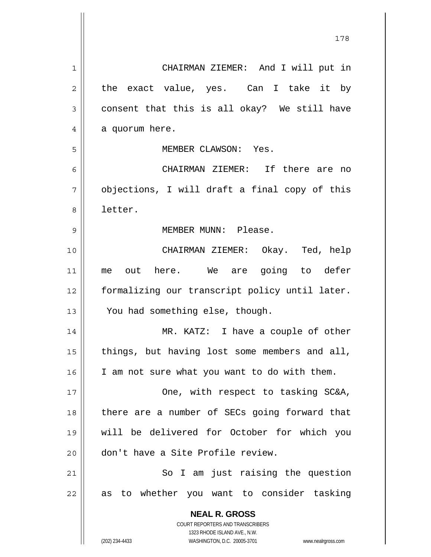| 1  | CHAIRMAN ZIEMER: And I will put in                                  |
|----|---------------------------------------------------------------------|
| 2  | the exact value, yes. Can I take it by                              |
| 3  | consent that this is all okay? We still have                        |
| 4  | a quorum here.                                                      |
| 5  | MEMBER CLAWSON: Yes.                                                |
| 6  | CHAIRMAN ZIEMER: If there are no                                    |
| 7  | objections, I will draft a final copy of this                       |
| 8  | letter.                                                             |
| 9  | MEMBER MUNN: Please.                                                |
| 10 | CHAIRMAN ZIEMER: Okay. Ted, help                                    |
| 11 | out here. We are going to defer<br>me                               |
| 12 | formalizing our transcript policy until later.                      |
| 13 | You had something else, though.                                     |
| 14 | MR. KATZ: I have a couple of other                                  |
| 15 | things, but having lost some members and all,                       |
| 16 | I am not sure what you want to do with them.                        |
| 17 | One, with respect to tasking SC&A,                                  |
| 18 | there are a number of SECs going forward that                       |
| 19 | will be delivered for October for which you                         |
| 20 | don't have a Site Profile review.                                   |
| 21 | So I am just raising the question                                   |
| 22 | to whether you want to consider tasking<br>as                       |
|    | <b>NEAL R. GROSS</b>                                                |
|    | COURT REPORTERS AND TRANSCRIBERS                                    |
|    | 1323 RHODE ISLAND AVE., N.W.                                        |
|    | (202) 234-4433<br>WASHINGTON, D.C. 20005-3701<br>www.nealrgross.com |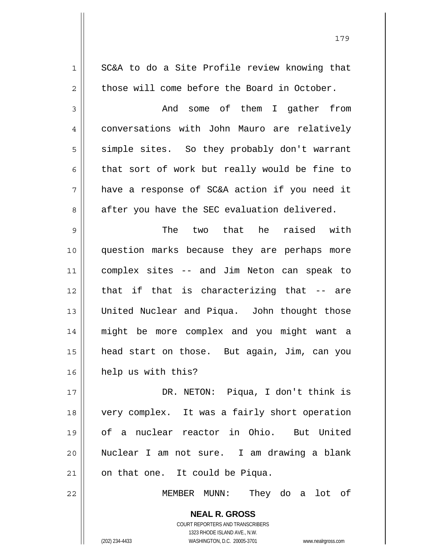| $\mathbf 1$    | SC&A to do a Site Profile review knowing that            |
|----------------|----------------------------------------------------------|
| $\overline{c}$ | those will come before the Board in October.             |
| 3              | And some of them I gather from                           |
| $\overline{4}$ | conversations with John Mauro are relatively             |
| 5              | simple sites. So they probably don't warrant             |
| 6              | that sort of work but really would be fine to            |
| 7              | have a response of SC&A action if you need it            |
| 8              | after you have the SEC evaluation delivered.             |
| $\mathsf 9$    | The two that he raised with                              |
| 10             | question marks because they are perhaps more             |
| 11             | complex sites -- and Jim Neton can speak to              |
| 12             | that if that is characterizing that -- are               |
| 13             | United Nuclear and Piqua. John thought those             |
| 14             | might be more complex and you might want a               |
| 15             | head start on those. But again, Jim, can you             |
| 16             | help us with this?                                       |
| 17             | DR. NETON: Piqua, I don't think is                       |
| 18             | very complex. It was a fairly short operation            |
| 19             | of a nuclear reactor in Ohio. But United                 |
| 20             | Nuclear I am not sure. I am drawing a blank              |
| 21             | on that one. It could be Piqua.                          |
| 22             | MEMBER MUNN:<br>They do a lot of                         |
|                | <b>NEAL R. GROSS</b><br>COURT REPORTERS AND TRANSCRIBERS |

1323 RHODE ISLAND AVE., N.W.

179

 $\prod$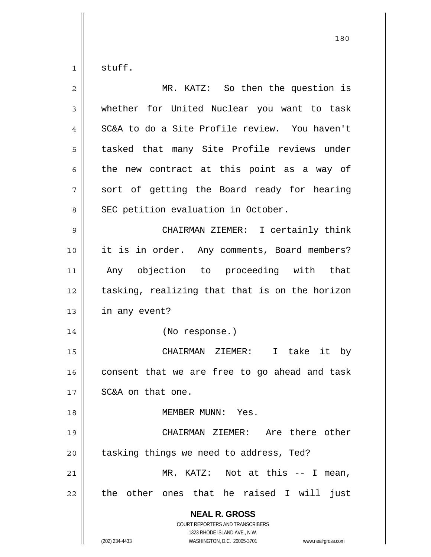1 stuff.

| $\overline{2}$ | MR. KATZ: So then the question is                                                                                                                                      |
|----------------|------------------------------------------------------------------------------------------------------------------------------------------------------------------------|
| 3              | whether for United Nuclear you want to task                                                                                                                            |
| 4              | SC&A to do a Site Profile review. You haven't                                                                                                                          |
| 5              | tasked that many Site Profile reviews under                                                                                                                            |
| 6              | the new contract at this point as a way of                                                                                                                             |
| 7              | sort of getting the Board ready for hearing                                                                                                                            |
| 8              | SEC petition evaluation in October.                                                                                                                                    |
| 9              | CHAIRMAN ZIEMER: I certainly think                                                                                                                                     |
| 10             | it is in order. Any comments, Board members?                                                                                                                           |
| 11             | Any objection to proceeding with that                                                                                                                                  |
| 12             | tasking, realizing that that is on the horizon                                                                                                                         |
| 13             | in any event?                                                                                                                                                          |
| 14             | (No response.)                                                                                                                                                         |
| 15             | CHAIRMAN ZIEMER: I take it by                                                                                                                                          |
| 16             | consent that we are free to go ahead and task                                                                                                                          |
| 17             | SC&A on that one.                                                                                                                                                      |
| 18             | MEMBER MUNN: Yes.                                                                                                                                                      |
| 19             | CHAIRMAN ZIEMER: Are there other                                                                                                                                       |
| 20             | tasking things we need to address, Ted?                                                                                                                                |
| 21             | MR. KATZ: Not at this -- I<br>mean,                                                                                                                                    |
| 22             | the other ones that he raised I will<br>just                                                                                                                           |
|                | <b>NEAL R. GROSS</b><br><b>COURT REPORTERS AND TRANSCRIBERS</b><br>1323 RHODE ISLAND AVE., N.W.<br>(202) 234-4433<br>WASHINGTON, D.C. 20005-3701<br>www.nealrgross.com |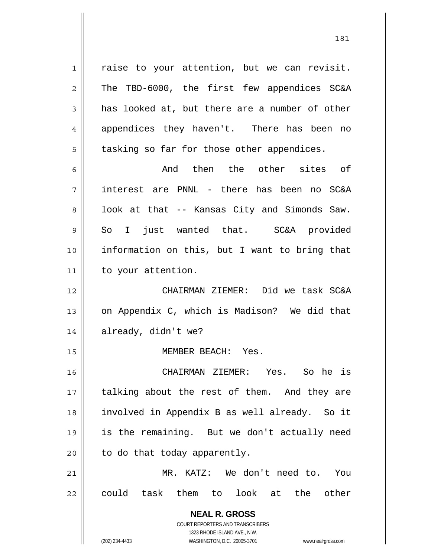raise to your attention, but we can revisit. The TBD-6000, the first few appendices SC&A has looked at, but there are a number of other appendices they haven't. There has been no tasking so far for those other appendices.

6 7 8 9 10 11 And then the other sites of interest are PNNL - there has been no SC&A look at that -- Kansas City and Simonds Saw. So I just wanted that. SC&A provided information on this, but I want to bring that to your attention.

12 13 14 CHAIRMAN ZIEMER: Did we task SC&A on Appendix C, which is Madison? We did that already, didn't we?

MEMBER BEACH: Yes.

16 17 18 19 20 CHAIRMAN ZIEMER: Yes. So he is talking about the rest of them. And they are involved in Appendix B as well already. So it is the remaining. But we don't actually need to do that today apparently.

21 22 MR. KATZ: We don't need to. You could task them to look at the other

> **NEAL R. GROSS** COURT REPORTERS AND TRANSCRIBERS 1323 RHODE ISLAND AVE., N.W. (202) 234-4433 WASHINGTON, D.C. 20005-3701 www.nealrgross.com

1

2

3

4

5

15

181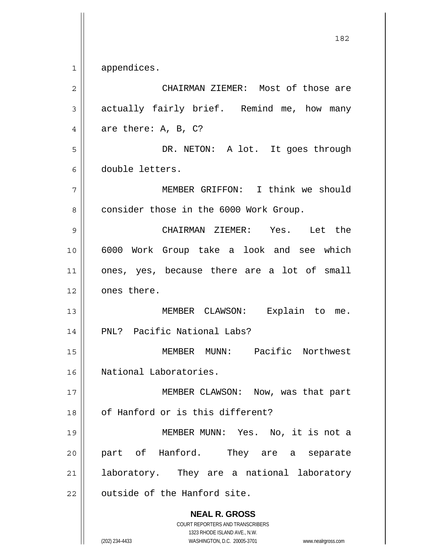1 appendices.

| $\overline{2}$ | CHAIRMAN ZIEMER: Most of those are                                                                                                                              |  |  |  |
|----------------|-----------------------------------------------------------------------------------------------------------------------------------------------------------------|--|--|--|
| 3              | actually fairly brief. Remind me, how many                                                                                                                      |  |  |  |
| 4              | are there: $A$ , $B$ , $C$ ?                                                                                                                                    |  |  |  |
| 5              | DR. NETON: A lot. It goes through                                                                                                                               |  |  |  |
| 6              | double letters.                                                                                                                                                 |  |  |  |
| 7              | MEMBER GRIFFON: I think we should                                                                                                                               |  |  |  |
| 8              | consider those in the 6000 Work Group.                                                                                                                          |  |  |  |
| 9              | CHAIRMAN ZIEMER: Yes. Let the                                                                                                                                   |  |  |  |
| 10             | 6000 Work Group take a look and see which                                                                                                                       |  |  |  |
| 11             | ones, yes, because there are a lot of small                                                                                                                     |  |  |  |
| 12             | ones there.                                                                                                                                                     |  |  |  |
| 13             | MEMBER CLAWSON: Explain to me.                                                                                                                                  |  |  |  |
| 14             | PNL? Pacific National Labs?                                                                                                                                     |  |  |  |
| 15             | MEMBER MUNN: Pacific Northwest                                                                                                                                  |  |  |  |
| 16             | National Laboratories.                                                                                                                                          |  |  |  |
| 17             | MEMBER CLAWSON: Now, was that part                                                                                                                              |  |  |  |
| 18             | of Hanford or is this different?                                                                                                                                |  |  |  |
| 19             | MEMBER MUNN: Yes. No, it is not a                                                                                                                               |  |  |  |
| 20             | part of Hanford.<br>They are a separate                                                                                                                         |  |  |  |
| 21             | laboratory. They are a national laboratory                                                                                                                      |  |  |  |
| 22             | outside of the Hanford site.                                                                                                                                    |  |  |  |
|                | <b>NEAL R. GROSS</b><br>COURT REPORTERS AND TRANSCRIBERS<br>1323 RHODE ISLAND AVE., N.W.<br>WASHINGTON, D.C. 20005-3701<br>(202) 234-4433<br>www.nealrgross.com |  |  |  |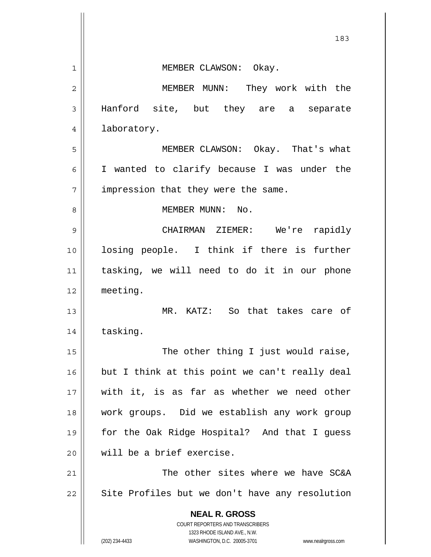|              | 183                                                                 |
|--------------|---------------------------------------------------------------------|
| $\mathbf{1}$ | MEMBER CLAWSON: Okay.                                               |
| 2            | MEMBER MUNN: They work with the                                     |
| 3            | Hanford site, but they are a separate                               |
| 4            | laboratory.                                                         |
| 5            | MEMBER CLAWSON: Okay. That's what                                   |
| 6            | I wanted to clarify because I was under the                         |
| 7            | impression that they were the same.                                 |
| 8            | MEMBER MUNN: No.                                                    |
| 9            | CHAIRMAN ZIEMER: We're rapidly                                      |
| 10           | losing people. I think if there is further                          |
| 11           | tasking, we will need to do it in our phone                         |
| 12           | meeting.                                                            |
| 13           | MR. KATZ: So that takes care of                                     |
| 14           | tasking.                                                            |
| 15           | The other thing I just would raise,                                 |
| 16           | but I think at this point we can't really deal                      |
| 17           | with it, is as far as whether we need other                         |
| 18           | work groups. Did we establish any work group                        |
| 19           | for the Oak Ridge Hospital? And that I guess                        |
| 20           | will be a brief exercise.                                           |
| 21           | The other sites where we have SC&A                                  |
| 22           | Site Profiles but we don't have any resolution                      |
|              | <b>NEAL R. GROSS</b><br>COURT REPORTERS AND TRANSCRIBERS            |
|              | 1323 RHODE ISLAND AVE., N.W.                                        |
|              | (202) 234-4433<br>WASHINGTON, D.C. 20005-3701<br>www.nealrgross.com |

 $\mathbf{\mathcal{L}}$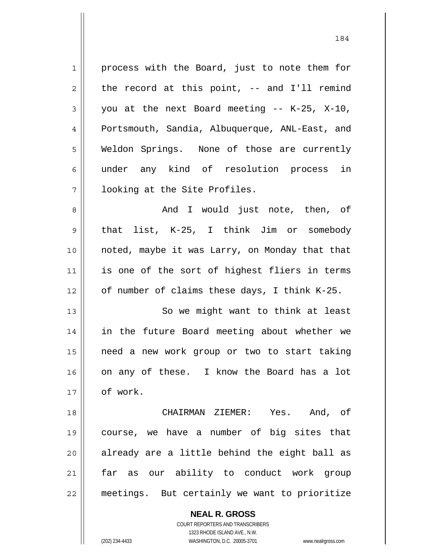1 2 3 4 5 6 7 8 9 10 11 12 13 14 15 16 17 18 19 20 21 22 process with the Board, just to note them for the record at this point, -- and I'll remind you at the next Board meeting -- K-25, X-10, Portsmouth, Sandia, Albuquerque, ANL-East, and Weldon Springs. None of those are currently under any kind of resolution process in looking at the Site Profiles. And I would just note, then, of that list, K-25, I think Jim or somebody noted, maybe it was Larry, on Monday that that is one of the sort of highest fliers in terms of number of claims these days, I think K-25. So we might want to think at least in the future Board meeting about whether we need a new work group or two to start taking on any of these. I know the Board has a lot of work. CHAIRMAN ZIEMER: Yes. And, of course, we have a number of big sites that already are a little behind the eight ball as far as our ability to conduct work group meetings. But certainly we want to prioritize

> **NEAL R. GROSS** COURT REPORTERS AND TRANSCRIBERS

> > 1323 RHODE ISLAND AVE., N.W.

(202) 234-4433 WASHINGTON, D.C. 20005-3701 www.nealrgross.com

184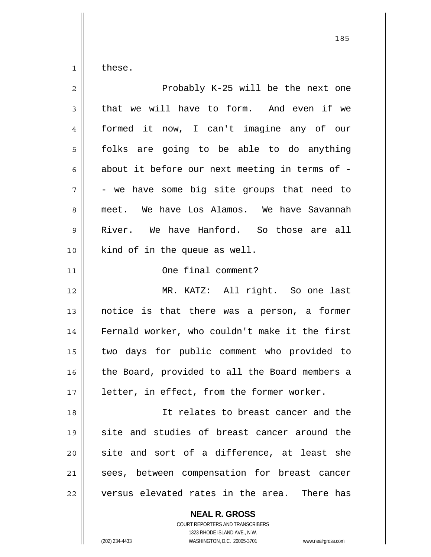1 these.

| $\overline{2}$ | Probably K-25 will be the next one             |
|----------------|------------------------------------------------|
| 3              | that we will have to form. And even if we      |
| 4              | formed it now, I can't imagine any of our      |
| 5              | folks are going to be able to do anything      |
| 6              | about it before our next meeting in terms of - |
| 7              | - we have some big site groups that need to    |
| 8              | meet. We have Los Alamos. We have Savannah     |
| 9              | River. We have Hanford. So those are all       |
| 10             | kind of in the queue as well.                  |
| 11             | One final comment?                             |
| 12             | MR. KATZ: All right. So one last               |
| 13             | notice is that there was a person, a former    |
| 14             | Fernald worker, who couldn't make it the first |
| 15             | two days for public comment who provided to    |
| 16             | the Board, provided to all the Board members a |
| 17             | letter, in effect, from the former worker.     |
| 18             | It relates to breast cancer and the            |
| 19             | site and studies of breast cancer around the   |
| 20             | site and sort of a difference, at least she    |
| 21             | sees, between compensation for breast cancer   |
| 22             | versus elevated rates in the area. There has   |
|                |                                                |

**NEAL R. GROSS** COURT REPORTERS AND TRANSCRIBERS

1323 RHODE ISLAND AVE., N.W.

(202) 234-4433 WASHINGTON, D.C. 20005-3701 www.nealrgross.com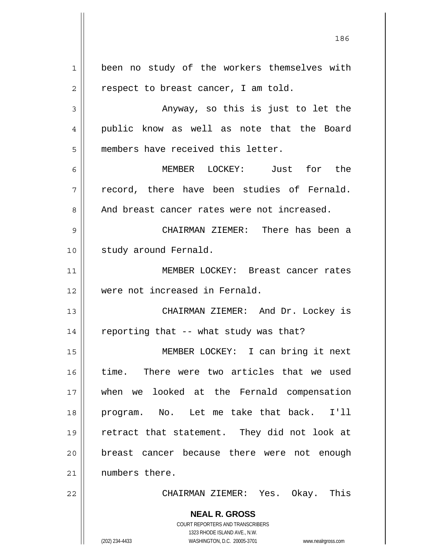**NEAL R. GROSS** COURT REPORTERS AND TRANSCRIBERS 1323 RHODE ISLAND AVE., N.W. 1 2 3 4 5 6 7 8 9 10 11 12 13 14 15 16 17 18 19 20 21 22 been no study of the workers themselves with respect to breast cancer, I am told. Anyway, so this is just to let the public know as well as note that the Board members have received this letter. MEMBER LOCKEY: Just for the record, there have been studies of Fernald. And breast cancer rates were not increased. CHAIRMAN ZIEMER: There has been a study around Fernald. MEMBER LOCKEY: Breast cancer rates were not increased in Fernald. CHAIRMAN ZIEMER: And Dr. Lockey is reporting that -- what study was that? MEMBER LOCKEY: I can bring it next time. There were two articles that we used when we looked at the Fernald compensation program. No. Let me take that back. I'll retract that statement. They did not look at breast cancer because there were not enough numbers there. CHAIRMAN ZIEMER: Yes. Okay. This

186

(202) 234-4433 WASHINGTON, D.C. 20005-3701 www.nealrgross.com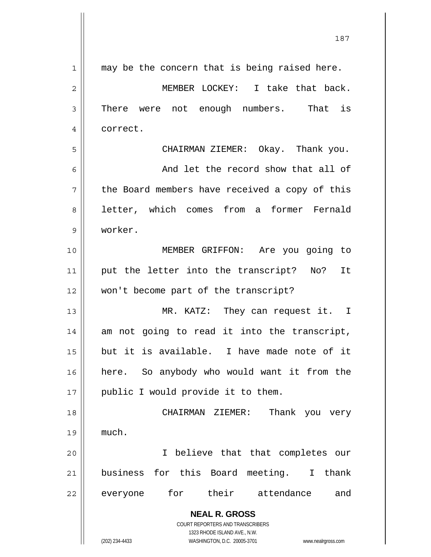| $\mathbf 1$ | may be the concern that is being raised here.                           |  |  |  |
|-------------|-------------------------------------------------------------------------|--|--|--|
| 2           | MEMBER LOCKEY: I take that back.                                        |  |  |  |
| 3           | There were not enough numbers.<br>That is                               |  |  |  |
| 4           | correct.                                                                |  |  |  |
| 5           | CHAIRMAN ZIEMER: Okay. Thank you.                                       |  |  |  |
| 6           | And let the record show that all of                                     |  |  |  |
| 7           | the Board members have received a copy of this                          |  |  |  |
| 8           | letter, which comes from a former Fernald                               |  |  |  |
| 9           | worker.                                                                 |  |  |  |
| 10          | MEMBER GRIFFON: Are you going to                                        |  |  |  |
| 11          | put the letter into the transcript? No? It                              |  |  |  |
| 12          | won't become part of the transcript?                                    |  |  |  |
| 13          | MR. KATZ: They can request it. I                                        |  |  |  |
| 14          | am not going to read it into the transcript,                            |  |  |  |
| 15          | but it is available. I have made note of it                             |  |  |  |
| 16          | here. So anybody who would want it from the                             |  |  |  |
| 17          | public I would provide it to them.                                      |  |  |  |
| 18          | CHAIRMAN ZIEMER:<br>Thank you very                                      |  |  |  |
| 19          | much.                                                                   |  |  |  |
| 20          | I believe that that completes our                                       |  |  |  |
| 21          | business for this Board meeting. I thank                                |  |  |  |
| 22          | for their attendance<br>everyone<br>and                                 |  |  |  |
|             | <b>NEAL R. GROSS</b>                                                    |  |  |  |
|             | <b>COURT REPORTERS AND TRANSCRIBERS</b><br>1323 RHODE ISLAND AVE., N.W. |  |  |  |
|             | (202) 234-4433<br>WASHINGTON, D.C. 20005-3701<br>www.nealrgross.com     |  |  |  |

187